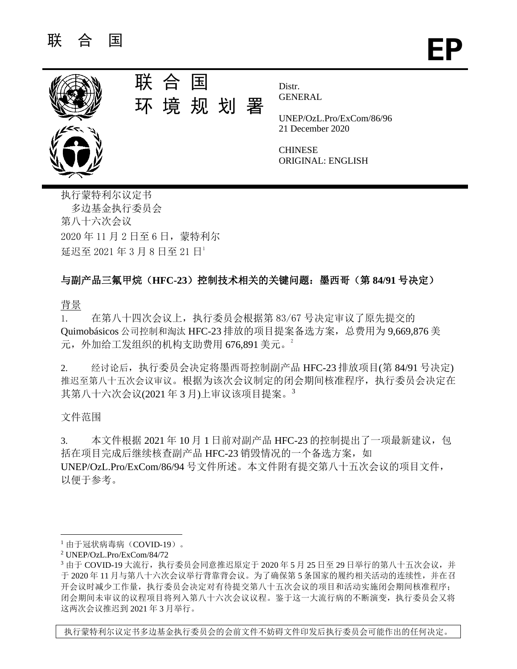

联 合 国 环 境 规 划 署

Distr. **GENERAL** 

UNEP/OzL.Pro/ExCom/86/96 21 December 2020

**CHINESE** ORIGINAL: ENGLISH

执行蒙特利尔议定书 多边基金执行委员会 第八十六次会议 2020 年 11 月 2 日至 6 日,蒙特利尔 延迟至 2021 年 3 月 8 日至 21 日1

## 与副产品三氟甲烷(**HFC-23**)控制技术相关的关键问题:墨西哥(第 **84/91** 号决定)

背景

1. 在第八十四次会议上,执行委员会根据第 83/67 号决定审议了原先提交的 Quimobásicos 公司控制和淘汰 HFC-23 排放的项目提案备选方案,总费用为 9,669,876 美 元,外加给工发组织的机构支助费用 676.891 美元。<sup>2</sup>

2. 经讨论后,执行委员会决定将墨西哥控制副产品 HFC-23 排放项目(第 84/91 号决定) 推迟至第八十五次会议审议。根据为该次会议制定的闭会期间核准程序,执行委员会决定在 其第八十六次会议(2021 年 3 月)上审议该项目提案。<sup>3</sup>

文件范围

3. 本文件根据 2021 年 10 月 1 日前对副产品 HFC-23 的控制提出了一项最新建议, 包 括在项目完成后继续核查副产品 HFC-23 销毁情况的一个备选方案, 如 UNEP/OzL.Pro/ExCom/86/94 号文件所述。本文件附有提交第八十五次会议的项目文件, 以便于参考。

执行蒙特利尔议定书多边基金执行委员会的会前文件不妨碍文件印发后执行委员会可能作出的任何决定。

<sup>1</sup> 由于冠状病毒病(COVID-19)。

<sup>2</sup> UNEP/OzL.Pro/ExCom/84/72

 $3$  由于 COVID-19 大流行,执行委员会同意推迟原定于 2020 年 5 月 25 日至 29 日举行的第八十五次会议,并 于 2020 年 11 月与第八十六次会议举行背靠背会议。为了确保第 5 条国家的履约相关活动的连续性,并在召 开会议时减少工作量,执行委员会决定对有待提交第八十五次会议的项目和活动实施闭会期间核准程序; 闭会期间未审议的议程项目将列入第八十六次会议议程。鉴于这一大流行病的不断演变,执行委员会又将 这两次会议推迟到 2021 年 3 月举行。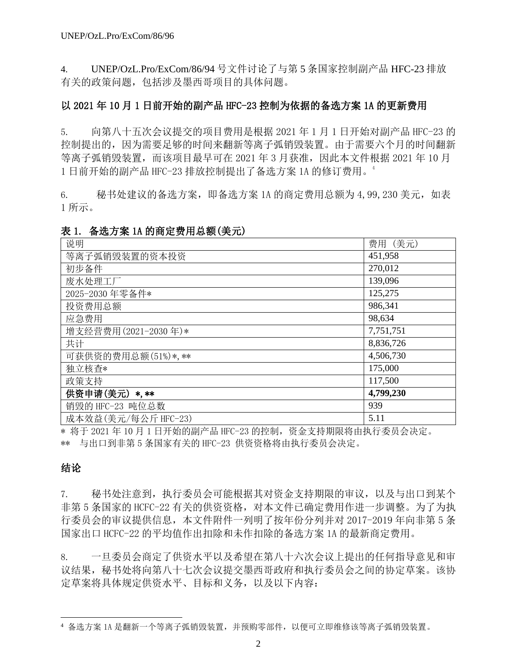4. UNEP/OzL.Pro/ExCom/86/94 号文件讨论了与第 5 条国家控制副产品 HFC-23 排放 有关的政策问题,包括涉及墨西哥项目的具体问题。

### 以 2021 年 10 月 1 日前开始的副产品 HFC-23 控制为依据的备选方案 1A 的更新费用

5. 向第八十五次会议提交的项目费用是根据 2021 年 1 月 1 日开始对副产品 HFC-23 的 控制提出的,因为需要足够的时间来翻新等离子弧销毁装置。由于需要六个月的时间翻新 等离子弧销毁装置,而该项目最早可在 2021 年 3 月获准,因此本文件根据 2021 年 10 月 1 日前开始的副产品 HFC-23 排放控制提出了备选方案 1A 的修订费用。<sup>4</sup>

6. 秘书处建议的备选方案,即备选方案 1A 的商定费用总额为 4,99,230 美元,如表 1 所示。

### 表 1. 备选方案 1A 的商定费用总额(美元)

| 说明                  | 费用 (美元)   |
|---------------------|-----------|
| 等离子弧销毁装置的资本投资       | 451,958   |
| 初步备件                | 270,012   |
| 废水处理工厂              | 139,096   |
| 2025-2030 年零备件*     | 125,275   |
| 投资费用总额              | 986,341   |
| 应急费用                | 98,634    |
| 增支经营费用(2021-2030年)* | 7,751,751 |
| 共计                  | 8,836,726 |
| 可获供资的费用总额(51%)*,**  | 4,506,730 |
| 独立核查*               | 175,000   |
| 政策支持                | 117,500   |
| 供资申请(美元) *,**       | 4,799,230 |
| 销毁的 HFC-23 吨位总数     | 939       |
| 成本效益(美元/每公斤 HFC-23) | 5.11      |

\* 将于 2021 年 10 月 1 日开始的副产品 HFC-23 的控制,资金支持期限将由执行委员会决定。 \*\* 与出口到非第 5 条国家有关的 HFC-23 供资资格将由执行委员会决定。

## 结论

7. 秘书处注意到,执行委员会可能根据其对资金支持期限的审议,以及与出口到某个 非第 5 条国家的 HCFC-22 有关的供资资格,对本文件已确定费用作进一步调整。为了为执 行委员会的审议提供信息,本文件附件一列明了按年份分列并对 2017-2019 年向非第 5 条 国家出口 HCFC-22 的平均值作出扣除和未作扣除的备选方案 1A 的最新商定费用。

8. 一旦委员会商定了供资水平以及希望在第八十六次会议上提出的任何指导意见和审 议结果,秘书处将向第八十七次会议提交墨西哥政府和执行委员会之间的协定草案。该协 定草案将具体规定供资水平、目标和义务,以及以下内容:

<sup>4</sup> 备选方案 1A 是翻新一个等离子弧销毁装置,并预购零部件,以便可立即维修该等离子弧销毁装置。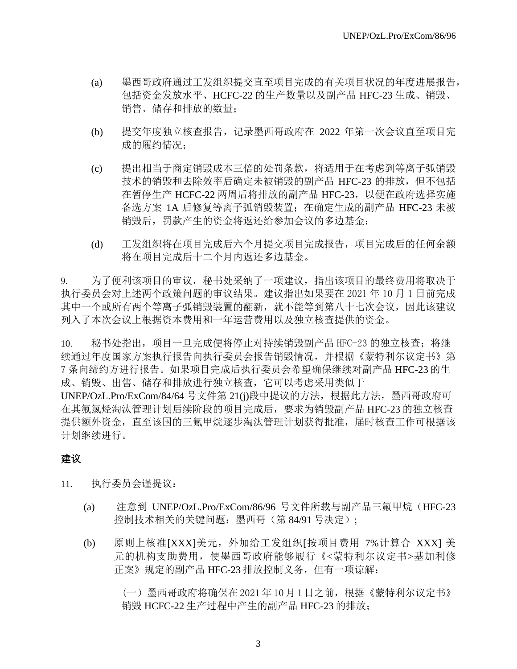- (a) 墨西哥政府通过工发组织提交直至项目完成的有关项目状况的年度进展报告, 包括资金发放水平、HCFC-22 的生产数量以及副产品 HFC-23 生成、销毁、 销售、储存和排放的数量;
- (b) 提交年度独立核查报告,记录墨西哥政府在 2022 年第一次会议直至项目完 成的履约情况;
- (c) 提出相当于商定销毁成本三倍的处罚条款,将适用于在考虑到等离子弧销毁 技术的销毁和去除效率后确定未被销毁的副产品 HFC-23 的排放, 但不包括 在暂停生产 HCFC-22 两周后将排放的副产品 HFC-23,以便在政府选择实施 备选方案 1A 后修复等离子弧销毁装置;在确定生成的副产品 HFC-23 未被 销毁后,罚款产生的资金将返还给参加会议的多边基金;
- (d) 工发组织将在项目完成后六个月提交项目完成报告,项目完成后的任何余额 将在项目完成后十二个月内返还多边基金。

9. 为了便利该项目的审议,秘书处采纳了一项建议,指出该项目的最终费用将取决于 执行委员会对上述两个政策问题的审议结果。建议指出如果要在 2021 年 10 月 1 日前完成 其中一个或所有两个等离子弧销毁装置的翻新,就不能等到第八十七次会议,因此该建议 列入了本次会议上根据资本费用和一年运营费用以及独立核查提供的资金。

10. 秘书处指出,项目一旦完成便将停止对持续销毁副产品 HFC-23 的独立核查; 将继 续通过年度国家方案执行报告向执行委员会报告销毁情况,并根据《蒙特利尔议定书》第 7 条向缔约方进行报告。如果项目完成后执行委员会希望确保继续对副产品 HFC-23 的生 成、销毁、出售、储存和排放进行独立核查,它可以考虑采用类似于 UNEP/OzL.Pro/ExCom/84/64 号文件第 21(j)段中提议的方法,根据此方法,墨西哥政府可 在其氟氯烃淘汰管理计划后续阶段的项目完成后,要求为销毁副产品 HFC-23 的独立核查 提供额外资金,直至该国的三氟甲烷逐步淘汰管理计划获得批准,届时核查工作可根据该 计划继续进行。

## 建议

11. 执行委员会谨提议:

- (a) 注意到 UNEP/OzL.Pro/ExCom/86/96 号文件所载与副产品三氟甲烷(HFC-23 控制技术相关的关键问题:墨西哥(第 84/91 号决定);
- (b) 原则上核准[XXX]美元,外加给工发组织[按项目费用 7%计算合 XXX] 美 元的机构支助费用,使墨西哥政府能够履行《<蒙特利尔议定书>基加利修 正案》规定的副产品 HFC-23 排放控制义务,但有一项谅解:

(一)墨西哥政府将确保在 2021 年 10月 1 日之前,根据《蒙特利尔议定书》 销毁 HCFC-22 生产过程中产生的副产品 HFC-23 的排放;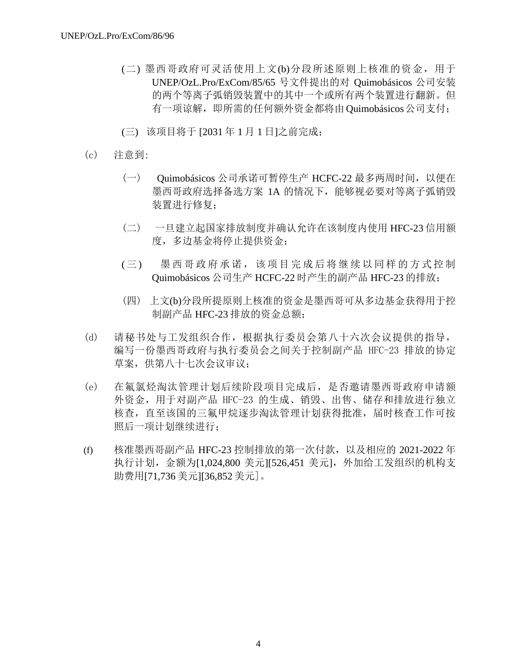- (二) 墨西哥政府可灵活使用上文(b)分段所述原则上核准的资金,用于 UNEP/OzL.Pro/ExCom/85/65 号文件提出的对 Quimobásicos 公司安装 的两个等离子弧销毁装置中的其中一个或所有两个装置进行翻新。但 有一项谅解,即所需的任何额外资金都将由Quimobásicos公司支付;
- (三) 该项目将于 [2031 年 1 月 1 日]之前完成;
- (c) 注意到:
	- (一) Quimobásicos 公司承诺可暂停生产 HCFC-22 最多两周时间,以便在 墨西哥政府选择备选方案 1A 的情况下,能够视必要对等离子弧销毁 装置进行修复;
	- (二) 一旦建立起国家排放制度并确认允许在该制度内使用 HFC-23 信用额 度,多边基金将停止提供资金;
	- (三) 墨西哥政府承诺,该项目完成后将继续以同样的方式控制 Quimobásicos 公司生产 HCFC-22 时产生的副产品 HFC-23 的排放;
	- (四) 上文(b)分段所提原则上核准的资金是墨西哥可从多边基金获得用于控 制副产品 HFC-23 排放的资金总额;
- (d) 请秘书处与工发组织合作,根据执行委员会第八十六次会议提供的指导, 编写一份墨西哥政府与执行委员会之间关于控制副产品 HFC-23 排放的协定 草案,供第八十七次会议审议;
- (e) 在氟氯烃淘汰管理计划后续阶段项目完成后,是否邀请墨西哥政府申请额 外资金,用于对副产品 HFC-23 的生成、销毁、出售、储存和排放进行独立 核查,直至该国的三氟甲烷逐步淘汰管理计划获得批准,届时核查工作可按 照后一项计划继续进行;
- (f) 核准墨西哥副产品 HFC-23 控制排放的第一次付款,以及相应的 2021-2022 年 执行计划,金额为[1,024,800 美元][526,451 美元],外加给工发组织的机构支 助费用[71,736 美元][36,852 美元]。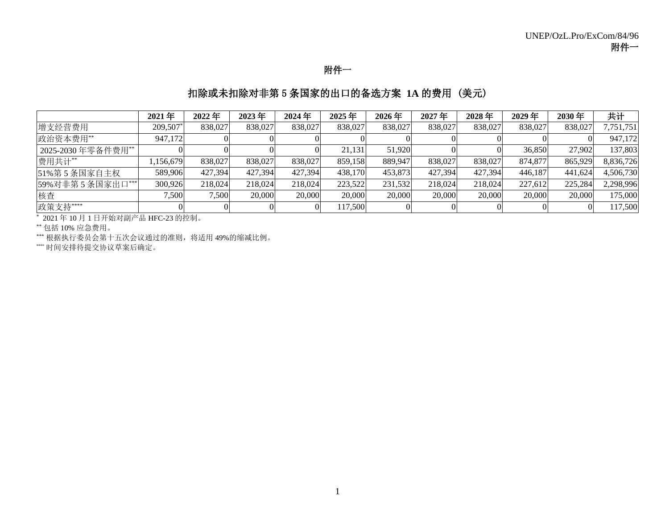## 附件一

## 扣除或未扣除对非第 5 条国家的出口的备选方案 **1A** 的费用 (美元)

|                   | $2021$ 年 | 2022年   | 2023年   | $2024$ 年 | 2025年   | $2026$ 年 | 2027年   | 2028年   | 2029年   | 2030年   | 共计        |
|-------------------|----------|---------|---------|----------|---------|----------|---------|---------|---------|---------|-----------|
| 增支经营费用            | 209,507* | 838,027 | 838,027 | 838,027  | 838,027 | 838,027  | 838,027 | 838,027 | 838,027 | 838,027 | 7,751,751 |
| 政治资本费用**          | 947,172  |         |         |          |         |          |         |         |         |         | 947,172   |
| 2025-2030年零备件费用** |          |         |         |          | 21.131  | 51.920   |         |         | 36,850  | 27,902  | 137,803   |
| 费用共计**            | ,156,679 | 838,027 | 838,027 | 838,027  | 859,158 | 889,947  | 838,027 | 838,027 | 874,877 | 865,929 | 8,836,726 |
| 51%第5条国家自主权       | 589,906  | 427.394 | 427.394 | 427.394  | 438,170 | 453,873  | 427.394 | 427.394 | 446,187 | 441.624 | 4,506,730 |
| 59%对非第5条国家出口***   | 300,926  | 218,024 | 218,024 | 218,024  | 223,522 | 231,532  | 218,024 | 218,024 | 227,612 | 225,284 | 2,298,996 |
| 核查                | 7.500    | 7,500   | 20,000  | 20,000   | 20,000  | 20,000   | 20,000  | 20,000  | 20,000  | 20,000  | 175,000   |
| 政策支持 ****         |          |         |         |          | 117,500 |          |         |         |         |         | 117,500   |

\* 2021 年 10 月 1 日开始对副产品 HFC-23 的控制。

\*\* 包括 10% 应急费用。

\*\*\* 根据执行委员会第十五次会议通过的准则,将适用 49%的缩减比例。

\*\*\*\* 时间安排待提交协议草案后确定。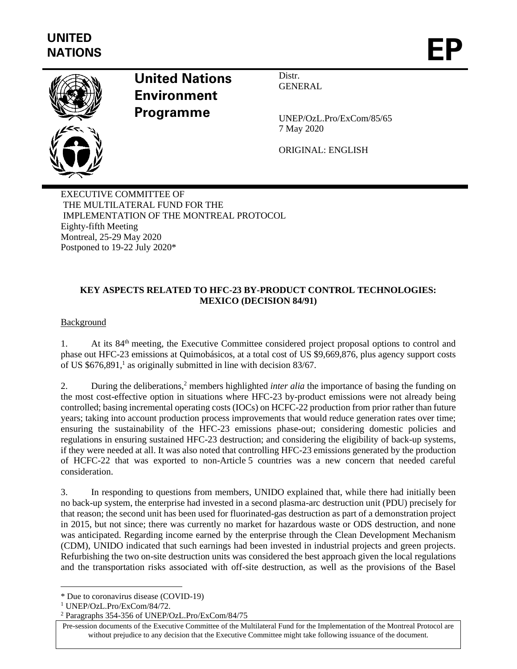

# **United Nations Environment Programme**

Distr. **GENERAL** 

UNEP/OzL.Pro/ExCom/85/65 7 May 2020

ORIGINAL: ENGLISH

EXECUTIVE COMMITTEE OF THE MULTILATERAL FUND FOR THE IMPLEMENTATION OF THE MONTREAL PROTOCOL Eighty-fifth Meeting Montreal, 25-29 May 2020 Postponed to 19-22 July 2020\*

## **KEY ASPECTS RELATED TO HFC-23 BY-PRODUCT CONTROL TECHNOLOGIES: MEXICO (DECISION 84/91)**

Background

1. At its 84<sup>th</sup> meeting, the Executive Committee considered project proposal options to control and phase out HFC-23 emissions at Quimobásicos, at a total cost of US \$9,669,876, plus agency support costs of US \$676,891, 1 as originally submitted in line with decision 83/67.

2. During the deliberations,<sup>2</sup> members highlighted *inter alia* the importance of basing the funding on the most cost-effective option in situations where HFC-23 by-product emissions were not already being controlled; basing incremental operating costs (IOCs) on HCFC-22 production from prior rather than future years; taking into account production process improvements that would reduce generation rates over time; ensuring the sustainability of the HFC-23 emissions phase-out; considering domestic policies and regulations in ensuring sustained HFC-23 destruction; and considering the eligibility of back-up systems, if they were needed at all. It was also noted that controlling HFC-23 emissions generated by the production of HCFC-22 that was exported to non-Article 5 countries was a new concern that needed careful consideration.

3. In responding to questions from members, UNIDO explained that, while there had initially been no back-up system, the enterprise had invested in a second plasma-arc destruction unit (PDU) precisely for that reason; the second unit has been used for fluorinated-gas destruction as part of a demonstration project in 2015, but not since; there was currently no market for hazardous waste or ODS destruction, and none was anticipated. Regarding income earned by the enterprise through the Clean Development Mechanism (CDM), UNIDO indicated that such earnings had been invested in industrial projects and green projects. Refurbishing the two on-site destruction units was considered the best approach given the local regulations and the transportation risks associated with off-site destruction, as well as the provisions of the Basel

<sup>\*</sup> Due to coronavirus disease (COVID-19)

<sup>1</sup> UNEP/OzL.Pro/ExCom/84/72.

<sup>2</sup> Paragraphs 354-356 of UNEP/OzL.Pro/ExCom/84/75

Pre-session documents of the Executive Committee of the Multilateral Fund for the Implementation of the Montreal Protocol are without prejudice to any decision that the Executive Committee might take following issuance of the document.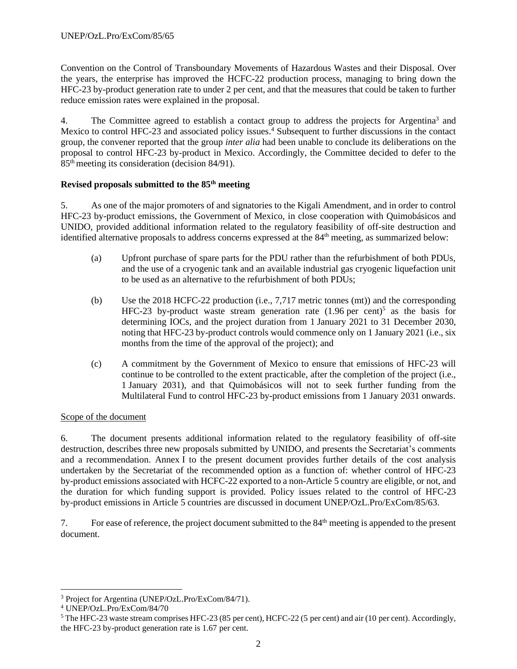Convention on the Control of Transboundary Movements of Hazardous Wastes and their Disposal. Over the years, the enterprise has improved the HCFC-22 production process, managing to bring down the HFC-23 by-product generation rate to under 2 per cent, and that the measures that could be taken to further reduce emission rates were explained in the proposal.

4. The Committee agreed to establish a contact group to address the projects for Argentina<sup>3</sup> and Mexico to control HFC-23 and associated policy issues.<sup>4</sup> Subsequent to further discussions in the contact group, the convener reported that the group *inter alia* had been unable to conclude its deliberations on the proposal to control HFC-23 by-product in Mexico. Accordingly, the Committee decided to defer to the 85th meeting its consideration (decision 84/91).

## **Revised proposals submitted to the 85th meeting**

5. As one of the major promoters of and signatories to the Kigali Amendment, and in order to control HFC-23 by-product emissions, the Government of Mexico, in close cooperation with Quimobásicos and UNIDO, provided additional information related to the regulatory feasibility of off-site destruction and identified alternative proposals to address concerns expressed at the 84<sup>th</sup> meeting, as summarized below:

- (a) Upfront purchase of spare parts for the PDU rather than the refurbishment of both PDUs, and the use of a cryogenic tank and an available industrial gas cryogenic liquefaction unit to be used as an alternative to the refurbishment of both PDUs;
- (b) Use the 2018 HCFC-22 production (i.e., 7,717 metric tonnes (mt)) and the corresponding HFC-23 by-product waste stream generation rate  $(1.96 \text{ per cent})^5$  as the basis for determining IOCs, and the project duration from 1 January 2021 to 31 December 2030, noting that HFC-23 by-product controls would commence only on 1 January 2021 (i.e., six months from the time of the approval of the project); and
- (c) A commitment by the Government of Mexico to ensure that emissions of HFC-23 will continue to be controlled to the extent practicable, after the completion of the project (i.e., 1 January 2031), and that Quimobásicos will not to seek further funding from the Multilateral Fund to control HFC-23 by-product emissions from 1 January 2031 onwards.

## Scope of the document

6. The document presents additional information related to the regulatory feasibility of off-site destruction, describes three new proposals submitted by UNIDO, and presents the Secretariat's comments and a recommendation. Annex I to the present document provides further details of the cost analysis undertaken by the Secretariat of the recommended option as a function of: whether control of HFC-23 by-product emissions associated with HCFC-22 exported to a non-Article 5 country are eligible, or not, and the duration for which funding support is provided. Policy issues related to the control of HFC-23 by-product emissions in Article 5 countries are discussed in document UNEP/OzL.Pro/ExCom/85/63.

7. For ease of reference, the project document submitted to the 84th meeting is appended to the present document.

<sup>3</sup> Project for Argentina (UNEP/OzL.Pro/ExCom/84/71).

<sup>4</sup> UNEP/OzL.Pro/ExCom/84/70

<sup>&</sup>lt;sup>5</sup> The HFC-23 waste stream comprises HFC-23 (85 per cent), HCFC-22 (5 per cent) and air (10 per cent). Accordingly, the HFC-23 by-product generation rate is 1.67 per cent.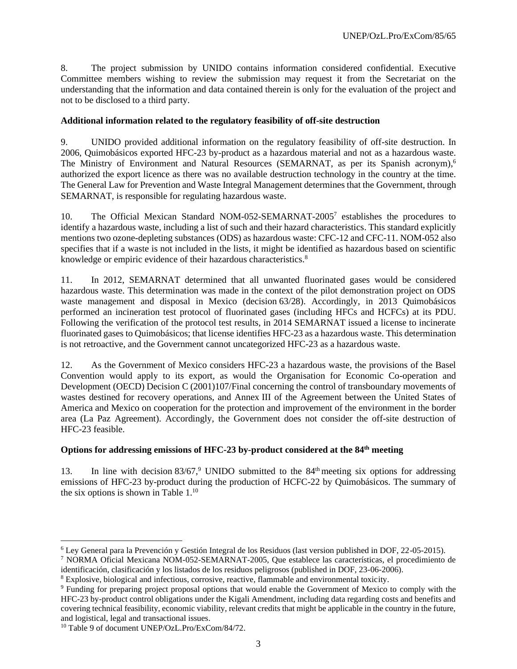8. The project submission by UNIDO contains information considered confidential. Executive Committee members wishing to review the submission may request it from the Secretariat on the understanding that the information and data contained therein is only for the evaluation of the project and not to be disclosed to a third party.

### **Additional information related to the regulatory feasibility of off-site destruction**

9. UNIDO provided additional information on the regulatory feasibility of off-site destruction. In 2006, Quimobásicos exported HFC-23 by-product as a hazardous material and not as a hazardous waste. The Ministry of Environment and Natural Resources (SEMARNAT, as per its Spanish acronym), 6 authorized the export licence as there was no available destruction technology in the country at the time. The General Law for Prevention and Waste Integral Management determines that the Government, through SEMARNAT, is responsible for regulating hazardous waste.

10. The Official Mexican Standard NOM-052-SEMARNAT-2005<sup>7</sup> establishes the procedures to identify a hazardous waste, including a list of such and their hazard characteristics. This standard explicitly mentions two ozone-depleting substances (ODS) as hazardous waste: CFC-12 and CFC-11. NOM-052 also specifies that if a waste is not included in the lists, it might be identified as hazardous based on scientific knowledge or empiric evidence of their hazardous characteristics.<sup>8</sup>

11. In 2012, SEMARNAT determined that all unwanted fluorinated gases would be considered hazardous waste. This determination was made in the context of the pilot demonstration project on ODS waste management and disposal in Mexico (decision 63/28). Accordingly, in 2013 Quimobásicos performed an incineration test protocol of fluorinated gases (including HFCs and HCFCs) at its PDU. Following the verification of the protocol test results, in 2014 SEMARNAT issued a license to incinerate fluorinated gases to Quimobásicos; that license identifies HFC-23 as a hazardous waste. This determination is not retroactive, and the Government cannot uncategorized HFC-23 as a hazardous waste.

12. As the Government of Mexico considers HFC-23 a hazardous waste, the provisions of the Basel Convention would apply to its export, as would the Organisation for Economic Co-operation and Development (OECD) Decision C (2001)107/Final concerning the control of transboundary movements of wastes destined for recovery operations, and Annex III of the Agreement between the United States of America and Mexico on cooperation for the protection and improvement of the environment in the border area (La Paz Agreement). Accordingly, the Government does not consider the off-site destruction of HFC-23 feasible.

### **Options for addressing emissions of HFC-23 by-product considered at the 84th meeting**

13. In line with decision  $83/67$ , UNIDO submitted to the  $84<sup>th</sup>$  meeting six options for addressing emissions of HFC-23 by-product during the production of HCFC-22 by Quimobásicos. The summary of the six options is shown in Table 1.<sup>10</sup>

<sup>6</sup> Ley General para la Prevención y Gestión Integral de los Residuos (last version published in DOF, 22-05-2015).

<sup>7</sup> NORMA Oficial Mexicana NOM-052-SEMARNAT-2005, Que establece las características, el procedimiento de identificación, clasificación y los listados de los residuos peligrosos (published in DOF, 23-06-2006).

<sup>8</sup> Explosive, biological and infectious, corrosive, reactive, flammable and environmental toxicity.

<sup>9</sup> Funding for preparing project proposal options that would enable the Government of Mexico to comply with the HFC-23 by-product control obligations under the Kigali Amendment, including data regarding costs and benefits and covering technical feasibility, economic viability, relevant credits that might be applicable in the country in the future, and logistical, legal and transactional issues.

<sup>&</sup>lt;sup>10</sup> Table 9 of document UNEP/OzL.Pro/ExCom/84/72.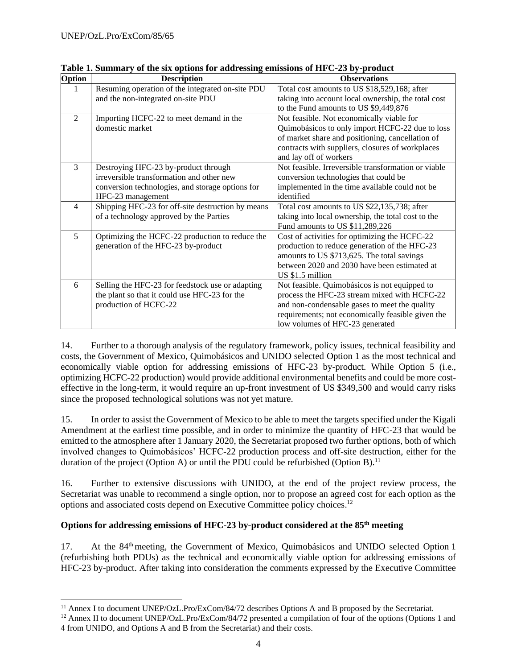| Option         | <b>Description</b>                                | <b>Observations</b>                                 |
|----------------|---------------------------------------------------|-----------------------------------------------------|
|                | Resuming operation of the integrated on-site PDU  | Total cost amounts to US \$18,529,168; after        |
|                | and the non-integrated on-site PDU                | taking into account local ownership, the total cost |
|                |                                                   | to the Fund amounts to US \$9,449,876               |
| $\mathfrak{D}$ | Importing HCFC-22 to meet demand in the           | Not feasible. Not economically viable for           |
|                | domestic market                                   | Quimobásicos to only import HCFC-22 due to loss     |
|                |                                                   | of market share and positioning, cancellation of    |
|                |                                                   | contracts with suppliers, closures of workplaces    |
|                |                                                   | and lay off of workers                              |
| 3              | Destroying HFC-23 by-product through              | Not feasible. Irreversible transformation or viable |
|                | irreversible transformation and other new         | conversion technologies that could be               |
|                | conversion technologies, and storage options for  | implemented in the time available could not be      |
|                | HFC-23 management                                 | identified                                          |
| $\overline{4}$ | Shipping HFC-23 for off-site destruction by means | Total cost amounts to US \$22,135,738; after        |
|                | of a technology approved by the Parties           | taking into local ownership, the total cost to the  |
|                |                                                   | Fund amounts to US \$11,289,226                     |
| 5              | Optimizing the HCFC-22 production to reduce the   | Cost of activities for optimizing the HCFC-22       |
|                | generation of the HFC-23 by-product               | production to reduce generation of the HFC-23       |
|                |                                                   | amounts to US \$713,625. The total savings          |
|                |                                                   | between 2020 and 2030 have been estimated at        |
|                |                                                   | US \$1.5 million                                    |
| 6              | Selling the HFC-23 for feedstock use or adapting  | Not feasible. Quimobásicos is not equipped to       |
|                | the plant so that it could use HFC-23 for the     | process the HFC-23 stream mixed with HCFC-22        |
|                | production of HCFC-22                             | and non-condensable gases to meet the quality       |
|                |                                                   | requirements; not economically feasible given the   |
|                |                                                   | low volumes of HFC-23 generated                     |

**Table 1. Summary of the six options for addressing emissions of HFC-23 by-product**

14. Further to a thorough analysis of the regulatory framework, policy issues, technical feasibility and costs, the Government of Mexico, Quimobásicos and UNIDO selected Option 1 as the most technical and economically viable option for addressing emissions of HFC-23 by-product. While Option 5 (i.e., optimizing HCFC-22 production) would provide additional environmental benefits and could be more costeffective in the long-term, it would require an up-front investment of US \$349,500 and would carry risks since the proposed technological solutions was not yet mature.

15. In order to assist the Government of Mexico to be able to meet the targets specified under the Kigali Amendment at the earliest time possible, and in order to minimize the quantity of HFC-23 that would be emitted to the atmosphere after 1 January 2020, the Secretariat proposed two further options, both of which involved changes to Quimobásicos' HCFC-22 production process and off-site destruction, either for the duration of the project (Option A) or until the PDU could be refurbished (Option B).<sup>11</sup>

16. Further to extensive discussions with UNIDO, at the end of the project review process, the Secretariat was unable to recommend a single option, nor to propose an agreed cost for each option as the options and associated costs depend on Executive Committee policy choices. 12

### **Options for addressing emissions of HFC-23 by-product considered at the 85th meeting**

17. At the 84<sup>th</sup> meeting, the Government of Mexico, Quimobásicos and UNIDO selected Option 1 (refurbishing both PDUs) as the technical and economically viable option for addressing emissions of HFC-23 by-product. After taking into consideration the comments expressed by the Executive Committee

<sup>&</sup>lt;sup>11</sup> Annex I to document UNEP/OzL.Pro/ExCom/84/72 describes Options A and B proposed by the Secretariat.

<sup>&</sup>lt;sup>12</sup> Annex II to document UNEP/OzL.Pro/ExCom/84/72 presented a compilation of four of the options (Options 1 and 4 from UNIDO, and Options A and B from the Secretariat) and their costs.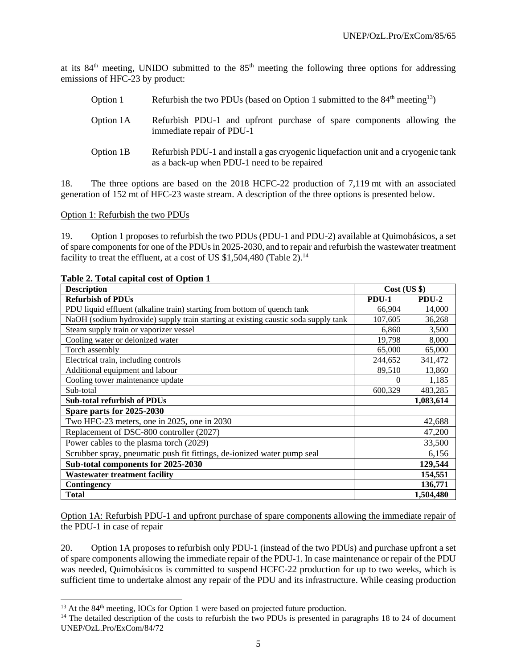at its 84th meeting, UNIDO submitted to the 85th meeting the following three options for addressing emissions of HFC-23 by product:

- Option 1 Refurbish the two PDUs (based on Option 1 submitted to the  $84<sup>th</sup>$  meeting<sup>13</sup>)
- Option 1A Refurbish PDU-1 and upfront purchase of spare components allowing the immediate repair of PDU-1
- Option 1B Refurbish PDU-1 and install a gas cryogenic liquefaction unit and a cryogenic tank as a back-up when PDU-1 need to be repaired

18. The three options are based on the 2018 HCFC-22 production of 7,119 mt with an associated generation of 152 mt of HFC-23 waste stream. A description of the three options is presented below.

Option 1: Refurbish the two PDUs

19. Option 1 proposes to refurbish the two PDUs (PDU-1 and PDU-2) available at Quimobásicos, a set of spare components for one of the PDUs in 2025-2030, and to repair and refurbish the wastewater treatment facility to treat the effluent, at a cost of US  $$1,504,480$  (Table 2).<sup>14</sup>

| <b>Description</b>                                                                 | $Cost$ (US $\})$ |           |
|------------------------------------------------------------------------------------|------------------|-----------|
| <b>Refurbish of PDUs</b>                                                           | <b>PDU-1</b>     | PDU-2     |
| PDU liquid effluent (alkaline train) starting from bottom of quench tank           | 66,904           | 14,000    |
| NaOH (sodium hydroxide) supply train starting at existing caustic soda supply tank | 107,605          | 36,268    |
| Steam supply train or vaporizer vessel                                             | 6,860            | 3,500     |
| Cooling water or deionized water                                                   | 19,798           | 8,000     |
| Torch assembly                                                                     | 65,000           | 65,000    |
| Electrical train, including controls                                               | 244,652          | 341,472   |
| Additional equipment and labour                                                    | 89,510           | 13,860    |
| Cooling tower maintenance update                                                   | $\Omega$         | 1,185     |
| Sub-total                                                                          | 600,329          | 483,285   |
| <b>Sub-total refurbish of PDUs</b>                                                 |                  | 1,083,614 |
| Spare parts for 2025-2030                                                          |                  |           |
| Two HFC-23 meters, one in 2025, one in 2030                                        |                  | 42,688    |
| Replacement of DSC-800 controller (2027)                                           |                  | 47,200    |
| Power cables to the plasma torch (2029)                                            |                  | 33,500    |
| Scrubber spray, pneumatic push fit fittings, de-ionized water pump seal            |                  | 6,156     |
| Sub-total components for 2025-2030                                                 |                  | 129,544   |
| <b>Wastewater treatment facility</b>                                               |                  | 154,551   |
| Contingency                                                                        |                  | 136,771   |
| <b>Total</b>                                                                       |                  | 1,504,480 |

#### **Table 2. Total capital cost of Option 1**

Option 1A: Refurbish PDU-1 and upfront purchase of spare components allowing the immediate repair of the PDU-1 in case of repair

20. Option 1A proposes to refurbish only PDU-1 (instead of the two PDUs) and purchase upfront a set of spare components allowing the immediate repair of the PDU-1. In case maintenance or repair of the PDU was needed, Quimobásicos is committed to suspend HCFC-22 production for up to two weeks, which is sufficient time to undertake almost any repair of the PDU and its infrastructure. While ceasing production

<sup>&</sup>lt;sup>13</sup> At the 84<sup>th</sup> meeting, IOCs for Option 1 were based on projected future production.

<sup>&</sup>lt;sup>14</sup> The detailed description of the costs to refurbish the two PDUs is presented in paragraphs 18 to 24 of document UNEP/OzL.Pro/ExCom/84/72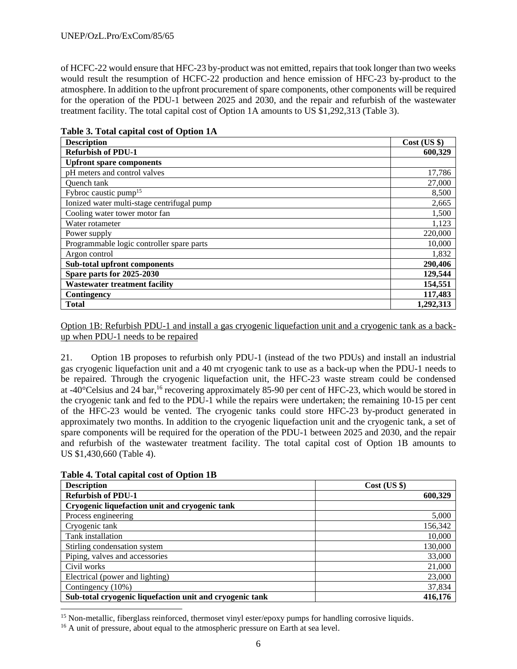of HCFC-22 would ensure that HFC-23 by-product was not emitted, repairs that took longer than two weeks would result the resumption of HCFC-22 production and hence emission of HFC-23 by-product to the atmosphere. In addition to the upfront procurement of spare components, other components will be required for the operation of the PDU-1 between 2025 and 2030, and the repair and refurbish of the wastewater treatment facility. The total capital cost of Option 1A amounts to US \$1,292,313 (Table 3).

| <b>Description</b>                         | $Cost$ (US $\})$ |
|--------------------------------------------|------------------|
| <b>Refurbish of PDU-1</b>                  | 600,329          |
| <b>Upfront spare components</b>            |                  |
| pH meters and control valves               | 17,786           |
| <b>Ouench</b> tank                         | 27,000           |
| Fybroc caustic pump <sup>15</sup>          | 8,500            |
| Ionized water multi-stage centrifugal pump | 2,665            |
| Cooling water tower motor fan              | 1,500            |
| Water rotameter                            | 1,123            |
| Power supply                               | 220,000          |
| Programmable logic controller spare parts  | 10,000           |
| Argon control                              | 1,832            |
| Sub-total upfront components               | 290,406          |
| Spare parts for 2025-2030                  | 129,544          |
| <b>Wastewater treatment facility</b>       | 154,551          |
| Contingency                                | 117,483          |
| <b>Total</b>                               | 1,292,313        |

**Table 3. Total capital cost of Option 1A**

Option 1B: Refurbish PDU-1 and install a gas cryogenic liquefaction unit and a cryogenic tank as a backup when PDU-1 needs to be repaired

21. Option 1B proposes to refurbish only PDU-1 (instead of the two PDUs) and install an industrial gas cryogenic liquefaction unit and a 40 mt cryogenic tank to use as a back-up when the PDU-1 needs to be repaired. Through the cryogenic liquefaction unit, the HFC-23 waste stream could be condensed at -40°Celsius and 24 bar,<sup>16</sup> recovering approximately 85-90 per cent of HFC-23, which would be stored in the cryogenic tank and fed to the PDU-1 while the repairs were undertaken; the remaining 10-15 per cent of the HFC-23 would be vented. The cryogenic tanks could store HFC-23 by-product generated in approximately two months. In addition to the cryogenic liquefaction unit and the cryogenic tank, a set of spare components will be required for the operation of the PDU-1 between 2025 and 2030, and the repair and refurbish of the wastewater treatment facility. The total capital cost of Option 1B amounts to US \$1,430,660 (Table 4).

| <b>Description</b>                                       | $Cost$ (US $\})$ |
|----------------------------------------------------------|------------------|
| <b>Refurbish of PDU-1</b>                                | 600,329          |
| Cryogenic liquefaction unit and cryogenic tank           |                  |
| Process engineering                                      | 5,000            |
| Cryogenic tank                                           | 156,342          |
| Tank installation                                        | 10,000           |
| Stirling condensation system                             | 130,000          |
| Piping, valves and accessories                           | 33,000           |
| Civil works                                              | 21,000           |
| Electrical (power and lighting)                          | 23,000           |
| Contingency (10%)                                        | 37,834           |
| Sub-total cryogenic liquefaction unit and cryogenic tank | 416,176          |

**Table 4. Total capital cost of Option 1B**

<sup>15</sup> Non-metallic, fiberglass reinforced, thermoset vinyl ester/epoxy pumps for handling corrosive liquids.

<sup>16</sup> A unit of pressure, about equal to the atmospheric pressure on Earth at sea level.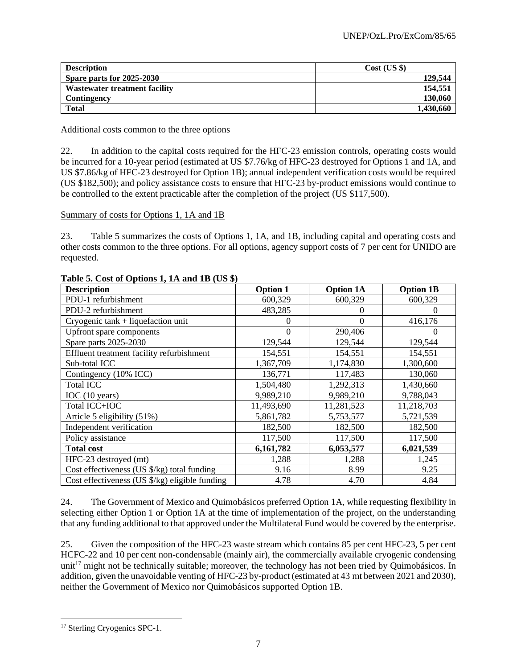| <b>Description</b>            | Cost (US \$) |
|-------------------------------|--------------|
| Spare parts for 2025-2030     | 129.544      |
| Wastewater treatment facility | 154.551      |
| Contingency                   | 130,060      |
| <b>Total</b>                  | 1,430,660    |

Additional costs common to the three options

22. In addition to the capital costs required for the HFC-23 emission controls, operating costs would be incurred for a 10-year period (estimated at US \$7.76/kg of HFC-23 destroyed for Options 1 and 1A, and US \$7.86/kg of HFC-23 destroyed for Option 1B); annual independent verification costs would be required (US \$182,500); and policy assistance costs to ensure that HFC-23 by-product emissions would continue to be controlled to the extent practicable after the completion of the project (US \$117,500).

Summary of costs for Options 1, 1A and 1B

23. Table 5 summarizes the costs of Options 1, 1A, and 1B, including capital and operating costs and other costs common to the three options. For all options, agency support costs of 7 per cent for UNIDO are requested.

| <b>Description</b>                             | <b>Option 1</b> | <b>Option 1A</b> | <b>Option 1B</b> |
|------------------------------------------------|-----------------|------------------|------------------|
| PDU-1 refurbishment                            | 600,329         | 600,329          | 600,329          |
| PDU-2 refurbishment                            | 483,285         | $\theta$         | $\left( \right)$ |
| Cryogenic tank + liquefaction unit             |                 | $\theta$         | 416,176          |
| Upfront spare components                       | 0               | 290,406          | $\theta$         |
| Spare parts 2025-2030                          | 129,544         | 129,544          | 129,544          |
| Effluent treatment facility refurbishment      | 154,551         | 154,551          | 154,551          |
| Sub-total ICC                                  | 1,367,709       | 1,174,830        | 1,300,600        |
| Contingency (10% ICC)                          | 136,771         | 117,483          | 130,060          |
| <b>Total ICC</b>                               | 1,504,480       | 1,292,313        | 1,430,660        |
| IOC(10 years)                                  | 9,989,210       | 9,989,210        | 9,788,043        |
| Total ICC+IOC                                  | 11,493,690      | 11,281,523       | 11,218,703       |
| Article 5 eligibility (51%)                    | 5,861,782       | 5,753,577        | 5,721,539        |
| Independent verification                       | 182,500         | 182,500          | 182,500          |
| Policy assistance                              | 117,500         | 117,500          | 117,500          |
| <b>Total cost</b>                              | 6,161,782       | 6,053,577        | 6,021,539        |
| HFC-23 destroyed (mt)                          | 1,288           | 1,288            | 1,245            |
| Cost effectiveness (US \$/kg) total funding    | 9.16            | 8.99             | 9.25             |
| Cost effectiveness (US \$/kg) eligible funding | 4.78            | 4.70             | 4.84             |

### **Table 5. Cost of Options 1, 1A and 1B (US \$)**

24. The Government of Mexico and Quimobásicos preferred Option 1A, while requesting flexibility in selecting either Option 1 or Option 1A at the time of implementation of the project, on the understanding that any funding additional to that approved under the Multilateral Fund would be covered by the enterprise.

25. Given the composition of the HFC-23 waste stream which contains 85 per cent HFC-23, 5 per cent HCFC-22 and 10 per cent non-condensable (mainly air), the commercially available cryogenic condensing unit<sup>17</sup> might not be technically suitable; moreover, the technology has not been tried by Quimobásicos. In addition, given the unavoidable venting of HFC-23 by-product (estimated at 43 mt between 2021 and 2030), neither the Government of Mexico nor Quimobásicos supported Option 1B.

<sup>&</sup>lt;sup>17</sup> Sterling Cryogenics SPC-1.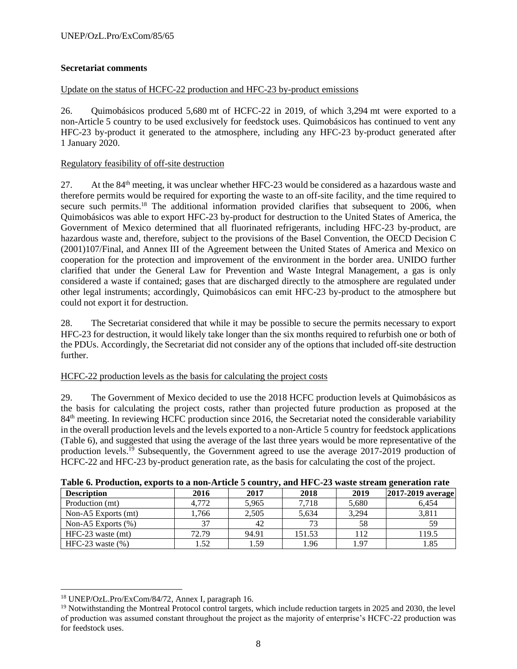### **Secretariat comments**

### Update on the status of HCFC-22 production and HFC-23 by-product emissions

26. Quimobásicos produced 5,680 mt of HCFC-22 in 2019, of which 3,294 mt were exported to a non-Article 5 country to be used exclusively for feedstock uses. Quimobásicos has continued to vent any HFC-23 by-product it generated to the atmosphere, including any HFC-23 by-product generated after 1 January 2020.

### Regulatory feasibility of off-site destruction

27. At the 84<sup>th</sup> meeting, it was unclear whether HFC-23 would be considered as a hazardous waste and therefore permits would be required for exporting the waste to an off-site facility, and the time required to secure such permits.<sup>18</sup> The additional information provided clarifies that subsequent to 2006, when Quimobásicos was able to export HFC-23 by-product for destruction to the United States of America, the Government of Mexico determined that all fluorinated refrigerants, including HFC-23 by-product, are hazardous waste and, therefore, subject to the provisions of the Basel Convention, the OECD Decision C (2001)107/Final, and Annex III of the Agreement between the United States of America and Mexico on cooperation for the protection and improvement of the environment in the border area. UNIDO further clarified that under the General Law for Prevention and Waste Integral Management, a gas is only considered a waste if contained; gases that are discharged directly to the atmosphere are regulated under other legal instruments; accordingly, Quimobásicos can emit HFC-23 by-product to the atmosphere but could not export it for destruction.

28. The Secretariat considered that while it may be possible to secure the permits necessary to export HFC-23 for destruction, it would likely take longer than the six months required to refurbish one or both of the PDUs. Accordingly, the Secretariat did not consider any of the options that included off-site destruction further.

### HCFC-22 production levels as the basis for calculating the project costs

29. The Government of Mexico decided to use the 2018 HCFC production levels at Quimobásicos as the basis for calculating the project costs, rather than projected future production as proposed at the 84<sup>th</sup> meeting. In reviewing HCFC production since 2016, the Secretariat noted the considerable variability in the overall production levels and the levels exported to a non-Article 5 country for feedstock applications (Table 6), and suggested that using the average of the last three years would be more representative of the production levels.<sup>19</sup> Subsequently, the Government agreed to use the average 2017-2019 production of HCFC-22 and HFC-23 by-product generation rate, as the basis for calculating the cost of the project.

| THEN OF THE CONSENSULT CHOICE TO BE THE THE VILLE OF COMMUNITY CHOICE OF THE VEHICLE SERVED MEDICINE THREE |       |       |        |       |                   |
|------------------------------------------------------------------------------------------------------------|-------|-------|--------|-------|-------------------|
| <b>Description</b>                                                                                         | 2016  | 2017  | 2018   | 2019  | 2017-2019 average |
| Production (mt)                                                                                            | 4.772 | 5,965 | 7,718  | 5,680 | 6,454             |
| Non-A5 Exports (mt)                                                                                        | .766  | 2,505 | 5,634  | 3.294 | 3,811             |
| Non-A5 Exports $(\%)$                                                                                      |       | 42    | 73     | 58    | 59                |
| $HFC-23$ waste (mt)                                                                                        | 72.79 | 94.91 | 151.53 | 112   | 119.5             |
| HFC-23 waste $(\% )$                                                                                       | 1.52  | 1.59  | 1.96   | 1.97  | 1.85              |

### **Table 6. Production, exports to a non-Article 5 country, and HFC-23 waste stream generation rate**

<sup>18</sup> UNEP/OzL.Pro/ExCom/84/72, Annex I, paragraph 16.

<sup>19</sup> Notwithstanding the Montreal Protocol control targets, which include reduction targets in 2025 and 2030, the level of production was assumed constant throughout the project as the majority of enterprise's HCFC-22 production was for feedstock uses.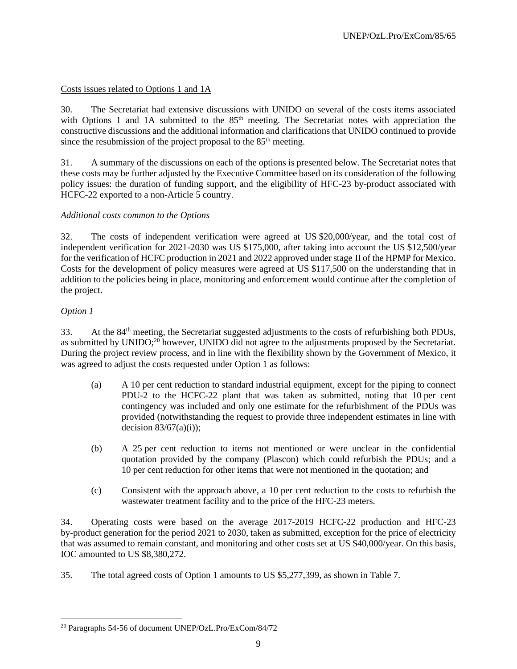### Costs issues related to Options 1 and 1A

30. The Secretariat had extensive discussions with UNIDO on several of the costs items associated with Options 1 and 1A submitted to the 85<sup>th</sup> meeting. The Secretariat notes with appreciation the constructive discussions and the additional information and clarifications that UNIDO continued to provide since the resubmission of the project proposal to the  $85<sup>th</sup>$  meeting.

31. A summary of the discussions on each of the options is presented below. The Secretariat notes that these costs may be further adjusted by the Executive Committee based on its consideration of the following policy issues: the duration of funding support, and the eligibility of HFC-23 by-product associated with HCFC-22 exported to a non-Article 5 country.

### *Additional costs common to the Options*

32. The costs of independent verification were agreed at US \$20,000/year, and the total cost of independent verification for 2021-2030 was US \$175,000, after taking into account the US \$12,500/year for the verification of HCFC production in 2021 and 2022 approved under stage II of the HPMP for Mexico. Costs for the development of policy measures were agreed at US \$117,500 on the understanding that in addition to the policies being in place, monitoring and enforcement would continue after the completion of the project.

### *Option 1*

33. At the 84th meeting, the Secretariat suggested adjustments to the costs of refurbishing both PDUs, as submitted by UNIDO;<sup>20</sup> however, UNIDO did not agree to the adjustments proposed by the Secretariat. During the project review process, and in line with the flexibility shown by the Government of Mexico, it was agreed to adjust the costs requested under Option 1 as follows:

- (a) A 10 per cent reduction to standard industrial equipment, except for the piping to connect PDU-2 to the HCFC-22 plant that was taken as submitted, noting that 10 per cent contingency was included and only one estimate for the refurbishment of the PDUs was provided (notwithstanding the request to provide three independent estimates in line with decision  $83/67(a)(i)$ ;
- (b) A 25 per cent reduction to items not mentioned or were unclear in the confidential quotation provided by the company (Plascon) which could refurbish the PDUs; and a 10 per cent reduction for other items that were not mentioned in the quotation; and
- (c) Consistent with the approach above, a 10 per cent reduction to the costs to refurbish the wastewater treatment facility and to the price of the HFC-23 meters.

34. Operating costs were based on the average 2017-2019 HCFC-22 production and HFC-23 by-product generation for the period 2021 to 2030, taken as submitted, exception for the price of electricity that was assumed to remain constant, and monitoring and other costs set at US \$40,000/year. On this basis, IOC amounted to US \$8,380,272.

35. The total agreed costs of Option 1 amounts to US \$5,277,399, as shown in Table 7.

<sup>20</sup> Paragraphs 54-56 of document UNEP/OzL.Pro/ExCom/84/72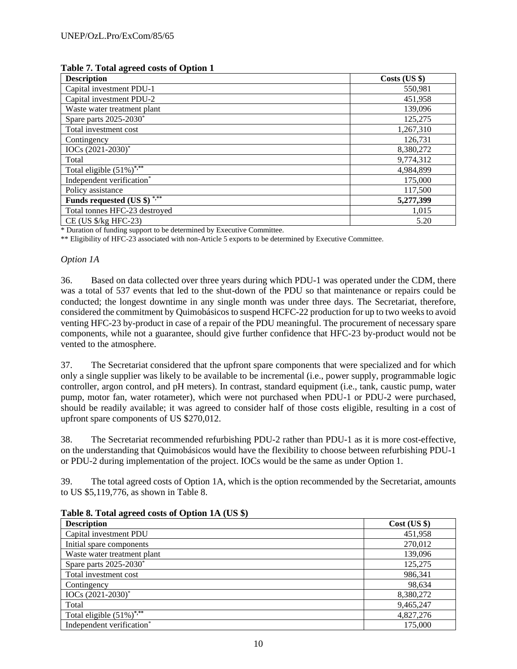| <b>Description</b>                                  | $Costs$ (US $$$ ) |
|-----------------------------------------------------|-------------------|
| Capital investment PDU-1                            | 550,981           |
| Capital investment PDU-2                            | 451,958           |
| Waste water treatment plant                         | 139,096           |
| Spare parts 2025-2030*                              | 125,275           |
| Total investment cost                               | 1,267,310         |
| Contingency                                         | 126,731           |
| $IOCs (2021-2030)*$                                 | 8,380,272         |
| Total                                               | 9,774,312         |
| Total eligible $(51\%)$ <sup>***</sup>              | 4,984,899         |
| Independent verification*                           | 175,000           |
| Policy assistance                                   | 117,500           |
| Funds requested (US $\frac{1}{2}$ ) <sup>****</sup> | 5,277,399         |
| Total tonnes HFC-23 destroyed                       | 1,015             |
| $CE$ (US $\frac{6}{2}$ HFC-23)                      | 5.20              |

#### **Table 7. Total agreed costs of Option 1**

\* Duration of funding support to be determined by Executive Committee.

\*\* Eligibility of HFC-23 associated with non-Article 5 exports to be determined by Executive Committee.

#### *Option 1A*

36. Based on data collected over three years during which PDU-1 was operated under the CDM, there was a total of 537 events that led to the shut-down of the PDU so that maintenance or repairs could be conducted; the longest downtime in any single month was under three days. The Secretariat, therefore, considered the commitment by Quimobásicos to suspend HCFC-22 production for up to two weeks to avoid venting HFC-23 by-product in case of a repair of the PDU meaningful. The procurement of necessary spare components, while not a guarantee, should give further confidence that HFC-23 by-product would not be vented to the atmosphere.

37. The Secretariat considered that the upfront spare components that were specialized and for which only a single supplier was likely to be available to be incremental (i.e., power supply, programmable logic controller, argon control, and pH meters). In contrast, standard equipment (i.e., tank, caustic pump, water pump, motor fan, water rotameter), which were not purchased when PDU-1 or PDU-2 were purchased, should be readily available; it was agreed to consider half of those costs eligible, resulting in a cost of upfront spare components of US \$270,012.

38. The Secretariat recommended refurbishing PDU-2 rather than PDU-1 as it is more cost-effective, on the understanding that Quimobásicos would have the flexibility to choose between refurbishing PDU-1 or PDU-2 during implementation of the project. IOCs would be the same as under Option 1.

39. The total agreed costs of Option 1A, which is the option recommended by the Secretariat, amounts to US \$5,119,776, as shown in Table 8.

| <b>Description</b>                     | $Cost$ (US $\})$ |
|----------------------------------------|------------------|
| Capital investment PDU                 | 451,958          |
| Initial spare components               | 270,012          |
| Waste water treatment plant            | 139,096          |
| Spare parts 2025-2030 <sup>*</sup>     | 125,275          |
| Total investment cost                  | 986,341          |
| Contingency                            | 98,634           |
| $IOCs (2021-2030)*$                    | 8,380,272        |
| Total                                  | 9,465,247        |
| Total eligible $(51\%)$ <sup>***</sup> | 4,827,276        |
| Independent verification*              | 175,000          |

**Table 8. Total agreed costs of Option 1A (US \$)**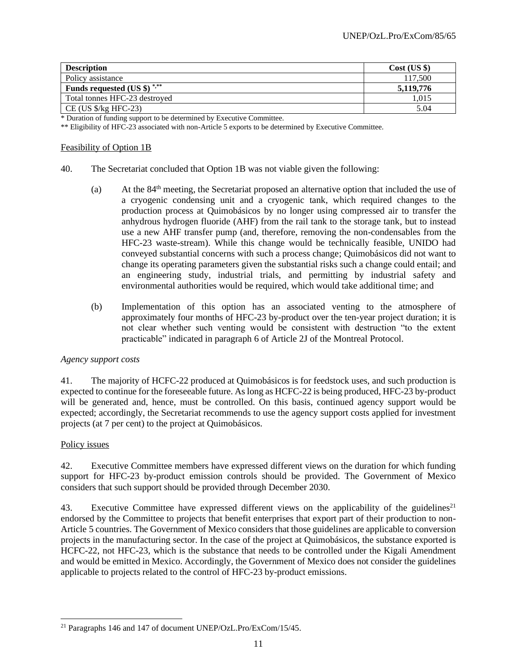| <b>Description</b>                        | Cost (US \$) |
|-------------------------------------------|--------------|
| Policy assistance                         | 117,500      |
| Funds requested $(US \$ ) <sup>*,**</sup> | 5,119,776    |
| Total tonnes HFC-23 destroyed             | 1.015        |
| $CE$ (US $\frac{1}{2}$ Kg HFC-23)         | 5.04         |

\* Duration of funding support to be determined by Executive Committee.

\*\* Eligibility of HFC-23 associated with non-Article 5 exports to be determined by Executive Committee.

#### Feasibility of Option 1B

- 40. The Secretariat concluded that Option 1B was not viable given the following:
	- (a) At the  $84<sup>th</sup>$  meeting, the Secretariat proposed an alternative option that included the use of a cryogenic condensing unit and a cryogenic tank, which required changes to the production process at Quimobásicos by no longer using compressed air to transfer the anhydrous hydrogen fluoride (AHF) from the rail tank to the storage tank, but to instead use a new AHF transfer pump (and, therefore, removing the non-condensables from the HFC-23 waste-stream). While this change would be technically feasible, UNIDO had conveyed substantial concerns with such a process change; Quimobásicos did not want to change its operating parameters given the substantial risks such a change could entail; and an engineering study, industrial trials, and permitting by industrial safety and environmental authorities would be required, which would take additional time; and
	- (b) Implementation of this option has an associated venting to the atmosphere of approximately four months of HFC-23 by-product over the ten-year project duration; it is not clear whether such venting would be consistent with destruction "to the extent practicable" indicated in paragraph 6 of Article 2J of the Montreal Protocol.

### *Agency support costs*

41. The majority of HCFC-22 produced at Quimobásicos is for feedstock uses, and such production is expected to continue for the foreseeable future. As long as HCFC-22 is being produced, HFC-23 by-product will be generated and, hence, must be controlled. On this basis, continued agency support would be expected; accordingly, the Secretariat recommends to use the agency support costs applied for investment projects (at 7 per cent) to the project at Quimobásicos.

### Policy issues

42. Executive Committee members have expressed different views on the duration for which funding support for HFC-23 by-product emission controls should be provided. The Government of Mexico considers that such support should be provided through December 2030.

43. Executive Committee have expressed different views on the applicability of the guidelines<sup>21</sup> endorsed by the Committee to projects that benefit enterprises that export part of their production to non-Article 5 countries. The Government of Mexico considers that those guidelines are applicable to conversion projects in the manufacturing sector. In the case of the project at Quimobásicos, the substance exported is HCFC-22, not HFC-23, which is the substance that needs to be controlled under the Kigali Amendment and would be emitted in Mexico. Accordingly, the Government of Mexico does not consider the guidelines applicable to projects related to the control of HFC-23 by-product emissions.

<sup>21</sup> Paragraphs 146 and 147 of document UNEP/OzL.Pro/ExCom/15/45.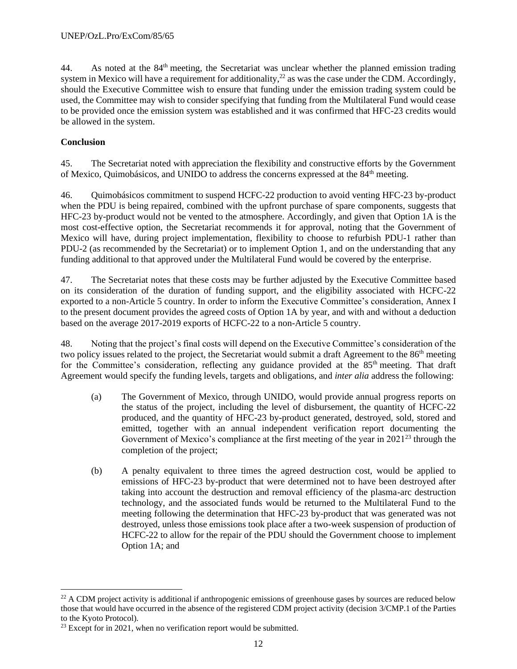44. As noted at the 84<sup>th</sup> meeting, the Secretariat was unclear whether the planned emission trading system in Mexico will have a requirement for additionality,<sup>22</sup> as was the case under the CDM. Accordingly, should the Executive Committee wish to ensure that funding under the emission trading system could be used, the Committee may wish to consider specifying that funding from the Multilateral Fund would cease to be provided once the emission system was established and it was confirmed that HFC-23 credits would be allowed in the system.

### **Conclusion**

45. The Secretariat noted with appreciation the flexibility and constructive efforts by the Government of Mexico, Quimobásicos, and UNIDO to address the concerns expressed at the 84<sup>th</sup> meeting.

46. Quimobásicos commitment to suspend HCFC-22 production to avoid venting HFC-23 by-product when the PDU is being repaired, combined with the upfront purchase of spare components, suggests that HFC-23 by-product would not be vented to the atmosphere. Accordingly, and given that Option 1A is the most cost-effective option, the Secretariat recommends it for approval, noting that the Government of Mexico will have, during project implementation, flexibility to choose to refurbish PDU-1 rather than PDU-2 (as recommended by the Secretariat) or to implement Option 1, and on the understanding that any funding additional to that approved under the Multilateral Fund would be covered by the enterprise.

47. The Secretariat notes that these costs may be further adjusted by the Executive Committee based on its consideration of the duration of funding support, and the eligibility associated with HCFC-22 exported to a non-Article 5 country. In order to inform the Executive Committee's consideration, Annex I to the present document provides the agreed costs of Option 1A by year, and with and without a deduction based on the average 2017-2019 exports of HCFC-22 to a non-Article 5 country.

48. Noting that the project's final costs will depend on the Executive Committee's consideration of the two policy issues related to the project, the Secretariat would submit a draft Agreement to the 86<sup>th</sup> meeting for the Committee's consideration, reflecting any guidance provided at the 85<sup>th</sup> meeting. That draft Agreement would specify the funding levels, targets and obligations, and *inter alia* address the following:

- (a) The Government of Mexico, through UNIDO, would provide annual progress reports on the status of the project, including the level of disbursement, the quantity of HCFC-22 produced, and the quantity of HFC-23 by-product generated, destroyed, sold, stored and emitted, together with an annual independent verification report documenting the Government of Mexico's compliance at the first meeting of the year in 2021<sup>23</sup> through the completion of the project;
- (b) A penalty equivalent to three times the agreed destruction cost, would be applied to emissions of HFC-23 by-product that were determined not to have been destroyed after taking into account the destruction and removal efficiency of the plasma-arc destruction technology, and the associated funds would be returned to the Multilateral Fund to the meeting following the determination that HFC-23 by-product that was generated was not destroyed, unless those emissions took place after a two-week suspension of production of HCFC-22 to allow for the repair of the PDU should the Government choose to implement Option 1A; and

<sup>&</sup>lt;sup>22</sup> A CDM project activity is additional if anthropogenic emissions of greenhouse gases by sources are reduced below those that would have occurred in the absence of the registered CDM project activity (decision 3/CMP.1 of the Parties to the Kyoto Protocol).

 $23$  Except for in 2021, when no verification report would be submitted.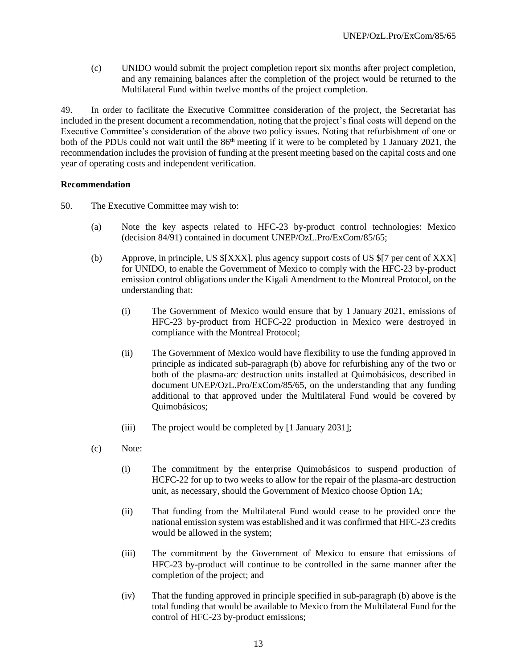(c) UNIDO would submit the project completion report six months after project completion, and any remaining balances after the completion of the project would be returned to the Multilateral Fund within twelve months of the project completion.

49. In order to facilitate the Executive Committee consideration of the project, the Secretariat has included in the present document a recommendation, noting that the project's final costs will depend on the Executive Committee's consideration of the above two policy issues. Noting that refurbishment of one or both of the PDUs could not wait until the  $86<sup>th</sup>$  meeting if it were to be completed by 1 January 2021, the recommendation includes the provision of funding at the present meeting based on the capital costs and one year of operating costs and independent verification.

### **Recommendation**

- 50. The Executive Committee may wish to:
	- (a) Note the key aspects related to HFC-23 by-product control technologies: Mexico (decision 84/91) contained in document UNEP/OzL.Pro/ExCom/85/65;
	- (b) Approve, in principle, US \$[XXX], plus agency support costs of US \$[7 per cent of XXX] for UNIDO, to enable the Government of Mexico to comply with the HFC-23 by-product emission control obligations under the Kigali Amendment to the Montreal Protocol, on the understanding that:
		- (i) The Government of Mexico would ensure that by 1 January 2021, emissions of HFC-23 by-product from HCFC-22 production in Mexico were destroyed in compliance with the Montreal Protocol;
		- (ii) The Government of Mexico would have flexibility to use the funding approved in principle as indicated sub-paragraph (b) above for refurbishing any of the two or both of the plasma-arc destruction units installed at Quimobásicos, described in document UNEP/OzL.Pro/ExCom/85/65, on the understanding that any funding additional to that approved under the Multilateral Fund would be covered by Quimobásicos;
		- (iii) The project would be completed by [1 January 2031];
	- (c) Note:
		- (i) The commitment by the enterprise Quimobásicos to suspend production of HCFC-22 for up to two weeks to allow for the repair of the plasma-arc destruction unit, as necessary, should the Government of Mexico choose Option 1A;
		- (ii) That funding from the Multilateral Fund would cease to be provided once the national emission system was established and it was confirmed that HFC-23 credits would be allowed in the system;
		- (iii) The commitment by the Government of Mexico to ensure that emissions of HFC-23 by-product will continue to be controlled in the same manner after the completion of the project; and
		- (iv) That the funding approved in principle specified in sub-paragraph (b) above is the total funding that would be available to Mexico from the Multilateral Fund for the control of HFC-23 by-product emissions;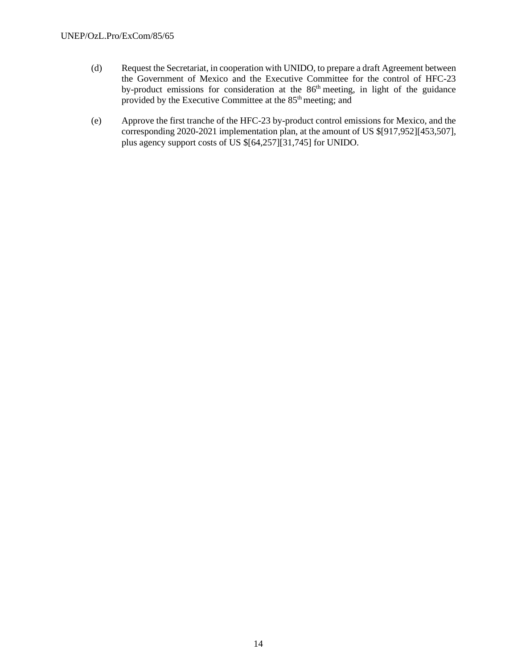- (d) Request the Secretariat, in cooperation with UNIDO, to prepare a draft Agreement between the Government of Mexico and the Executive Committee for the control of HFC-23 by-product emissions for consideration at the 86<sup>th</sup> meeting, in light of the guidance provided by the Executive Committee at the  $85<sup>th</sup>$  meeting; and
- (e) Approve the first tranche of the HFC-23 by-product control emissions for Mexico, and the corresponding 2020-2021 implementation plan, at the amount of US \$[917,952][453,507], plus agency support costs of US \$[64,257][31,745] for UNIDO.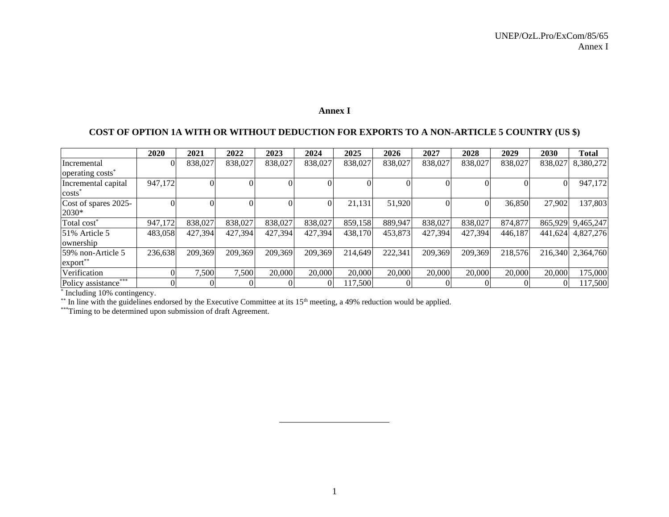### **Annex I**

## **COST OF OPTION 1A WITH OR WITHOUT DEDUCTION FOR EXPORTS TO A NON-ARTICLE 5 COUNTRY (US \$)**

|                                                        | 2020     | 2021     | 2022     | 2023    | 2024     | 2025     | 2026     | 2027    | 2028     | 2029    | 2030     | <b>Total</b> |
|--------------------------------------------------------|----------|----------|----------|---------|----------|----------|----------|---------|----------|---------|----------|--------------|
| Incremental                                            | $\Omega$ | 838,027  | 838,027  | 838,027 | 838,027  | 838,027  | 838,027  | 838,027 | 838,027  | 838,027 | 838,027  | 8,380,272    |
| operating costs <sup>*</sup>                           |          |          |          |         |          |          |          |         |          |         |          |              |
| Incremental capital                                    | 947,172  | $\Omega$ |          |         |          | $\Omega$ |          |         |          |         | $\Omega$ | 947,172      |
| $costs$ <sup><math>\overline{\phantom{a}}</math></sup> |          |          |          |         |          |          |          |         |          |         |          |              |
| Cost of spares 2025-                                   |          | $\Omega$ | $\Omega$ | ΩI      | $\Omega$ | 21,131   | 51,920   |         | $\Omega$ | 36,850  | 27,902   | 137,803      |
| 2030*                                                  |          |          |          |         |          |          |          |         |          |         |          |              |
| Total cost <sup>*</sup>                                | 947.172  | 838,027  | 838,027  | 838,027 | 838,027  | 859,158  | 889,947  | 838,027 | 838,027  | 874,877 | 865,929  | 9,465,247    |
| 51% Article 5                                          | 483,058  | 427,394  | 427,394  | 427,394 | 427,394  | 438,170  | 453,873  | 427,394 | 427,394  | 446,187 | 441,624  | 4,827,276    |
| ownership                                              |          |          |          |         |          |          |          |         |          |         |          |              |
| 59% non-Article 5                                      | 236,638  | 209,369  | 209,369  | 209,369 | 209,369  | 214,649  | 222,341  | 209,369 | 209,369  | 218,576 | 216,340  | 2,364,760    |
| $\export$                                              |          |          |          |         |          |          |          |         |          |         |          |              |
| Verification                                           |          | 7,500    | 7,500    | 20,000  | 20,000   | 20,000   | 20,000   | 20,000  | 20,000   | 20,000  | 20,000   | 175,000      |
| Policy assistance***                                   | $\Omega$ | $\Omega$ | $\Omega$ |         | $\Omega$ | 117,500  | $\Omega$ |         |          |         |          | 117,500      |
| Including 10% contingency.                             |          |          |          |         |          |          |          |         |          |         |          |              |

\*\* In line with the guidelines endorsed by the Executive Committee at its  $15<sup>th</sup>$  meeting, a 49% reduction would be applied.

\*\*\*Timing to be determined upon submission of draft Agreement.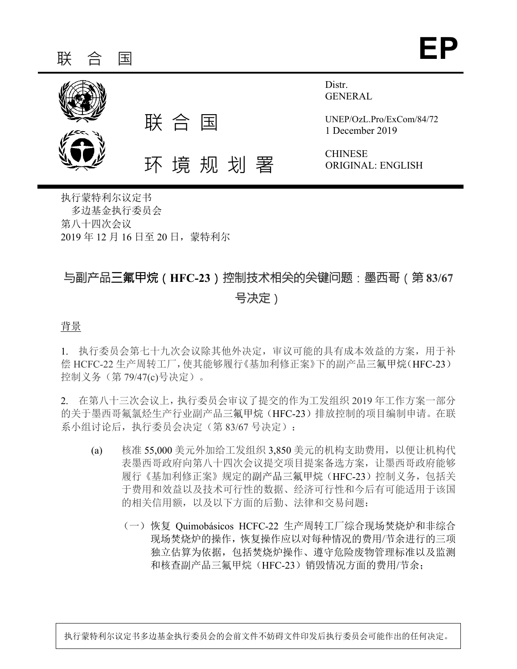

执行蒙特利尔议定书 多边基金执行委员会 第八十四次会议 2019 年 12 月 16 日至 20 日,蒙特利尔

# 与副产品三氟甲烷(**HFC-23**)控制技术相关的关键问题:墨西哥(第 **83/67** 号决定)

背景

1. 执行委员会第七十九次会议除其他外决定,审议可能的具有成本效益的方案,用于补 偿 HCFC-22 生产周转工厂,使其能够履行《基加利修正案》下的副产品三氟甲烷(HFC-23) 控制义务(第 79/47(c)号决定)。

2. 在第八十三次会议上,执行委员会审议了提交的作为工发组织 2019 年工作方案一部分 的关于墨西哥氟氯烃生产行业副产品三氟甲烷(HFC-23)排放控制的项目编制申请。在联 系小组讨论后,执行委员会决定(第 83/67 号决定):

- (a) 核准 55,000 美元外加给工发组织 3,850 美元的机构支助费用,以便让机构代 表墨西哥政府向第八十四次会议提交项目提案备选方案,让墨西哥政府能够 履行《基加利修正案》规定的副产品三氟甲烷(HFC-23)控制义务,包括关 于费用和效益以及技术可行性的数据、经济可行性和今后有可能适用于该国 的相关信用额,以及以下方面的后勤、法律和交易问题:
	- (一)恢复 Quimobásicos HCFC-22 生产周转工厂综合现场焚烧炉和非综合 现场焚烧炉的操作,恢复操作应以对每种情况的费用/节余进行的三项 独立估算为依据,包括焚烧炉操作、遵守危险废物管理标准以及监测 和核查副产品三氟甲烷(HFC-23)销毁情况方面的费用/节余;

执行蒙特利尔议定书多边基金执行委员会的会前文件不妨碍文件印发后执行委员会可能作出的任何决定。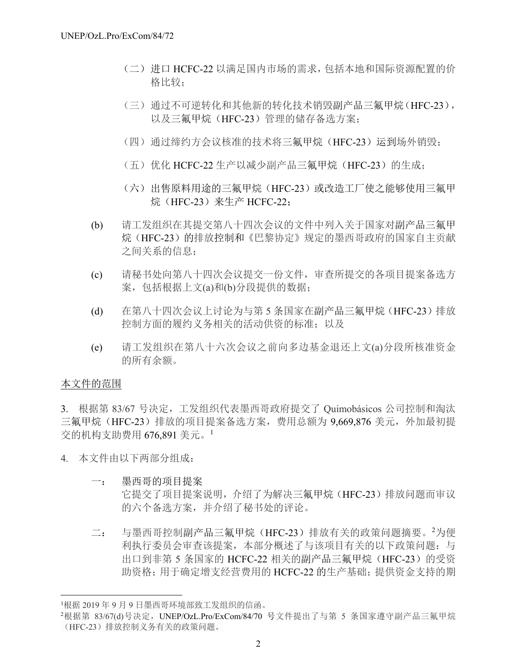- (二)进口 HCFC-22 以满足国内市场的需求,包括本地和国际资源配置的价 格比较;
- (三)通过不可逆转化和其他新的转化技术销毁副产品三氟甲烷(HFC-23), 以及三氟甲烷(HFC-23)管理的储存备选方案;
- (四)通过缔约方会议核准的技术将三氟甲烷(HFC-23)运到场外销毁;
- (五)优化 HCFC-22 生产以减少副产品三氟甲烷(HFC-23)的生成;
- (六)出售原料用途的三氟甲烷(HFC-23)或改造工厂使之能够使用三氟甲 烷(HFC-23)来生产 HCFC-22;
- (b) 请工发组织在其提交第八十四次会议的文件中列入关于国家对副产品三氟甲 烷(HFC-23)的排放控制和《巴黎协定》规定的墨西哥政府的国家自主贡献 之间关系的信息;
- (c) 请秘书处向第八十四次会议提交一份文件,审查所提交的各项目提案备选方 案,包括根据上文(a)和(b)分段提供的数据;
- (d) 在第八十四次会议上讨论为与第 5 条国家在副产品三氟甲烷(HFC-23)排放 控制方面的履约义务相关的活动供资的标准;以及
- (e) 请工发组织在第八十六次会议之前向多边基金退还上文(a)分段所核准资金 的所有余额。

## 本文件的范围

l

3. 根据第 83/67 号决定,工发组织代表墨西哥政府提交了 Quimobásicos 公司控制和淘汰 三氟甲烷(HFC-23)排放的项目提案备选方案,费用总额为 9,669,876 美元, 外加最初提 交的机构支助费用 676,891 美元。<sup>1</sup>

- 4. 本文件由以下两部分组成:
	- 一: 墨西哥的项目提案
		- 它提交了项目提案说明,介绍了为解决三氟甲烷(HFC-23)排放问题而审议 的六个备选方案,并介绍了秘书处的评论。
	- 二: 与墨西哥控制副产品三氟甲烷 (HFC-23) 排放有关的政策问题摘要。2为便 利执行委员会审查该提案,本部分概述了与该项目有关的以下政策问题:与 出口到非第 5 条国家的 HCFC-22 相关的副产品三氟甲烷 (HFC-23) 的受资 助资格;用于确定增支经营费用的 HCFC-22 的生产基础;提供资金支持的期

<sup>1</sup> 根据 2019 年 9 月 9 日墨西哥环境部致工发组织的信函。

<sup>2</sup>根据第 83/67(d)号决定,UNEP/OzL.Pro/ExCom/84/70 号文件提出了与第 5 条国家遵守副产品三氟甲烷 (HFC-23)排放控制义务有关的政策问题。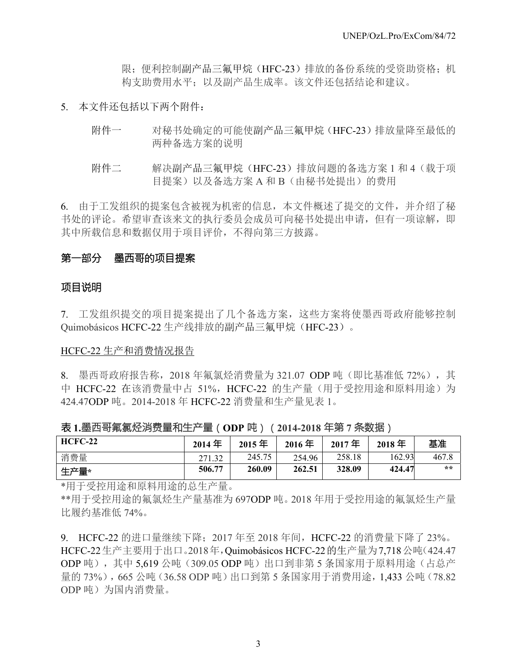限; 便利控制副产品三氟甲烷(HFC-23)排放的备份系统的受资助资格;机 构支助费用水平;以及副产品生成率。该文件还包括结论和建议。

### 5. 本文件还包括以下两个附件:

- 附件一 对秘书处确定的可能使副产品三氟甲烷(HFC-23)排放量降至最低的 两种备选方案的说明
- 附件二 解决副产品三氟甲烷(HFC-23)排放问题的备选方案 1 和 4(载于项 目提案)以及备选方案 A 和 B (由秘书处提出) 的费用

6. 由于工发组织的提案包含被视为机密的信息,本文件概述了提交的文件,并介绍了秘 书处的评论。希望审查该来文的执行委员会成员可向秘书处提出申请,但有一项谅解,即 其中所载信息和数据仅用于项目评价,不得向第三方披露。

### 第一部分 墨西哥的项目提案

### 项目说明

7. 工发组织提交的项目提案提出了几个备选方案,这些方案将使墨西哥政府能够控制 Quimobásicos HCFC-22 生产线排放的副产品三氟甲烷(HFC-23)。

#### HCFC-22 生产和消费情况报告

8. 墨西哥政府报告称, 2018年氟氯烃消费量为 321.07 ODP 吨(即比基准低 72%), 其 中 HCFC-22 在该消费量中占 51%, HCFC-22 的生产量(用于受控用途和原料用途)为 424.47ODP 吨。2014-2018 年 HCFC-22 消费量和生产量见表 1。

表 **1.**墨西哥氟氯烃消费量和生产量(**ODP** 吨)(**2014-2018** 年第 **7** 条数据)

| $HCFC-22$ | $2014$ 年 | $2015$ 年 | 2016年  | $2017$ 年 | $2018$ 年 | 基准    |
|-----------|----------|----------|--------|----------|----------|-------|
| 消费量       | 271.32   | 245.75   | 254.96 | 258.18   | 162.93   | 467.8 |
| 生产量*      | 506.77   | 260.09   | 262.51 | 328.09   | 424.47   | $* *$ |

\*用于受控用途和原料用途的总生产量。

\*\*用于受控用途的氟氯烃生产量基准为 697ODP 吨。2018 年用于受控用途的氟氯烃生产量 比履约基准低 74%。

9. HCFC-22 的进口量继续下降;2017 年至 2018 年间,HCFC-22 的消费量下降了 23%。 HCFC-22生产主要用于出口。2018年,Quimobásicos HCFC-22的生产量为7,718公吨(424.47 ODP 吨),其中 5,619 公吨(309.05 ODP 吨)出口到非第 5 条国家用于原料用途(占总产 量的 73%), 665 公吨(36.58 ODP 吨)出口到第 5 条国家用于消费用途, 1.433 公吨(78.82) ODP 吨)为国内消费量。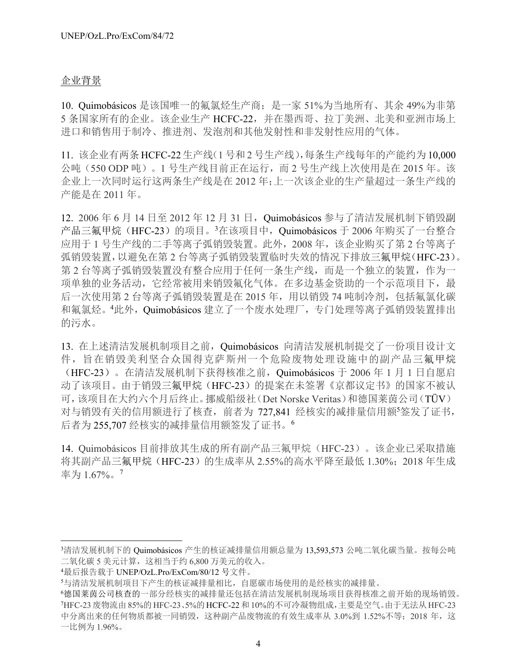## 企业背景

10. Quimobásicos 是该国唯一的氟氯烃生产商;是一家 51%为当地所有、其余 49%为非第 5 条国家所有的企业。该企业生产 HCFC-22,并在墨西哥、拉丁美洲、北美和亚洲市场上 进口和销售用于制冷、推进剂、发泡剂和其他发射性和非发射性应用的气体。

11. 该企业有两条 HCFC-22 生产线(1 号和 2 号生产线),每条生产线每年的产能约为 10,000 公吨(550 ODP 吨)。1 号生产线目前正在运行,而 2 号生产线上次使用是在 2015 年。该 企业上一次同时运行这两条生产线是在 2012 年;上一次该企业的生产量超过一条生产线的 产能是在 2011 年。

12. 2006年 6 月 14 日至 2012 年 12 月 31 日, Quimobásicos 参与了清洁发展机制下销毁副 产品三氟甲烷(HFC-23)的项目。<sup>3</sup>在该项目中, Quimobásicos 于 2006 年购买了一台整合 应用于 1 号生产线的二手等离子弧销毁装置。此外, 2008 年, 该企业购买了第 2 台等离子 弧销毁装置,以避免在第 2 台等离子弧销毁装置临时失效的情况下排放三氟甲烷(HFC-23)。 第 2 台等离子弧销毁装置没有整合应用于任何一条生产线,而是一个独立的装置,作为一 项单独的业务活动,它经常被用来销毁氟化气体。在多边基金资助的一个示范项目下,最 后一次使用第 2 台等离子弧销毁装置是在 2015 年, 用以销毁 74 吨制冷剂, 包括氟氯化碳 和氟氯烃。4此外, Quimobásicos 建立了一个废水处理厂, 专门处理等离子弧销毁装置排出 的污水。

13. 在上述清洁发展机制项目之前,Quimobásicos 向清洁发展机制提交了一份项目设计文 件,旨在销毁美利坚合众国得克萨斯州一个危险废物处理设施中的副产品三氟甲烷 (HFC-23)。在清洁发展机制下获得核准之前,Quimobásicos 于 2006 年 1 月 1 日自愿启 动了该项目。由于销毁三氟甲烷(HFC-23)的提案在未签署《京都议定书》的国家不被认 可,该项目在大约六个月后终止。挪威船级社(Det Norske Veritas)和德国莱茵公司(TÜV) 对与销毁有关的信用额进行了核查,前者为 727,841 经核实的减排量信用额<sup>5</sup> 签发了证书, 后者为 255,707 经核实的减排量信用额签发了证书。<sup>6</sup>

14. Quimobásicos 目前排放其生成的所有副产品三氟甲烷(HFC-23)。该企业已采取措施 将其副产品三氟甲烷(HFC-23)的生成率从 2.55%的高水平降至最低 1.30%;2018 年生成 率为 1.67%。<sup>7</sup>

l

<sup>3</sup>清洁发展机制下的 Quimobásicos 产生的核证减排量信用额总量为 13,593,573 公吨二氧化碳当量。按每公吨 二氧化碳 5 美元计算,这相当于约 6,800 万美元的收入。

<sup>4</sup> 最后报告载于 UNEP/OzL.Pro/ExCom/80/12 号文件。

<sup>5</sup> 与清洁发展机制项目下产生的核证减排量相比,自愿碳市场使用的是经核实的减排量。

<sup>6</sup> 德国莱茵公司核查的一部分经核实的减排量还包括在清洁发展机制现场项目获得核准之前开始的现场销毁。 7 HFC-23废物流由 85%的 HFC-23、5%的 HCFC-22 和10%的不可冷凝物组成,主要是空气。由于无法从HFC-23 中分离出来的任何物质都被一同销毁,这种副产品废物流的有效生成率从 3.0%到 1.52%不等;2018 年,这 一比例为 1.96%。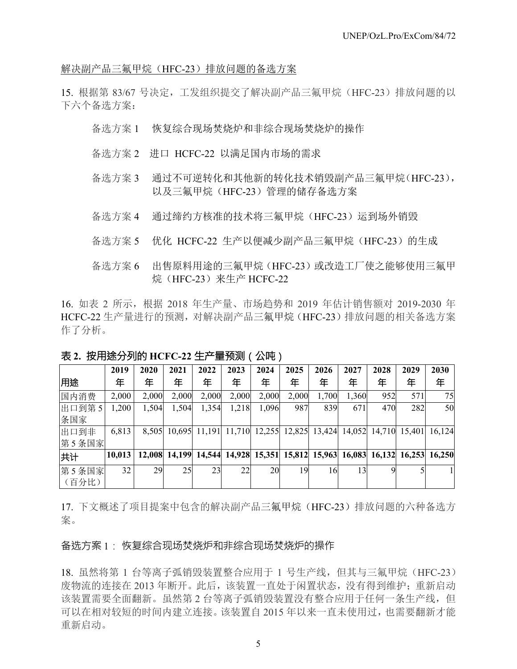解决副产品三氟甲烷(HFC-23)排放问题的备选方案

15. 根据第 83/67 号决定,工发组织提交了解决副产品三氟甲烷(HFC-23)排放问题的以 下六个备选方案:

- 备选方案 1 恢复综合现场焚烧炉和非综合现场焚烧炉的操作
- 备选方案 2 进口 HCFC-22 以满足国内市场的需求
- 备选方案 3 通过不可逆转化和其他新的转化技术销毁副产品三氟甲烷(HFC-23), 以及三氟甲烷(HFC-23)管理的储存备选方案
- 备选方案 4 通过缔约方核准的技术将三氟甲烷(HFC-23)运到场外销毁
- 备选方案 5 优化 HCFC-22 生产以便减少副产品三氟甲烷 (HFC-23) 的生成
- 备选方案 6 出售原料用途的三氟甲烷(HFC-23)或改造工厂使之能够使用三氟甲 烷(HFC-23)来生产 HCFC-22

16. 如表 2 所示,根据 2018 年生产量、市场趋势和 2019 年估计销售额对 2019-2030 年 HCFC-22 生产量进行的预测,对解决副产品三氟甲烷(HFC-23)排放问题的相关备选方案 作了分析。

|       | 2019   | 2020  | 2021                                                                         | 2022          | 2023  | 2024          | 2025   | 2026   | 2027   | 2028   | 2029   | 2030   |
|-------|--------|-------|------------------------------------------------------------------------------|---------------|-------|---------------|--------|--------|--------|--------|--------|--------|
| 用途    | 年      | 年     | 年                                                                            | 年             | 年     | 年             | 年      | 年      | 年      | 年      | 年      | 年      |
| 国内消费  | 2,000  | 2,000 | 2,000                                                                        | 2,000         | 2,000 | 2,000         | 2,000  | 1,700  | 1,360  | 952    | 571    | 75     |
| 出口到第5 | ,200   | 1,504 | 1,504                                                                        | 1,354         | 1,218 | 1,096         | 987    | 839    | 671    | 470    | 282    | 50     |
| 条国家   |        |       |                                                                              |               |       |               |        |        |        |        |        |        |
| 出口到非  | 6,813  | 8,505 |                                                                              | 10,695 11,191 |       | 11,710 12,255 | 12,825 | 13,424 | 14,052 | 14,710 | 15,401 | 16,124 |
| 第5条国家 |        |       |                                                                              |               |       |               |        |        |        |        |        |        |
| 共计    | 10,013 |       | 12,008 14,199 14,544 14,928 15,351 15,812 15,963 16,083 16,132 16,253 16,250 |               |       |               |        |        |        |        |        |        |
| 第5条国家 | 32     | 29    | 25                                                                           | 23            | 22    | 20            | 19     | 16     | 13     |        |        |        |
| (百分比) |        |       |                                                                              |               |       |               |        |        |        |        |        |        |

表 **2.** 按用途分列的 **HCFC-22** 生产量预测(公吨)

17. 下文概述了项目提案中包含的解决副产品三氟甲烷(HFC-23)排放问题的六种备选方 案。

### 备选方案 1: 恢复综合现场焚烧炉和非综合现场焚烧炉的操作

18. 虽然将第 1 台等离子弧销毁装置整合应用于 1 号生产线,但其与三氟甲烷(HFC-23) 废物流的连接在 2013 年断开。此后,该装置一直处于闲置状态,没有得到维护;重新启动 该装置需要全面翻新。虽然第 2 台等离子弧销毁装置没有整合应用于任何一条生产线, 但 可以在相对较短的时间内建立连接。该装置自 2015 年以来一直未使用过,也需要翻新才能 重新启动。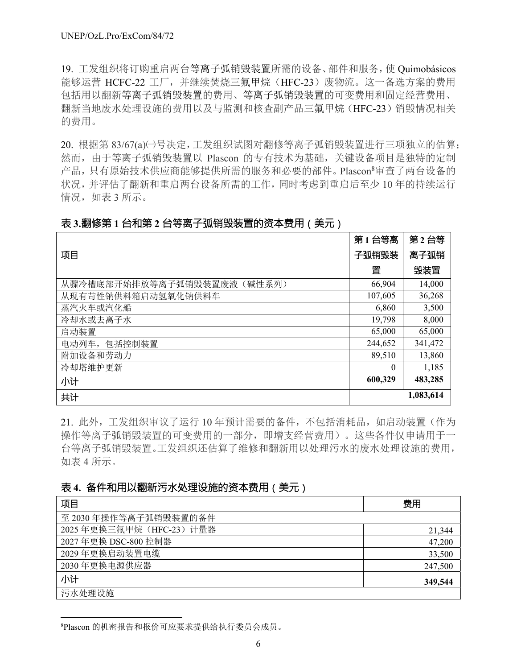19. 工发组织将订购重启两台等离子弧销毁装置所需的设备、部件和服务,使 Quimobásicos 能够运营 HCFC-22 工厂, 并继续焚烧三氟甲烷 (HFC-23) 废物流。这一备选方案的费用 包括用以翻新等离子弧销毁装置的费用、等离子弧销毁装置的可变费用和固定经营费用、 翻新当地废水处理设施的费用以及与监测和核查副产品三氟甲烷(HFC-23)销毁情况相关 的费用。

20. 根据第 83/67(a)(→号决定,工发组织试图对翻修等离子弧销毁装置讲行三项独立的估算; 然而,由于等离子弧销毁装置以 Plascon 的专有技术为基础,关键设备项目是独特的定制 产品,只有原始技术供应商能够提供所需的服务和必要的部件。Plascon8 审查了两台设备的 状况,并评估了翻新和重启两台设备所需的工作,同时考虑到重启后至少 10 年的持续运行 情况,如表 3 所示。

## 表 **3.**翻修第 **1** 台和第 **2** 台等离子弧销毁装置的资本费用(美元)

|                                | 第1台等离    | 第2台等      |
|--------------------------------|----------|-----------|
| 项目                             | 子弧销毁装    | 离子弧销      |
|                                | 置        | 毁装置       |
| (碱性系列)<br>从骤冷槽底部开始排放等离子弧销毁装置废液 | 66,904   | 14,000    |
| 从现有苛性钠供料箱启动氢氧化钠供料车             | 107,605  | 36,268    |
| 蒸汽火车或汽化船                       | 6,860    | 3,500     |
| 冷却水或去离子水                       | 19,798   | 8,000     |
| 启动装置                           | 65,000   | 65,000    |
| 电动列车,包括控制装置                    | 244,652  | 341,472   |
| 附加设备和劳动力                       | 89,510   | 13,860    |
| 冷却塔维护更新                        | $\theta$ | 1,185     |
| 小计                             | 600,329  | 483,285   |
| 共计                             |          | 1,083,614 |

21. 此外,工发组织审议了运行 10 年预计需要的备件,不包括消耗品,如启动装置(作为 操作等离子弧销毁装置的可变费用的一部分,即增支经营费用)。这些备件仅申请用于一 台等离子弧销毁装置。工发组织还估算了维修和翻新用以处理污水的废水处理设施的费用, 如表 4 所示。

## 表 **4.** 备件和用以翻新污水处理设施的资本费用(美元)

| 项目                       | 费用      |
|--------------------------|---------|
| 至 2030年操作等离子弧销毁装置的备件     |         |
| 2025年更换三氟甲烷 (HFC-23) 计量器 | 21,344  |
| 2027年更换 DSC-800 控制器      | 47,200  |
| 2029年更换启动装置电缆            | 33,500  |
| 2030年更换电源供应器             | 247,500 |
| 小计                       | 349,544 |
| 污水处理设施                   |         |

8 Plascon 的机密报告和报价可应要求提供给执行委员会成员。

l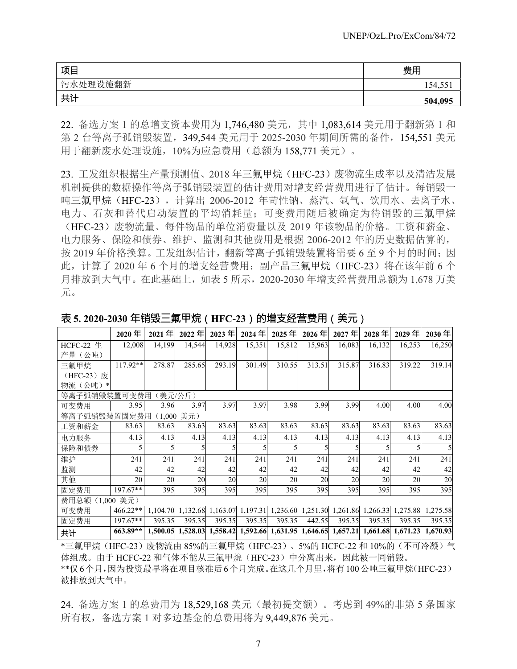| 项目       | 费用      |
|----------|---------|
| 污水处理设施翻新 | 154,55  |
| 共计       | 504,095 |

22. 备选方案 1 的总增支资本费用为 1,746,480 美元,其中 1,083,614 美元用于翻新第 1 和 第 2 台等离子孤销毁装置,349,544 美元用于 2025-2030 年期间所需的备件,154,551 美元 用于翻新废水处理设施,10%为应急费用(总额为 158,771 美元)。

23. 工发组织根据生产量预测值、2018 年三氟甲烷(HFC-23)废物流生成率以及清洁发展 机制提供的数据操作等离子弧销毁装置的估计费用对增支经营费用进行了估计。每销毁一 吨三氟甲烷(HFC-23),计算出 2006-2012 年苛性钠、蒸汽、氩气、饮用水、去离子水、 电力、石灰和替代启动装置的平均消耗量;可变费用随后被确定为待销毁的三氟甲烷 (HFC-23)废物流量、每件物品的单位消费量以及 2019 年该物品的价格。工资和薪金、 电力服务、保险和债券、维护、监测和其他费用是根据 2006-2012 年的历史数据估算的, 按 2019 年价格换算。工发组织估计,翻新等离子弧销毁装置将需要 6 至 9 个月的时间;因 此, 计算了 2020年6个月的增支经营费用;副产品三氟甲烷(HFC-23)将在该年前6个 月排放到大气中。在此基础上,如表 5 所示,2020-2030 年增支经营费用总额为 1,678 万美 元。

|               | 2020年      | 2021年    | 2022年      | 2023年    | 2024年    | 2025年  | $2026$ 年                   | 2027年  | 2028年  | 2029年                                                          | $2030$ 年 |
|---------------|------------|----------|------------|----------|----------|--------|----------------------------|--------|--------|----------------------------------------------------------------|----------|
| HCFC-22 $\pm$ | 12,008     | 14,199   | 14,544     | 14,928   | 15,351   | 15,812 | 15,963                     | 16,083 | 16,132 | 16,253                                                         | 16,250   |
| 产量(公吨)        |            |          |            |          |          |        |                            |        |        |                                                                |          |
| 三氟甲烷          | $117.92**$ | 278.87   | 285.65     | 293.19   | 301.49   | 310.55 | 313.51                     | 315.87 | 316.83 | 319.22                                                         | 319.14   |
| (HFC-23) 废    |            |          |            |          |          |        |                            |        |        |                                                                |          |
| 物流(公吨)<br>∗   |            |          |            |          |          |        |                            |        |        |                                                                |          |
| 等离子弧销毁装置可变费用  |            |          | (美元/公斤)    |          |          |        |                            |        |        |                                                                |          |
| 可变费用          | 3.95       | 3.96     | 3.97       | 3.97     | 3.97     | 3.98   | 3.99                       | 3.99   | 4.00   | 4.00                                                           | 4.00     |
| 等离子弧销毁装置固定费用  |            |          | (1,000 美元) |          |          |        |                            |        |        |                                                                |          |
| 工资和薪金         | 83.63      | 83.63    | 83.63      | 83.63    | 83.63    | 83.63  | 83.63                      | 83.63  | 83.63  | 83.63                                                          | 83.63    |
| 电力服务          | 4.13       | 4.13     | 4.13       | 4.13     | 4.13     | 4.13   | 4.13                       | 4.13   | 4.13   | 4.13                                                           | 4.13     |
| 保险和债券         |            |          |            |          |          |        |                            |        |        |                                                                |          |
| 维护            | 241        | 241      | 241        | 241      | 241      | 241    | 241                        | 241    | 241    | 241                                                            | 241      |
| 监测            | 42         | 42       | 42         | 42       | 42       | 42     | 42                         | 42     | 42     | 42                                                             | 42       |
| 其他            | 20         | 20       | 20         | 20       | 20       | 20     | 20                         | 20     | 20     | 20                                                             | 20       |
| 固定费用          | $197.67**$ | 395      | 395        | 395      | 395      | 395    | 395                        | 395    | 395    | 395                                                            | 395      |
| 费用总额          | (1,000 美元) |          |            |          |          |        |                            |        |        |                                                                |          |
| 可变费用          | 466.22**   | 1.104.70 | 1,132.68   | 1,163.07 | 1,197.31 |        | 1,236.60 1,251.30 1,261.86 |        |        | 1,266.33 1,275.88                                              | 1,275.58 |
| 固定费用          | $197.67**$ | 395.35   | 395.35     | 395.35   | 395.35   | 395.35 | 442.55                     | 395.35 | 395.35 | 395.35                                                         | 395.35   |
| 共计            | 663.89**   | 1,500.05 | 1,528.03   |          |          |        |                            |        |        | 1,558.42 1,592.66 1,631.95 1,646.65 1,657.21 1,661.68 1,671.23 | 1,670.93 |

### 表 **5. 2020-2030** 年销毁三氟甲烷(**HFC-23**)的增支经营费用(美元)

\*三氟甲烷(HFC-23)废物流由 85%的三氟甲烷(HFC-23)、5%的 HCFC-22 和 10%的(不可冷凝)气 体组成。由于 HCFC-22 和气体不能从三氟甲烷(HFC-23)中分离出来,因此被一同销毁。

\*\*仅6个月,因为投资最早将在项目核准后6个月完成。在这几个月里,将有100公吨三氟甲烷(HFC-23) 被排放到大气中。

24. 备选方案 1 的总费用为 18,529,168 美元(最初提交额)。考虑到 49%的非第 5 条国家 所有权,备选方案 1 对多边基金的总费用将为 9,449,876 美元。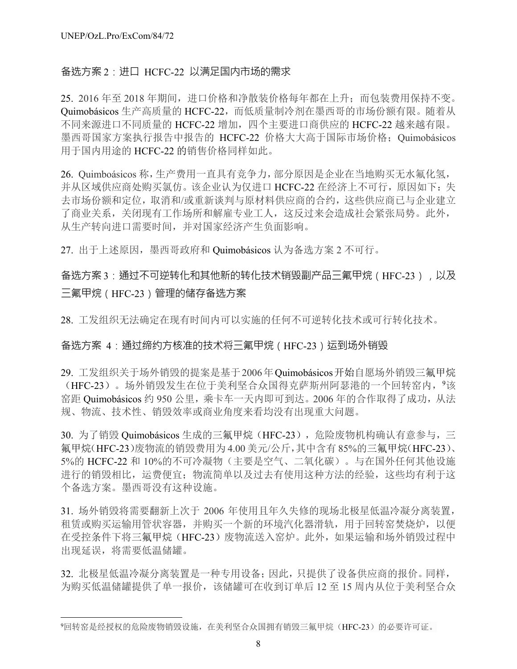l

## 备选方案 2:进口 HCFC-22 以满足国内市场的需求

25. 2016 年至 2018 年期间,进口价格和净散装价格每年都在上升;而包装费用保持不变。 Quimobásicos 生产高质量的 HCFC-22,而低质量制冷剂在墨西哥的市场份额有限。随着从 不同来源进口不同质量的 HCFC-22 增加, 四个主要进口商供应的 HCFC-22 越来越有限。 墨西哥国家方案执行报告中报告的 HCFC-22 价格大大高于国际市场价格;Quimobásicos 用于国内用途的 HCFC-22 的销售价格同样如此。

26. Quimboásicos 称,生产费用一直具有竞争力,部分原因是企业在当地购买无水氟化氢, 并从区域供应商处购买氯仿。该企业认为仅进口 HCFC-22 在经济上不可行,原因如下:失 去市场份额和定位,取消和/或重新谈判与原材料供应商的合约,这些供应商已与企业建立 了商业关系,关闭现有工作场所和解雇专业工人,这反过来会造成社会紧张局势。此外, 从生产转向进口需要时间,并对国家经济产生负面影响。

27. 出于上述原因,墨西哥政府和 Quimobásicos 认为备选方案 2 不可行。

## 备选方案 3:通过不可逆转化和其他新的转化技术销毁副产品三氟甲烷 (HFC-23), 以及 三氟甲烷(HFC-23)管理的储存备选方案

28. 工发组织无法确定在现有时间内可以实施的任何不可逆转化技术或可行转化技术。

## 备选方案 4:通过缔约方核准的技术将三氟甲烷(HFC-23)运到场外销毁

29. 工发组织关于场外销毁的提案是基于2006年Quimobásicos开始自愿场外销毁三氟甲烷 (HFC-23)。场外销毁发生在位于美利坚合众国得克萨斯州阿瑟港的一个回转窑内, 9该 窑距 Quimobásicos 约 950 公里,乘卡车一天内即可到达。2006 年的合作取得了成功,从法 规、物流、技术性、销毁效率或商业角度来看均没有出现重大问题。

30. 为了销毁 Quimobásicos 生成的三氟甲烷(HFC-23), 危险废物机构确认有意参与, 三 氟甲烷(HFC-23)废物流的销毁费用为 4.00 美元/公斤,其中含有 85%的三氟甲烷(HFC-23)、 5%的 HCFC-22 和 10%的不可冷凝物(主要是空气、二氧化碳)。与在国外任何其他设施 进行的销毁相比,运费便宜;物流简单以及过去有使用这种方法的经验,这些均有利于这 个备选方案。墨西哥没有这种设施。

31. 场外销毁将需要翻新上次于 2006 年使用且年久失修的现场北极星低温冷凝分离装置, 租赁或购买运输用管状容器,并购买一个新的环境汽化器滑轨,用于回转窑焚烧炉,以便 在受控条件下将三氟甲烷(HFC-23)废物流送入窑炉。此外, 如果运输和场外销毁过程中 出现延误,将需要低温储罐。

32. 北极星低温冷凝分离装置是一种专用设备;因此,只提供了设备供应商的报价。同样, 为购买低温储罐提供了单一报价,该储罐可在收到订单后 12 至 15 周内从位于美利坚合众

<sup>9</sup>回转窑是经授权的危险废物销毁设施, 在美利坚合众国拥有销毁三氟甲烷(HFC-23) 的必要许可证。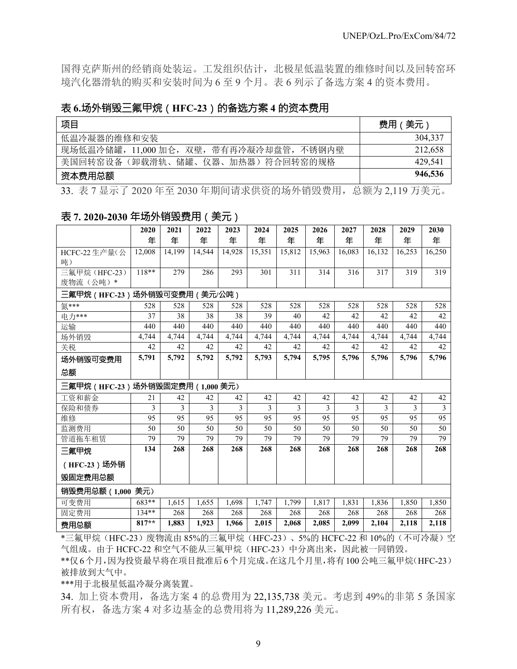国得克萨斯州的经销商处装运。工发组织估计,北极星低温装置的维修时间以及回转窑环 境汽化器滑轨的购买和安装时间为 6 至 9 个月。表 6 列示了备选方案 4 的资本费用。

## 表 **6.**场外销毁三氟甲烷(**HFC-23**)的备选方案 **4** 的资本费用

| 项目                                       | 费用(美元)  |
|------------------------------------------|---------|
| 低温冷凝器的维修和安装                              | 304.337 |
| 现场低温冷储罐, 11,000 加仑, 双壁, 带有再冷凝冷却盘管, 不锈钢内壁 | 212,658 |
| 美国回转窑设备(卸载滑轨、储罐、仪器、加热器)符合回转窑的规格          | 429.541 |
| 资本费用总额                                   | 946,536 |

33. 表 7 显示了 2020 年至 2030 年期间请求供资的场外销毁费用,总额为 2,119 万美元。

## 表 **7. 2020-2030** 年场外销毁费用(美元)

|                                | 2020    | 2021   | 2022   | 2023   | 2024   | 2025   | 2026   | 2027   | 2028   | 2029   | 2030           |
|--------------------------------|---------|--------|--------|--------|--------|--------|--------|--------|--------|--------|----------------|
|                                | 年       | 年      | 年      | 年      | 年      | 年      | 年      | 年      | 年      | 年      | 年              |
| HCFC-22 生产量(公                  | 12,008  | 14,199 | 14,544 | 14,928 | 15,351 | 15,812 | 15,963 | 16,083 | 16,132 | 16,253 | 16,250         |
| 吨)                             |         |        |        |        |        |        |        |        |        |        |                |
| 三氟甲烷 (HFC-23)                  | 118**   | 279    | 286    | 293    | 301    | 311    | 314    | 316    | 317    | 319    | 319            |
| 废物流(公吨)*                       |         |        |        |        |        |        |        |        |        |        |                |
| 三氟甲烷(HFC-23)场外销毁可变费用(美元/公吨)    |         |        |        |        |        |        |        |        |        |        |                |
| 氮***                           | 528     | 528    | 528    | 528    | 528    | 528    | 528    | 528    | 528    | 528    | 528            |
| 电力***                          | 37      | 38     | 38     | 38     | 39     | 40     | 42     | 42     | 42     | 42     | 42             |
| 运输                             | 440     | 440    | 440    | 440    | 440    | 440    | 440    | 440    | 440    | 440    | 440            |
| 场外销毁                           | 4,744   | 4,744  | 4,744  | 4,744  | 4,744  | 4,744  | 4,744  | 4,744  | 4,744  | 4,744  | 4,744          |
| 关税                             | 42      | 42     | 42     | 42     | 42     | 42     | 42     | 42     | 42     | 42     | 42             |
| 场外销毁可变费用                       | 5,791   | 5,792  | 5,792  | 5,792  | 5,793  | 5,794  | 5,795  | 5,796  | 5,796  | 5,796  | 5,796          |
| 总额                             |         |        |        |        |        |        |        |        |        |        |                |
| 三氟甲烷(HFC-23)场外销毁固定费用(1,000 美元) |         |        |        |        |        |        |        |        |        |        |                |
| 工资和薪金                          | 21      | 42     | 42     | 42     | 42     | 42     | 42     | 42     | 42     | 42     | 42             |
| 保险和债券                          | 3       | 3      | 3      | 3      | 3      | 3      | 3      | 3      | 3      | 3      | $\overline{3}$ |
| 维修                             | 95      | 95     | 95     | 95     | 95     | 95     | 95     | 95     | 95     | 95     | 95             |
| 监测费用                           | 50      | 50     | 50     | 50     | 50     | 50     | 50     | 50     | 50     | 50     | 50             |
| 管道拖车租赁                         | 79      | 79     | 79     | 79     | 79     | 79     | 79     | 79     | 79     | 79     | 79             |
| 三氟甲烷                           | 134     | 268    | 268    | 268    | 268    | 268    | 268    | 268    | 268    | 268    | 268            |
| (HFC-23) 场外销                   |         |        |        |        |        |        |        |        |        |        |                |
| 毁固定费用总额                        |         |        |        |        |        |        |        |        |        |        |                |
| 销毁费用总额 (1,000 美元)              |         |        |        |        |        |        |        |        |        |        |                |
| 可变费用                           | 683**   | 1,615  | 1,655  | 1,698  | 1,747  | 1,799  | 1,817  | 1,831  | 1,836  | 1,850  | 1,850          |
| 固定费用                           | $134**$ | 268    | 268    | 268    | 268    | 268    | 268    | 268    | 268    | 268    | 268            |
| 费用总额                           | $817**$ | 1,883  | 1,923  | 1,966  | 2,015  | 2,068  | 2,085  | 2,099  | 2,104  | 2,118  | 2,118          |

\*三氟甲烷(HFC-23)废物流由 85%的三氟甲烷(HFC-23)、5%的 HCFC-22 和 10%的(不可冷凝)空 气组成。由于 HCFC-22 和空气不能从三氟甲烷(HFC-23)中分离出来,因此被一同销毁。

\*\*仅6个月,因为投资最早将在项目批准后6个月完成。在这几个月里,将有100公吨三氟甲烷(HFC-23) 被排放到大气中。

\*\*\*用于北极星低温冷凝分离装置。

34. 加上资本费用,备选方案 4 的总费用为 22,135,738 美元。考虑到 49%的非第 5 条国家 所有权,备选方案 4 对多边基金的总费用将为 11,289,226 美元。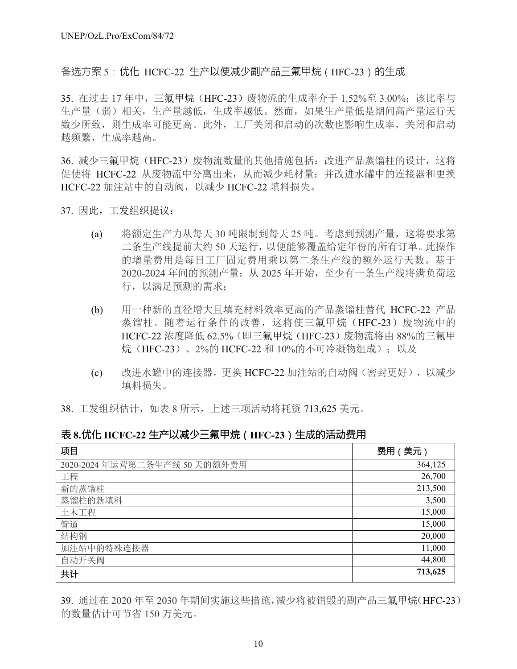备选方案 5 : 优化 HCFC-22 生产以便减少副产品三氟甲烷 (HFC-23)的生成

35. 在过去 17 年中, 三氟甲烷 (HFC-23) 废物流的生成率介于 1.52%至 3.00%; 该比率与 生产量(弱)相关,生产量越低,生成率越低。然而,如果生产量低是期间高产量运行天 数少所致,则生成率可能更高。此外,工厂关闭和启动的次数也影响生成率,关闭和启动 越频繁,生成率越高。

36. 减少三氟甲烷(HFC-23)废物流数量的其他措施包括: 改进产品蒸馏柱的设计, 这将 促使将 HCFC-22 从废物流中分离出来,从而减少耗材量;并改进水罐中的连接器和更换 HCFC-22 加注站中的自动阀,以减少 HCFC-22 填料损失。

- 37. 因此,工发组织提议:
	- (a) 将额定生产力从每天 30 吨限制到每天 25 吨。考虑到预测产量,这将要求第 二条生产线提前大约 50 天运行,以便能够覆盖给定年份的所有订单。此操作 的增量费用是每日工厂固定费用乘以第二条生产线的额外运行天数。基于 2020-2024 年间的预测产量;从 2025 年开始,至少有一条生产线将满负荷运 行,以满足预测的需求;
	- (b) 用一种新的直径增大且填充材料效率更高的产品蒸馏柱替代 HCFC-22 产品 蒸馏柱。随着运行条件的改善,这将使三氟甲烷(HFC-23)废物流中的 HCFC-22 浓度降低 62.5% (即三氟甲烷 (HFC-23) 废物流将由 88%的三氟甲 烷(HFC-23)、2%的 HCFC-22 和 10%的不可冷凝物组成);以及
	- (c) 改进水罐中的连接器,更换 HCFC-22 加注站的自动阀(密封更好),以减少 填料损失。

38. 工发组织估计,如表 8 所示,上述三项活动将耗资 713,625 美元。

|  | 表 8.优化 HCFC-22 生产以减少三氟甲烷 (HFC-23) 生成的活动费用 |  |  |
|--|-------------------------------------------|--|--|
|--|-------------------------------------------|--|--|

| 项目                            | 费用 (美元) |
|-------------------------------|---------|
| 2020-2024 年运营第二条生产线 50 天的额外费用 | 364,125 |
| 工程                            | 26,700  |
| 新的蒸馏柱                         | 213,500 |
| 蒸馏柱的新填料                       | 3,500   |
| 土木工程                          | 15,000  |
| 管道                            | 15,000  |
| 结构钢                           | 20,000  |
| 加注站中的特殊连接器                    | 11,000  |
| 自动开关阀                         | 44,800  |
| 共计                            | 713,625 |

39. 通过在 2020 年至 2030 年期间实施这些措施,减少将被销毁的副产品三氟甲烷(HFC-23) 的数量估计可节省 150 万美元。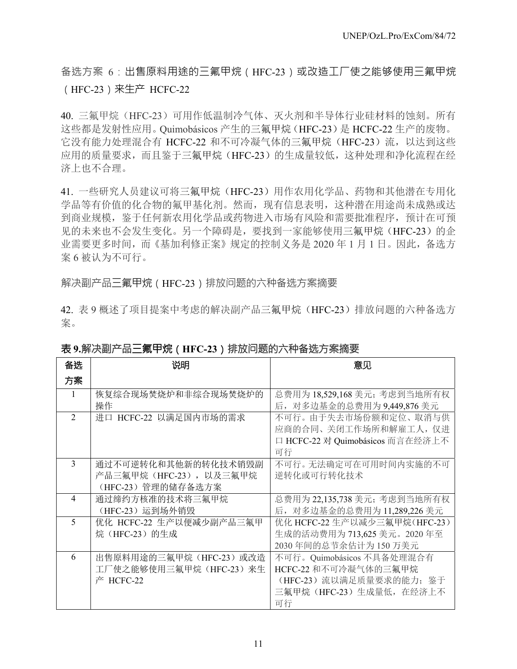## 备选方案 6: 出售原料用途的三氟甲烷 (HFC-23)或改造工厂使之能够使用三氟甲烷 (HFC-23)来生产 HCFC-22

40. 三氟甲烷(HFC-23)可用作低温制冷气体、灭火剂和半导体行业硅材料的蚀刻。所有 这些都是发射性应用。Quimobásicos 产生的三氟甲烷(HFC-23)是 HCFC-22 生产的废物。 它没有能力处理混合有 HCFC-22 和不可冷凝气体的三氟甲烷(HFC-23)流,以达到这些 应用的质量要求,而且鉴于三氟甲烷(HFC-23)的生成量较低,这种处理和净化流程在经 济上也不合理。

41. 一些研究人员建议可将三氟甲烷(HFC-23)用作农用化学品、药物和其他潜在专用化 学品等有价值的化合物的氟甲基化剂。然而,现有信息表明,这种潜在用途尚未成熟或达 到商业规模,鉴于任何新农用化学品或药物进入市场有风险和需要批准程序,预计在可预 见的未来也不会发生变化。另一个障碍是,要找到一家能够使用三氟甲烷(HFC-23)的企 业需要更多时间,而《基加利修正案》规定的控制义务是 2020 年 1 月 1 日。因此,备选方 案 6 被认为不可行。

解决副产品三氟甲烷(HFC-23)排放问题的六种备选方案摘要

42. 表 9 概述了项目提案中考虑的解决副产品三氟甲烷(HFC-23)排放问题的六种备选方 案。

| 备选             | 说明                       | 意见                               |
|----------------|--------------------------|----------------------------------|
| 方案             |                          |                                  |
| $\mathbf{1}$   | 恢复综合现场焚烧炉和非综合现场焚烧炉的      | 总费用为 18,529,168 美元;考虑到当地所有权      |
|                | 操作                       | 后, 对多边基金的总费用为 9,449,876 美元       |
| $\overline{2}$ | 进口 HCFC-22 以满足国内市场的需求    | 不可行。由于失去市场份额和定位、取消与供             |
|                |                          | 应商的合同、关闭工作场所和解雇工人, 仅进            |
|                |                          | 口 HCFC-22 对 Quimobásicos 而言在经济上不 |
|                |                          | 可行                               |
| 3              | 通过不可逆转化和其他新的转化技术销毁副      | 不可行。无法确定可在可用时间内实施的不可             |
|                | 产品三氟甲烷 (HFC-23), 以及三氟甲烷  | 逆转化或可行转化技术                       |
|                | (HFC-23) 管理的储存备选方案       |                                  |
| $\overline{4}$ | 通过缔约方核准的技术将三氟甲烷          | 总费用为 22,135,738 美元;考虑到当地所有权      |
|                | (HFC-23) 运到场外销毁          | 后, 对多边基金的总费用为 11,289,226 美元      |
| 5              | 优化 HCFC-22 生产以便减少副产品三氟甲  | 优化 HCFC-22 生产以减少三氟甲烷(HFC-23)     |
|                | 烷 (HFC-23) 的生成           | 生成的活动费用为 713,625 美元。2020 年至      |
|                |                          | 2030年间的总节余估计为150万美元              |
| 6              | 出售原料用途的三氟甲烷 (HFC-23) 或改造 | 不可行。Quimobásicos 不具备处理混合有        |
|                | 工厂使之能够使用三氟甲烷 (HFC-23) 来生 | HCFC-22 和不可冷凝气体的三氟甲烷             |
|                | 产 HCFC-22                | (HFC-23) 流以满足质量要求的能力; 鉴于         |
|                |                          | 三氟甲烷 (HFC-23) 生成量低, 在经济上不        |
|                |                          | 可行                               |

## 表 **9.**解决副产品三氟甲烷(**HFC-23**)排放问题的六种备选方案摘要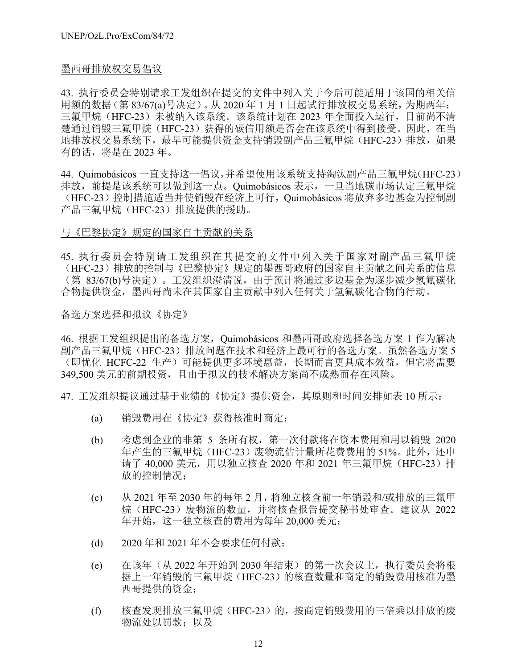### 墨西哥排放权交易倡议

43. 执行委员会特别请求工发组织在提交的文件中列入关于今后可能适用于该国的相关信 用额的数据(第 83/67(a)号决定)。从 2020 年 1 月 1 日起试行排放权交易系统,为期两年; 三氟甲烷(HFC-23)未被纳入该系统。该系统计划在 2023 年全面投入运行,目前尚不清 楚通过销毁三氟甲烷(HFC-23)获得的碳信用额是否会在该系统中得到接受。因此, 在当 地排放权交易系统下,最早可能提供资金支持销毁副产品三氟甲烷(HFC-23)排放,如果 有的话,将是在 2023 年。

44. Quimobásicos 一直支持这一倡议,并希望使用该系统支持淘汰副产品三氟甲烷(HFC-23) 排放,前提是该系统可以做到这一点。Quimobásicos 表示,一旦当地碳市场认定三氟甲烷 (HFC-23)控制措施适当并使销毁在经济上可行,Quimobásicos 将放弃多边基金为控制副 产品三氟甲烷(HFC-23)排放提供的援助。

### 与《巴黎协定》规定的国家自主贡献的关系

45. 执行委员会特别请工发组织在其提交的文件中列入关于国家对副产品三氟甲烷 (HFC-23)排放的控制与《巴黎协定》规定的墨西哥政府的国家自主贡献之间关系的信息 (第 83/67(b)号决定)。工发组织澄清说,由于预计将通过多边基金为逐步减少氢氟碳化 合物提供资金,墨西哥尚未在其国家自主贡献中列入任何关于氢氟碳化合物的行动。

### 备选方案选择和拟议《协定》

46. 根据工发组织提出的备选方案,Quimobásicos 和墨西哥政府选择备选方案 1 作为解决 副产品三氟甲烷(HFC-23)排放问题在技术和经济上最可行的备选方案。虽然备选方案 5 (即优化 HCFC-22 生产)可能提供更多环境惠益,长期而言更具成本效益,但它将需要 349,500 美元的前期投资,且由于拟议的技术解决方案尚不成熟而存在风险。

47. 工发组织提议通过基于业绩的《协定》提供资金,其原则和时间安排如表 10 所示:

- (a) 销毁费用在《协定》获得核准时商定;
- (b) 考虑到企业的非第 5 条所有权,第一次付款将在资本费用和用以销毁 2020 年产生的三氟甲烷(HFC-23)废物流估计量所花费费用的 51%。此外,还申 请了 40,000 美元, 用以独立核查 2020 年和 2021 年三氟甲烷 (HFC-23) 排 放的控制情况;
- (c) 从 2021 年至 2030 年的每年 2 月,将独立核查前一年销毁和/或排放的三氟甲 烷(HFC-23)废物流的数量,并将核查报告提交秘书处审查。建议从 2022 年开始,这一独立核查的费用为每年 20,000 美元;
- (d) 2020 年和 2021 年不会要求任何付款;
- (e) 在该年(从 2022 年开始到 2030 年结束)的第一次会议上,执行委员会将根 据上一年销毁的三氟甲烷(HFC-23)的核查数量和商定的销毁费用核准为墨 西哥提供的资金;
- (f) 核查发现排放三氟甲烷(HFC-23)的,按商定销毁费用的三倍乘以排放的废 物流处以罚款;以及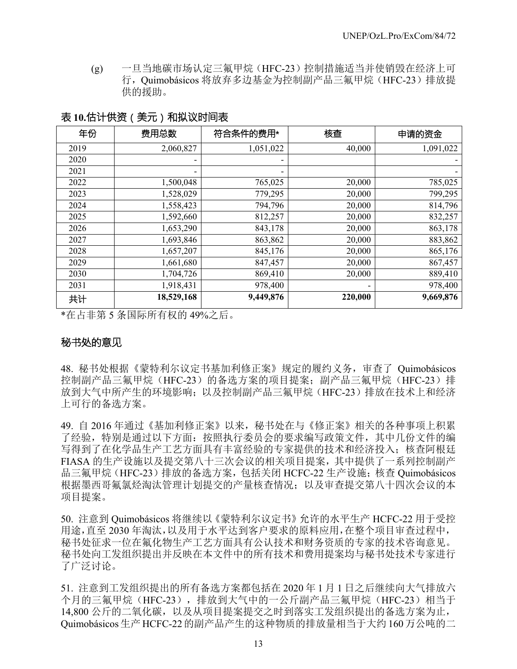(g) 一旦当地碳市场认定三氟甲烷(HFC-23)控制措施适当并使销毁在经济上可 行,Quimobásicos 将放弃多边基金为控制副产品三氟甲烷(HFC-23)排放提 供的援助。

表 **10.**估计供资(美元)和拟议时间表

| 年份   | 费用总数       | 符合条件的费用*  | 核查      | 申请的资金     |
|------|------------|-----------|---------|-----------|
| 2019 | 2,060,827  | 1,051,022 | 40,000  | 1,091,022 |
| 2020 |            |           |         |           |
| 2021 |            |           |         |           |
| 2022 | 1,500,048  | 765,025   | 20,000  | 785,025   |
| 2023 | 1,528,029  | 779,295   | 20,000  | 799,295   |
| 2024 | 1,558,423  | 794,796   | 20,000  | 814,796   |
| 2025 | 1,592,660  | 812,257   | 20,000  | 832,257   |
| 2026 | 1,653,290  | 843,178   | 20,000  | 863,178   |
| 2027 | 1,693,846  | 863,862   | 20,000  | 883,862   |
| 2028 | 1,657,207  | 845,176   | 20,000  | 865,176   |
| 2029 | 1,661,680  | 847,457   | 20,000  | 867,457   |
| 2030 | 1,704,726  | 869,410   | 20,000  | 889,410   |
| 2031 | 1,918,431  | 978,400   |         | 978,400   |
| 共计   | 18,529,168 | 9,449,876 | 220,000 | 9,669,876 |

\*在占非第 5 条国际所有权的 49%之后。

## 秘书处的意见

48. 秘书处根据《蒙特利尔议定书基加利修正案》规定的履约义务,审查了 Quimobásicos 控制副产品三氟甲烷(HFC-23)的备选方案的项目提案;副产品三氟甲烷(HFC-23)排 放到大气中所产生的环境影响;以及控制副产品三氟甲烷(HFC-23)排放在技术上和经济 上可行的备选方案。

49. 自 2016 年通过《基加利修正案》以来,秘书处在与《修正案》相关的各种事项上积累 了经验,特别是通过以下方面:按照执行委员会的要求编写政策文件,其中几份文件的编 写得到了在化学品生产工艺方面具有丰富经验的专家提供的技术和经济投入;核查阿根廷 FIASA 的生产设施以及提交第八十三次会议的相关项目提案,其中提供了一系列控制副产 品三氟甲烷(HFC-23)排放的备选方案,包括关闭 HCFC-22 生产设施;核查 Quimobásicos 根据墨西哥氟氯烃淘汰管理计划提交的产量核查情况;以及审查提交第八十四次会议的本 项目提案。

50. 注意到 Quimobásicos 将继续以《蒙特利尔议定书》允许的水平生产 HCFC-22 用于受控 用途,直至 2030 年淘汰,以及用于水平达到客户要求的原料应用,在整个项目审查过程中, 秘书处征求一位在氟化物生产工艺方面具有公认技术和财务资质的专家的技术咨询意见。 秘书处向工发组织提出并反映在本文件中的所有技术和费用提案均与秘书处技术专家进行 了广泛讨论。

51. 注意到工发组织提出的所有备选方案都包括在 2020 年 1 月 1 日之后继续向大气排放六 个月的三氟甲烷(HFC-23),排放到大气中的一公斤副产品三氟甲烷(HFC-23)相当于 14,800 公斤的二氧化碳, 以及从项目提案提交之时到落实工发组织提出的备选方案为止, Quimobásicos生产HCFC-22的副产品产生的这种物质的排放量相当于大约160 万公吨的二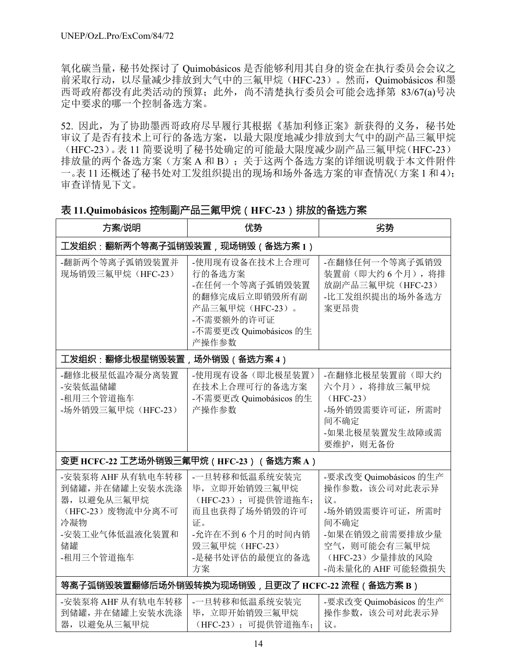氧化碳当量,秘书处探讨了 Quimobásicos 是否能够利用其自身的资金在执行委员会会议之 前采取行动,以尽量减少排放到大气中的三氟甲烷(HFC-23)。然而,Quimobásicos 和墨 西哥政府都没有此类活动的预算;此外,尚不清楚执行委员会可能会选择第 83/67(a)号决 定中要求的哪一个控制备选方案。

52. 因此,为了协助墨西哥政府尽早履行其根据《基加利修正案》新获得的义务,秘书处 审议了是否有技术上可行的备选方案,以最大限度地减少排放到大气中的副产品三氟甲烷 (HFC-23)。表 11 简要说明了秘书处确定的可能最大限度减少副产品三氟甲烷(HFC-23) 排放量的两个备选方案(方案 A 和 B);关于这两个备选方案的详细说明载于本文件附件 一。表 11 还概述了秘书处对工发组织提出的现场和场外备选方案的审查情况(方案 1 和 4); 审查详情见下文。

## 表 **11.Quimobásicos** 控制副产品三氟甲烷(**HFC-23**)排放的备选方案

| 方案/说明                                                                                                               | 优势                                                                                                                                     | 劣势                                                                                                                                                   |  |  |  |
|---------------------------------------------------------------------------------------------------------------------|----------------------------------------------------------------------------------------------------------------------------------------|------------------------------------------------------------------------------------------------------------------------------------------------------|--|--|--|
| 工发组织:翻新两个等离子弧销毁装置,现场销毁(备选方案1)                                                                                       |                                                                                                                                        |                                                                                                                                                      |  |  |  |
| -翻新两个等离子弧销毁装置并<br>现场销毁三氟甲烷 (HFC-23)                                                                                 | -使用现有设备在技术上合理可<br>行的备选方案<br>-在任何一个等离子弧销毁装置<br>的翻修完成后立即销毁所有副<br>产品三氟甲烷 (HFC-23)。<br>-不需要额外的许可证<br>-不需要更改 Quimobásicos 的生<br>产操作参数       | -在翻修任何一个等离子弧销毁<br>装置前(即大约6个月),将排<br>放副产品三氟甲烷 (HFC-23)<br>-比工发组织提出的场外备选方<br>案更昂贵                                                                      |  |  |  |
| 工发组织:翻修北极星销毁装置,场外销毁(备选方案4)                                                                                          |                                                                                                                                        |                                                                                                                                                      |  |  |  |
| -翻修北极星低温冷凝分离装置<br>-安装低温储罐<br>-租用三个管道拖车<br>-场外销毁三氟甲烷 (HFC-23)                                                        | -使用现有设备(即北极星装置)<br>在技术上合理可行的备选方案<br>-不需要更改 Quimobásicos 的生<br>产操作参数                                                                    | -在翻修北极星装置前(即大约<br>六个月), 将排放三氟甲烷<br>$(HFC-23)$<br>-场外销毁需要许可证, 所需时<br>间不确定<br>-如果北极星装置发生故障或需<br>要维护, 则无备份                                              |  |  |  |
|                                                                                                                     | 变更 HCFC-22 工艺场外销毁三氟甲烷 ( HFC-23 ) (备选方案 A )                                                                                             |                                                                                                                                                      |  |  |  |
| -安装泵将 AHF 从有轨电车转移<br>到储罐,并在储罐上安装水洗涤<br>器, 以避免从三氟甲烷<br>(HFC-23) 废物流中分离不可<br>冷凝物<br>-安装工业气体低温液化装置和<br>储罐<br>-租用三个管道拖车 | -一旦转移和低温系统安装完<br>毕,立即开始销毁三氟甲烷<br>(HFC-23); 可提供管道拖车;<br>而且也获得了场外销毁的许可<br>证。<br>-允许在不到6个月的时间内销<br>毁三氟甲烷 (HFC-23)<br>-是秘书处评估的最便宜的备选<br>方案 | -要求改变 Quimobásicos 的生产<br>操作参数,该公司对此表示异<br>议。<br>-场外销毁需要许可证, 所需时<br>间不确定<br>-如果在销毁之前需要排放少量<br>空气, 则可能会有三氟甲烷<br>(HFC-23) 少量排放的风险<br>-尚未量化的 AHF 可能轻微损失 |  |  |  |
|                                                                                                                     | 等离子弧销毁装置翻修后场外销毁转换为现场销毁﹐且更改了 HCFC-22 流程(备选方案 B)                                                                                         |                                                                                                                                                      |  |  |  |
| -安装泵将 AHF 从有轨电车转移<br>到储罐,并在储罐上安装水洗涤<br>器, 以避免从三氟甲烷                                                                  | -一旦转移和低温系统安装完<br>毕,立即开始销毁三氟甲烷<br>(HFC-23); 可提供管道拖车;                                                                                    | -要求改变 Quimobásicos 的生产<br>操作参数,该公司对此表示异<br>议。                                                                                                        |  |  |  |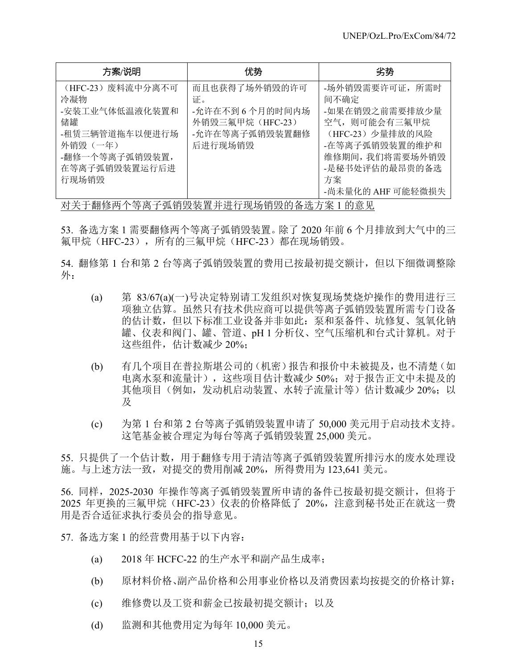| 方案/说明                                                                                                                     | 优势                                                                                     | 劣势                                                                                                                                                              |
|---------------------------------------------------------------------------------------------------------------------------|----------------------------------------------------------------------------------------|-----------------------------------------------------------------------------------------------------------------------------------------------------------------|
| (HFC-23) 废料流中分离不可<br>冷凝物<br>-安装工业气体低温液化装置和<br>储罐<br>-租赁三辆管道拖车以便进行场<br>外销毁(一年)<br>-翻修一个等离子弧销毁装置,<br>在等离子弧销毁装置运行后进<br>行现场销毁 | 而且也获得了场外销毁的许可<br>证。<br>-允许在不到6个月的时间内场<br>外销毁三氟甲烷 (HFC-23)<br>-允许在等离子弧销毁装置翻修<br>后进行现场销毁 | -场外销毁需要许可证, 所需时<br>间不确定<br>-如果在销毁之前需要排放少量<br>空气, 则可能会有三氟甲烷<br>(HFC-23) 少量排放的风险<br>-在等离子弧销毁装置的维护和<br>维修期间,我们将需要场外销毁<br>-是秘书处评估的最昂贵的备选<br>方案<br>-尚未量化的 AHF 可能轻微损失 |

对关于翻修两个等离子弧销毁装置并进行现场销毁的备选方案 1 的意见

53. 备选方案 1 需要翻修两个等离子弧销毁装置。除了 2020 年前 6 个月排放到大气中的三 氟甲烷(HFC-23), 所有的三氟甲烷(HFC-23)都在现场销毁。

54. 翻修第 1 台和第 2 台等离子弧销毁装置的费用已按最初提交额计,但以下细微调整除 外:

- (a) 第 83/67(a)(一)号决定特别请工发组织对恢复现场焚烧炉操作的费用进行三 项独立估算。虽然只有技术供应商可以提供等离子弧销毁装置所需专门设备 的估计数,但以下标准工业设备并非如此: 泵和泵备件、坑修复、氢氧化钠 罐、仪表和阀门、罐、管道、pH 1 分析仪、空气压缩机和台式计算机。对于 这些组件,估计数减少 20%;
- (b) 有几个项目在普拉斯堪公司的(机密)报告和报价中未被提及,也不清楚(如 电离水泵和流量计),这些项目估计数减少 50%;对于报告正文中未提及的 其他项目(例如,发动机启动装置、水转子流量计等)估计数减少 20%;以 及
- (c) 为第 1 台和第 2 台等离子弧销毁装置申请了 50,000 美元用于启动技术支持。 这笔基金被合理定为每台等离子弧销毁装置 25,000 美元。

55. 只提供了一个估计数,用于翻修专用于清洁等离子弧销毁装置所排污水的废水处理设 施。与上述方法一致,对提交的费用削减 20%,所得费用为 123,641 美元。

56. 同样,2025-2030 年操作等离子弧销毁装置所申请的备件已按最初提交额计,但将于 2025 年更换的三氟甲烷 (HFC-23) 仪表的价格降低了 20%, 注意到秘书处正在就这一费 用是否合适征求执行委员会的指导意见。

57. 备选方案 1 的经营费用基于以下内容:

- (a) 2018 年 HCFC-22 的生产水平和副产品生成率;
- (b) 原材料价格、副产品价格和公用事业价格以及消费因素均按提交的价格计算;
- (c) 维修费以及工资和薪金已按最初提交额计;以及
- (d) 监测和其他费用定为每年 10,000 美元。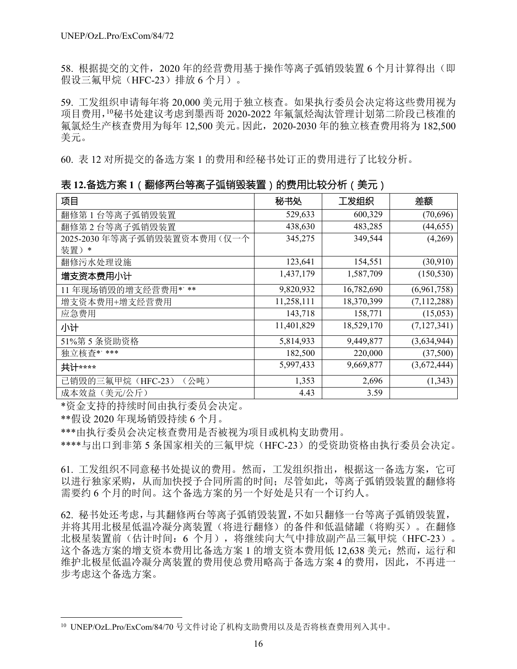58. 根据提交的文件, 2020 年的经营费用基于操作等离子弧销毁装置 6 个月计算得出(即 假设三氟甲烷 (HFC-23) 排放 6 个月) 。

59. 工发组织申请每年将 20,000 美元用于独立核查。如果执行委员会决定将这些费用视为 项目费用,<sup>10</sup>秘书处建议考虑到墨西哥 2020-2022 年氟氯烃淘汰管理计划第二阶段已核准的 氟氯烃生产核查费用为每年 12,500 美元。因此,2020-2030 年的独立核查费用将为 182,500 美元。

60. 表 12 对所提交的备选方案 1 的费用和经秘书处订正的费用进行了比较分析。

表 **12.**备选方案 **1**(翻修两台等离子弧销毁装置)的费用比较分析(美元)

| 项目                         | 秘书处        | 工发组织       | 差额            |
|----------------------------|------------|------------|---------------|
| 翻修第1台等离子弧销毁装置              | 529,633    | 600,329    | (70,696)      |
| 翻修第2台等离子弧销毁装置              | 438,630    | 483,285    | (44, 655)     |
| 2025-2030年等离子弧销毁装置资本费用(仅一个 | 345,275    | 349,544    | (4,269)       |
| 装置)*                       |            |            |               |
| 翻修污水处理设施                   | 123,641    | 154,551    | (30, 910)     |
| 增支资本费用小计                   | 1,437,179  | 1,587,709  | (150, 530)    |
| 11年现场销毁的增支经营费用*'**         | 9,820,932  | 16,782,690 | (6,961,758)   |
| 增支资本费用+增支经营费用              | 11,258,111 | 18,370,399 | (7, 112, 288) |
| 应急费用                       | 143,718    | 158,771    | (15,053)      |
| 小计                         | 11,401,829 | 18,529,170 | (7,127,341)   |
| 51%第5条资助资格                 | 5,814,933  | 9,449,877  | (3,634,944)   |
| 独立核查*' ***                 | 182,500    | 220,000    | (37,500)      |
| 共计****                     | 5,997,433  | 9,669,877  | (3,672,444)   |
| 已销毁的三氟甲烷 (HFC-23)<br>(公吨)  | 1,353      | 2,696      | (1,343)       |
| 成本效益 (美元/公斤)               | 4.43       | 3.59       |               |

\*资金支持的持续时间由执行委员会决定。

\*\*假设 2020 年现场销毁持续 6 个月。

l

\*\*\*由执行委员会决定核查费用是否被视为项目或机构支助费用。

\*\*\*\*与出口到非第 5 条国家相关的三氟甲烷 (HFC-23) 的受资助资格由执行委员会决定。

61. 工发组织不同意秘书处提议的费用。然而,工发组织指出,根据这一备选方案,它可 以进行独家采购,从而加快授予合同所需的时间;尽管如此,等离子弧销毁装置的翻修将 需要约 6 个月的时间。这个备选方案的另一个好处是只有一个订约人。

62. 秘书处还考虑,与其翻修两台等离子弧销毁装置,不如只翻修一台等离子弧销毁装置, 并将其用北极星低温冷凝分离装置(将进行翻修)的备件和低温储罐(将购买)。在翻修 北极星装置前(估计时间: 6 个月), 将继续向大气中排放副产品三氟甲烷(HFC-23)。 这个备选方案的增支资本费用比备选方案 1 的增支资本费用低 12,638 美元;然而,运行和 维护北极星低温冷凝分离装置的费用使总费用略高于备选方案 4 的费用,因此,不再进一 步考虑这个备选方案。

<sup>10</sup> UNEP/OzL.Pro/ExCom/84/70 号文件讨论了机构支助费用以及是否将核查费用列入其中。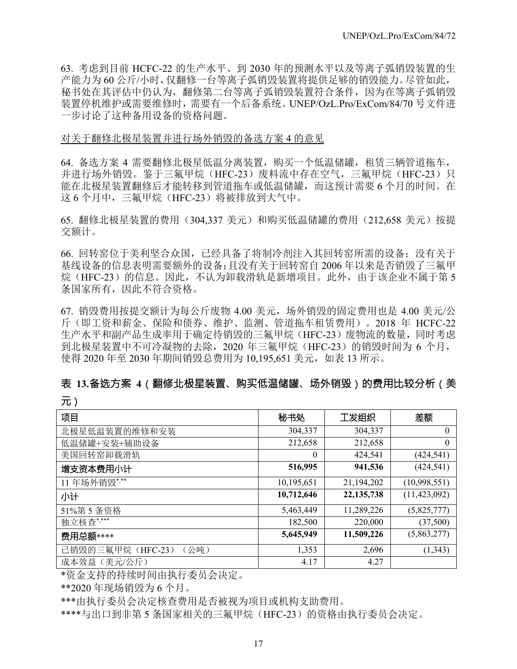63. 考虑到目前 HCFC-22 的生产水平、到 2030 年的预测水平以及等离子弧销毁装置的生 产能力为 60 公斤/小时,仅翻修一台等离子弧销毁装置将提供足够的销毁能力。尽管如此, 秘书处在其评估中仍认为,翻修第二台等离子弧销毁装置符合条件,因为在等离子弧销毁 装置停机维护或需要维修时,需要有一个后备系统。UNEP/OzL.Pro/ExCom/84/70 号文件进 一步讨论了这种备用设备的资格问题。

#### 对关于翻修北极星装置并进行场外销毁的备选方案 4 的意见

64. 备选方案 4 需要翻修北极星低温分离装置, 购买一个低温储罐, 租赁三辆管道拖车, 并进行场外销毁。鉴于三氟甲烷(HFC-23)废料流中存在空气, 三氟甲烷(HFC-23)只 能在北极星装置翻修后才能转移到管道拖车或低温储罐,而这预计需要 6 个月的时间。在 这 6 个月中, 三氟甲烷 (HFC-23) 将被排放到大气中。

65. 翻修北极星装置的费用(304,337 美元)和购买低温储罐的费用(212,658 美元)按提 交额计。

66. 回转窑位于美利坚合众国,已经具备了将制冷剂注入其回转窑所需的设备;没有关于 基线设备的信息表明需要额外的设备;且没有关于回转窑自 2006 年以来是否销毁了三氟甲 烷(HFC-23)的信息。因此,不认为卸载滑轨是新增项目。此外,由于该企业不属于第 5 条国家所有,因此不符合资格。

67. 销毁费用按提交额计为每公斤废物 4.00 美元,场外销毁的固定费用也是 4.00 美元/公 斤(即工资和薪金、保险和债券、维护、监测、管道拖车租赁费用)。2018 年 HCFC-22 生产水平和副产品生成率用于确定待销毁的三氟甲烷(HFC-23)废物流的数量,同时考虑 到北极星装置中不可冷凝物的去除, 2020 年三氟甲烷 (HFC-23) 的销毁时间为 6 个月, 使得 2020 年至 2030 年期间销毁总费用为 10,195,651 美元,如表 13 所示。

## 表 **13.**备选方案 **4**(翻修北极星装置、购买低温储罐、场外销毁)的费用比较分析(美

元)

| 项目                        | 秘书处        | 工发组织         | 差额             |
|---------------------------|------------|--------------|----------------|
| 北极星低温装置的维修和安装             | 304,337    | 304,337      | $\theta$       |
| 低温储罐+安装+辅助设备              | 212,658    | 212,658      | $\theta$       |
| 美国回转窑卸载滑轨                 | $\theta$   | 424,541      | (424, 541)     |
| 增支资本费用小计                  | 516,995    | 941,536      | (424, 541)     |
| 11年场外销毁***                | 10,195,651 | 21,194,202   | (10,998,551)   |
| 小计                        | 10,712,646 | 22, 135, 738 | (11, 423, 092) |
| 51%第5条资格                  | 5,463,449  | 11,289,226   | (5,825,777)    |
| 独立核查 ****                 | 182,500    | 220,000      | (37,500)       |
| 费用总额****                  | 5,645,949  | 11,509,226   | (5,863,277)    |
| 已销毁的三氟甲烷 (HFC-23)<br>(公吨) | 1,353      | 2,696        | (1,343)        |
| 成本效益 (美元/公斤)              | 4.17       | 4.27         |                |

\*资金支持的持续时间由执行委员会决定。

\*\*2020 年现场销毁为 6 个月。

\*\*\*由执行委员会决定核查费用是否被视为项目或机构支助费用。

\*\*\*\*与出口到非第 5 条国家相关的三氟甲烷(HFC-23)的资格由执行委员会决定。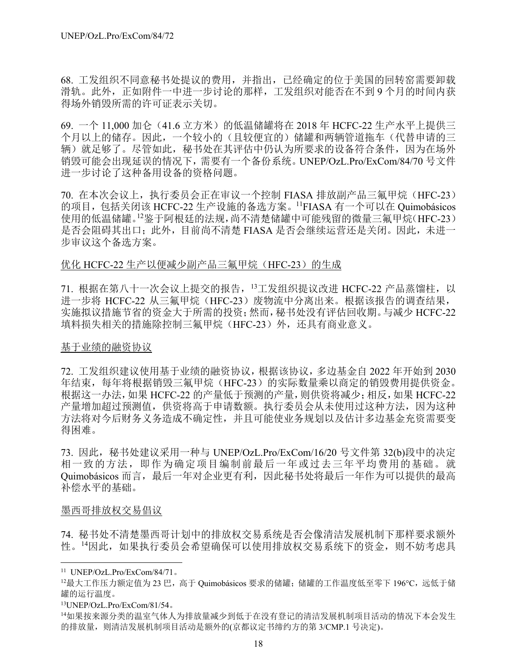68. 工发组织不同意秘书处提议的费用,并指出,已经确定的位于美国的回转窑需要卸载 滑轨。此外,正如附件一中进一步讨论的那样,工发组织对能否在不到 9 个月的时间内获 得场外销毁所需的许可证表示关切。

69. 一个 11,000 加仑 (41.6 立方米) 的低温储罐将在 2018 年 HCFC-22 生产水平上提供三 个月以上的储存。因此,一个较小的(且较便宜的)储罐和两辆管道拖车(代替申请的三 辆)就足够了。尽管如此,秘书处在其评估中仍认为所要求的设备符合条件,因为在场外 销毁可能会出现延误的情况下,需要有一个备份系统。UNEP/OzL.Pro/ExCom/84/70 号文件 进一步讨论了这种备用设备的资格问题。

70. 在本次会议上,执行委员会正在审议一个控制 FIASA 排放副产品三氟甲烷 (HFC-23) 的项目,包括关闭该 HCFC-22 生产设施的备选方案。11FIASA 有一个可以在 Quimobásicos 使用的低温储罐。<sup>12</sup>鉴于阿根廷的法规,尚不清楚储罐中可能残留的微量三氟甲烷(HFC-23) 是否会阻碍其出口;此外,目前尚不清楚 FIASA 是否会继续运营还是关闭。因此,未进一 步审议这个备选方案。

### 优化 HCFC-22 生产以便减少副产品三氟甲烷 (HFC-23) 的生成

71. 根据在第八十一次会议上提交的报告, <sup>13</sup>工发组织提议改进 HCFC-22 产品蒸馏柱, 以 进一步将 HCFC-22 从三氟甲烷(HFC-23)废物流中分离出来。根据该报告的调查结果, 实施拟议措施节省的资金大于所需的投资;然而,秘书处没有评估回收期。与减少 HCFC-22 填料损失相关的措施除控制三氟甲烷(HFC-23)外, 还具有商业意义。

### 基于业绩的融资协议

72. 工发组织建议使用基于业绩的融资协议,根据该协议,多边基金自 2022 年开始到 2030 年结束,每年将根据销毁三氟甲烷(HFC-23)的实际数量乘以商定的销毁费用提供资金。 根据这一办法,如果 HCFC-22 的产量低于预测的产量,则供资将减少;相反,如果 HCFC-22 产量增加超过预测值,供资将高于申请数额。执行委员会从未使用过这种方法,因为这种 方法将对今后财务义务造成不确定性,并且可能使业务规划以及估计多边基金充资需要变 得困难。

73. 因此,秘书处建议采用一种与 UNEP/OzL.Pro/ExCom/16/20 号文件第 32(b)段中的决定 相一致的方法,即作为确定项目编制前最后一年或过去三年平均费用的基础。就 Quimobásicos 而言,最后一年对企业更有利,因此秘书处将最后一年作为可以提供的最高 补偿水平的基础。

### 墨西哥排放权交易倡议

74. 秘书处不清楚墨西哥计划中的排放权交易系统是否会像清洁发展机制下那样要求额外 性。<sup>14</sup>因此,如果执行委员会希望确保可以使用排放权交易系统下的资金,则不妨考虑具

l

13UNEP/OzL.Pro/ExCom/81/54。

<sup>11</sup> UNEP/OzL.Pro/ExCom/84/71。

 $^{12}$ 最大工作压力额定值为 23 巴, 高于 Quimobásicos 要求的储罐;储罐的工作温度低至零下 196°C, 远低于储 罐的运行温度。

<sup>14</sup>如果按来源分类的温室气体人为排放量减少到低于在没有登记的清洁发展机制项目活动的情况下本会发生 的排放量,则清洁发展机制项目活动是额外的(京都议定书缔约方的第 3/CMP.1 号决定)。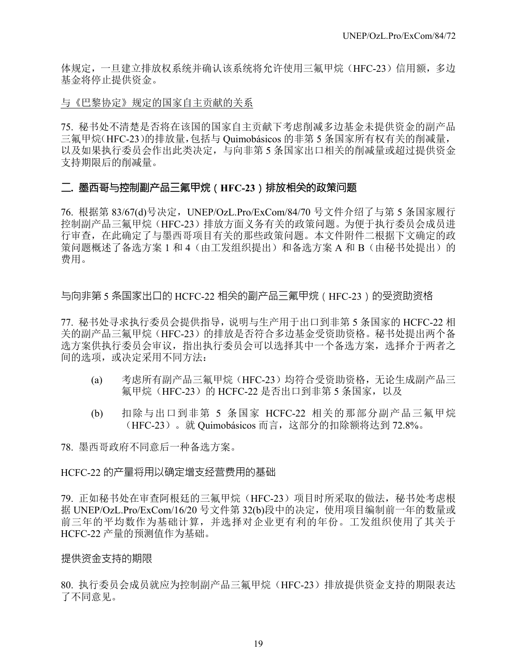体规定,一旦建立排放权系统并确认该系统将允许使用三氟甲烷(HFC-23)信用额,多边 基金将停止提供资金。

与《巴黎协定》规定的国家自主贡献的关系

75. 秘书处不清楚是否将在该国的国家自主贡献下考虑削减多边基金未提供资金的副产品 三氟甲烷(HFC-23)的排放量,包括与 Quimobásicos 的非第 5 条国家所有权有关的削减量, 以及如果执行委员会作出此类决定,与向非第 5 条国家出口相关的削减量或超过提供资金 支持期限后的削减量。

### 二**.** 墨西哥与控制副产品三氟甲烷(**HFC-23**)排放相关的政策问题

76. 根据第 83/67(d)号决定,UNEP/OzL.Pro/ExCom/84/70 号文件介绍了与第 5 条国家履行 控制副产品三氟甲烷(HFC-23)排放方面义务有关的政策问题。为便于执行委员会成员进 行审查,在此确定了与墨西哥项目有关的那些政策问题。本文件附件二根据下文确定的政 策问题概述了备选方案 1 和 4 (由工发组织提出) 和备选方案 A 和 B (由秘书处提出) 的 费用。

与向非第 5 条国家出口的 HCFC-22 相关的副产品三氟甲烷(HFC-23)的受资助资格

77. 秘书处寻求执行委员会提供指导,说明与生产用于出口到非第 5 条国家的 HCFC-22 相 关的副产品三氟甲烷(HFC-23)的排放是否符合多边基金受资助资格。秘书处提出两个备 选方案供执行委员会审议,指出执行委员会可以选择其中一个备选方案,选择介于两者之 间的选项,或决定采用不同方法:

- (a) 考虑所有副产品三氟甲烷(HFC-23)均符合受资助资格,无论生成副产品三 氟甲烷(HFC-23)的 HCFC-22 是否出口到非第 5 条国家, 以及
- (b) 扣除与出口到非第 5 条国家 HCFC-22 相关的那部分副产品三氟甲烷 (HFC-23)。就 Quimobásicos 而言,这部分的扣除额将达到 72.8%。

78. 墨西哥政府不同意后一种备选方案。

### HCFC-22 的产量将用以确定增支经营费用的基础

79. 正如秘书处在审查阿根廷的三氟甲烷(HFC-23)项目时所采取的做法,秘书处考虑根 据 UNEP/OzL.Pro/ExCom/16/20 号文件第 32(b)段中的决定,使用项目编制前一年的数量或 前三年的平均数作为基础计算,并选择对企业更有利的年份。工发组织使用了其关于 HCFC-22 产量的预测值作为基础。

### 提供资金支持的期限

80. 执行委员会成员就应为控制副产品三氟甲烷(HFC-23)排放提供资金支持的期限表达 了不同意见。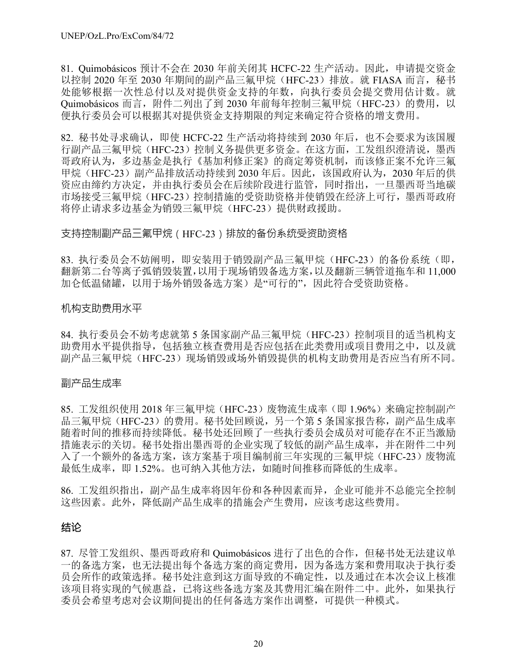81. Quimobásicos 预计不会在 2030 年前关闭其 HCFC-22 生产活动。因此,申请提交资金 以控制 2020 年至 2030 年期间的副产品三氟甲烷 (HFC-23) 排放。就 FIASA 而言, 秘书 处能够根据一次性总付以及对提供资金支持的年数,向执行委员会提交费用估计数。就 Ouimobásicos 而言, 附件二列出了到 2030 年前每年控制三氟甲烷 (HFC-23) 的费用, 以 便执行委员会可以根据其对提供资金支持期限的判定来确定符合资格的增支费用。

82. 秘书处寻求确认, 即使 HCFC-22 生产活动将持续到 2030 年后, 也不会要求为该国履 行副产品三氟甲烷(HFC-23)控制义务提供更多资金。在这方面,工发组织澄清说,墨西 哥政府认为,多边基金是执行《基加利修正案》的商定筹资机制,而该修正案不允许三氟 甲烷(HFC-23)副产品排放活动持续到 2030 年后。因此,该国政府认为, 2030 年后的供 资应由缔约方决定,并由执行委员会在后续阶段进行监管,同时指出,一旦墨西哥当地碳 市场接受三氟甲烷(HFC-23)控制措施的受资助资格并使销毁在经济上可行,墨西哥政府 将停止请求多边基金为销毁三氟甲烷 (HFC-23) 提供财政援助。

### 支持控制副产品三氟甲烷(HFC-23)排放的备份系统受资助资格

83. 执行委员会不妨阐明, 即安装用于销毁副产品三氟甲烷 (HFC-23) 的备份系统 (即, 翻新第二台等离子弧销毁装置,以用于现场销毁备选方案,以及翻新三辆管道拖车和 11,000 加仑低温储罐,以用于场外销毁备选方案)是"可行的",因此符合受资助资格。

#### 机构支助费用水平

84. 执行委员会不妨考虑就第 5 条国家副产品三氟甲烷(HFC-23)控制项目的适当机构支 助费用水平提供指导,包括独立核查费用是否应包括在此类费用或项目费用之中,以及就 副产品三氟甲烷(HFC-23)现场销毁或场外销毁提供的机构支助费用是否应当有所不同。

### 副产品生成率

85. 工发组织使用 2018 年三氟甲烷(HFC-23)废物流生成率(即 1.96%)来确定控制副产 品三氟甲烷(HFC-23)的费用。秘书处回顾说,另一个第 5 条国家报告称, 副产品生成率 随着时间的推移而持续降低。秘书处还回顾了一些执行委员会成员对可能存在不正当激励 措施表示的关切。秘书处指出墨西哥的企业实现了较低的副产品生成率,并在附件二中列 入了一个额外的备选方案,该方案基于项目编制前三年实现的三氟甲烷(HFC-23)废物流 最低生成率,即 1.52%。也可纳入其他方法,如随时间推移而降低的生成率。

86. 工发组织指出,副产品生成率将因年份和各种因素而异,企业可能并不总能完全控制 这些因素。此外,降低副产品生成率的措施会产生费用,应该考虑这些费用。

### 结论

87. 尽管工发组织、墨西哥政府和 Quimobásicos 进行了出色的合作,但秘书处无法建议单 一的备选方案,也无法提出每个备选方案的商定费用,因为备选方案和费用取决于执行委 员会所作的政策选择。秘书处注意到这方面导致的不确定性,以及通过在本次会议上核准 该项目将实现的气候惠益,已将这些备选方案及其费用汇编在附件二中。此外,如果执行 委员会希望考虑对会议期间提出的任何备选方案作出调整,可提供一种模式。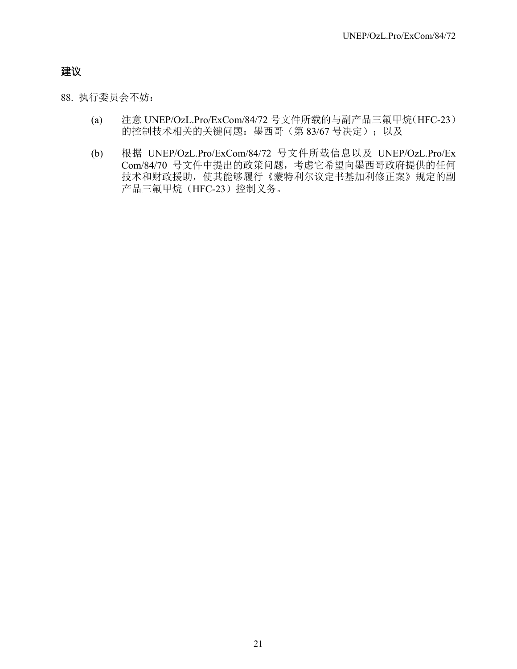## 建议

88. 执行委员会不妨:

- (a) 注意 UNEP/OzL.Pro/ExCom/84/72 号文件所载的与副产品三氟甲烷(HFC-23) 的控制技术相关的关键问题: 墨西哥(第 83/67 号决定);以及
- (b) 根据 UNEP/OzL.Pro/ExCom/84/72 号文件所载信息以及 UNEP/OzL.Pro/Ex Com/84/70 号文件中提出的政策问题,考虑它希望向墨西哥政府提供的任何 技术和财政援助,使其能够履行《蒙特利尔议定书基加利修正案》规定的副 产品三氟甲烷(HFC-23)控制义务。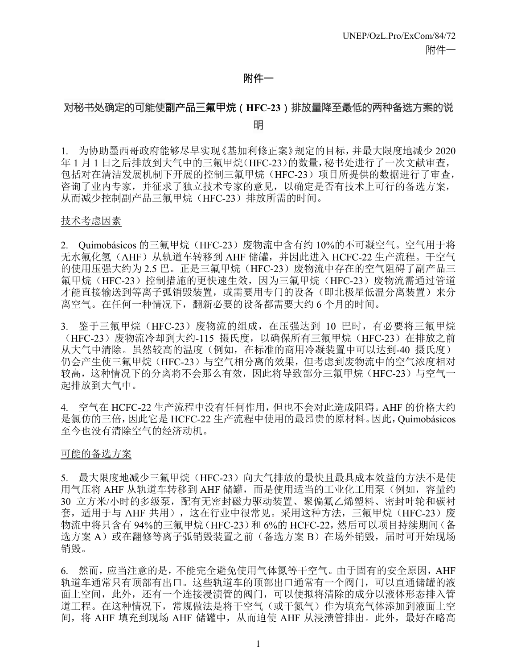### 附件一

## 对秘书处确定的可能使副产品三氟甲烷(**HFC-23**)排放量降至最低的两种备选方案的说 明

1. 为协助墨西哥政府能够尽早实现《基加利修正案》规定的目标,并最大限度地减少 2020 年 1 月 1 日之后排放到大气中的三氟甲烷(HFC-23)的数量,秘书处进行了一次文献审查, 包括对在清洁发展机制下开展的控制三氟甲烷(HFC-23)项目所提供的数据进行了审查, 咨询了业内专家,并征求了独立技术专家的意见,以确定是否有技术上可行的备选方案, 从而减少控制副产品三氟甲烷(HFC-23)排放所需的时间。

#### 技术考虑因素

2. Ouimobásicos 的三氟甲烷 (HFC-23) 废物流中含有约 10%的不可凝空气。空气用于将 无水氟化氢(AHF)从轨道车转移到 AHF 储罐,并因此进入 HCFC-22 生产流程。干空气 的使用压强大约为 2.5 巴。正是三氟甲烷(HFC-23)废物流中存在的空气阻碍了副产品三 氟甲烷(HFC-23)控制措施的更快速生效,因为三氟甲烷(HFC-23)废物流需通过管道 才能直接输送到等离子弧销毁装置,或需要用专门的设备(即北极星低温分离装置)来分 离空气。在任何一种情况下,翻新必要的设备都需要大约 6 个月的时间。

3. 鉴于三氟甲烷 (HFC-23) 废物流的组成, 在压强达到 10 巴时, 有必要将三氟甲烷 (HFC-23) 废物流冷却到大约-115 摄氏度, 以确保所有三氟甲烷 (HFC-23) 在排放之前 从大气中清除。虽然较高的温度(例如,在标准的商用冷凝装置中可以达到-40 摄氏度) 仍会产生使三氟甲烷(HFC-23)与空气相分离的效果,但考虑到废物流中的空气浓度相对 较高,这种情况下的分离将不会那么有效,因此将导致部分三氟甲烷(HFC-23)与空气一 起排放到大气中。

4. 空气在 HCFC-22 生产流程中没有任何作用,但也不会对此造成阻碍。AHF 的价格大约 是氯仿的三倍,因此它是 HCFC-22 生产流程中使用的最昂贵的原材料。因此,Quimobásicos 至今也没有清除空气的经济动机。

### 可能的备选方案

5. 最大限度地减少三氟甲烷 (HFC-23)向大气排放的最快且最具成本效益的方法不是使 用气压将 AHF 从轨道车转移到 AHF 储罐, 而是使用适当的工业化工用泵(例如, 容量约 30 立方米/小时的多级泵,配有无密封磁力驱动装置、聚偏氟乙烯塑料、密封叶轮和碳衬 套,适用于与 AHF 共用),这在行业中很常见。采用这种方法,三氟甲烷(HFC-23)废 物流中将只含有 94%的三氟甲烷(HFC-23)和 6%的 HCFC-22, 然后可以项目持续期间(备 选方案 A)或在翻修等离子弧销毁装置之前(备选方案 B)在场外销毁,届时可开始现场 销毁。

6. 然而,应当注意的是,不能完全避免使用气体氮等干空气。由于固有的安全原因,AHF 轨道车通常只有顶部有出口。这些轨道车的顶部出口通常有一个阀门,可以直通储罐的液 面上空间,此外,还有一个连接浸渍管的阀门,可以使拟将清除的成分以液体形态排入管 道工程。在这种情况下,常规做法是将干空气(或干氮气)作为填充气体添加到液面上空 间,将 AHF 填充到现场 AHF 储罐中,从而迫使 AHF 从浸渍管排出。此外,最好在略高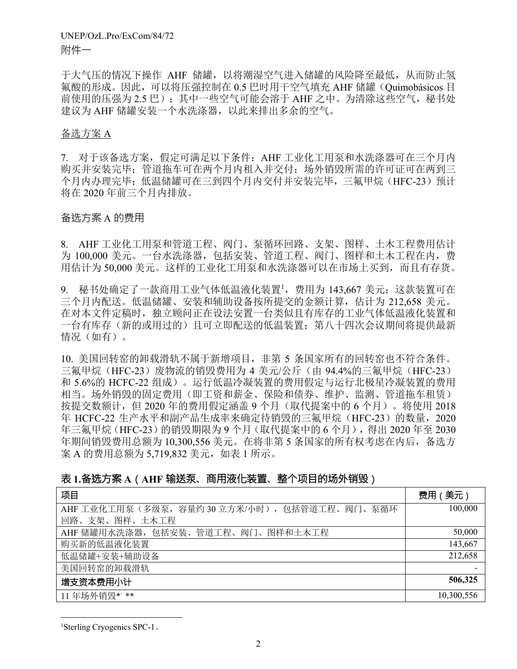于大气压的情况下操作 AHF 储罐,以将潮湿空气进入储罐的风险降至最低,从而防止氢 氟酸的形成。因此,可以将压强控制在 0.5 巴时用干空气填充 AHF 储罐(Quimobásicos 目 前使用的压强为 2.5 巴); 其中一些空气可能会溶于 AHF 之中。为清除这些空气, 秘书处 建议为 AHF 储罐安装一个水洗涤器,以此来排出多余的空气。

### 备选方案 A

7. 对于该备选方案,假定可满足以下条件:AHF 工业化工用泵和水洗涤器可在三个月内 购买并安装完毕;管道拖车可在两个月内租入并交付;场外销毁所需的许可证可在两到三 个月内办理完毕;低温储罐可在三到四个月内交付并安装完毕,三氟甲烷(HFC-23)预计 将在 2020 年前三个月内排放。

### 备选方案 A 的费用

8. AHF 工业化工用泵和管道工程、阀门、泵循环回路、支架、图样、土木工程费用估计 为 100,000 美元。一台水洗涤器,包括安装、管道工程、阀门、图样和土木工程在内,费 用估计为 50,000 美元。这样的工业化工用泵和水洗涤器可以在市场上买到,而且有存货。

9. 秘书处确定了一款商用工业气体低温液化装置1, 费用为 143,667 美元; 这款装置可在 三个月内配送。低温储罐、安装和辅助设备按所提交的金额计算,估计为 212,658 美元。 在对本文件定稿时,独立顾问正在设法安置一台类似且有库存的工业气体低温液化装置和 一台有库存(新的或用过的)且可立即配送的低温装置;第八十四次会议期间将提供最新 情况(如有)。

10. 美国回转窑的卸载滑轨不属于新增项目,非第 5 条国家所有的回转窑也不符合条件。 三氟甲烷 (HFC-23) 废物流的销毁费用为 4 美元/公斤 (由 94.4%的三氟甲烷 (HFC-23) 和 5.6%的 HCFC-22 组成)。运行低温冷凝装置的费用假定与运行北极星冷凝装置的费用 相当。场外销毁的固定费用(即工资和薪金、保险和债券、维护、监测、管道拖车租赁) 按提交数额计,但 2020 年的费用假定涵盖 9 个月(取代提案中的 6 个月)。将使用 2018 年 HCFC-22 生产水平和副产品生成率来确定待销毁的三氟甲烷(HFC-23)的数量,2020 年三氟甲烷(HFC-23)的销毁期限为 9 个月(取代提案中的 6 个月), 得出 2020 年至 2030 年期间销毁费用总额为 10,300,556 美元。在将非第 5 条国家的所有权考虑在内后,备选方 案 A 的费用总额为 5,719,832 美元, 如表 1 所示。

## 表 **1.**备选方案 **A**(**AHF** 输送泵、商用液化装置、整个项目的场外销毁)

| 项目                                          | 费用 (美元)    |
|---------------------------------------------|------------|
| AHF 工业化工用泵(多级泵,容量约 30 立方米/小时),包括管道工程、阀门、泵循环 | 100,000    |
| 回路、支架、图样、土木工程                               |            |
| AHF 储罐用水洗涤器, 包括安装、管道工程、阀门、图样和土木工程           | 50,000     |
| 购买新的低温液化装置                                  | 143,667    |
| 低温储罐+安装+辅助设备                                | 212,658    |
| 美国回转窑的卸载滑轨                                  |            |
| 增支资本费用小计                                    | 506,325    |
| 11年场外销毁*'**                                 | 10,300,556 |

1 Sterling Cryogenics SPC-1。

l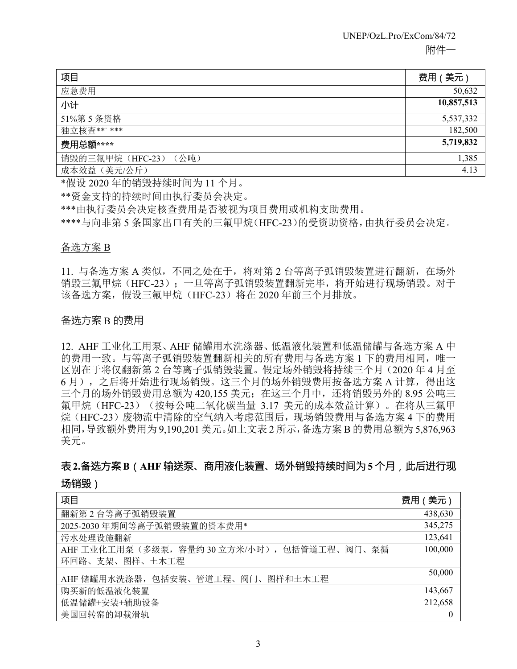| 项目                    | 费用 (美元)    |
|-----------------------|------------|
| 应急费用                  | 50,632     |
| 小计                    | 10,857,513 |
| 51%第5条资格              | 5,537,332  |
| 独立核查**' ***           | 182,500    |
| 费用总额****              | 5,719,832  |
| 销毁的三氟甲烷 (HFC-23) (公吨) | 1,385      |
| 成本效益(美元/公斤)           | 4.13       |

\*假设 2020 年的销毁持续时间为 11 个月。

\*\*资金支持的持续时间由执行委员会决定。

\*\*\*由执行委员会决定核查费用是否被视为项目费用或机构支助费用。

\*\*\*\*与向非第 5 条国家出口有关的三氟甲烷(HFC-23)的受资助资格,由执行委员会决定。

### 备选方案 B

11. 与备选方案 A 类似,不同之处在于,将对第 2 台等离子弧销毁装置进行翻新,在场外 销毁三氟甲烷(HFC-23);一旦等离子弧销毁装置翻新完毕,将开始进行现场销毁。对于 该备选方案,假设三氟甲烷(HFC-23)将在 2020 年前三个月排放。

### 备选方案 B 的费用

12. AHF 工业化工用泵、AHF 储罐用水洗涤器、低温液化装置和低温储罐与备选方案 A 中 的费用一致。与等离子弧销毁装置翻新相关的所有费用与备选方案 1 下的费用相同,唯一 区别在于将仅翻新第 2 台等离子弧销毁装置。假定场外销毁将持续三个月(2020 年 4 月至 6 月),之后将开始进行现场销毁。这三个月的场外销毁费用按备选方案 A 计算,得出这 三个月的场外销毁费用总额为 420,155 美元;在这三个月中,还将销毁另外的 8.95 公吨三 氟甲烷(HFC-23)(按每公吨二氧化碳当量 3.17 美元的成本效益计算)。在将从三氟甲 烷(HFC-23)废物流中清除的空气纳入考虑范围后,现场销毁费用与备选方案 4 下的费用 相同,导致额外费用为 9,190,201 美元。如上文表 2 所示,备选方案 B 的费用总额为 5,876,963 美元。

## 表**2.**备选方案**B**(**AHF** 输送泵、商用液化装置、场外销毁持续时间为**5** 个月,此后进行现

### 场销毁)

| 项目                                            | 费用 (美元) |
|-----------------------------------------------|---------|
| 翻新第2台等离子弧销毁装置                                 | 438,630 |
| 2025-2030年期间等离子弧销毁装置的资本费用*                    | 345,275 |
| 污水处理设施翻新                                      | 123,641 |
| AHF 工业化工用泵 (多级泵, 容量约 30 立方米/小时), 包括管道工程、阀门、泵循 | 100,000 |
| 环回路、支架、图样、土木工程                                |         |
| AHF 储罐用水洗涤器,包括安装、管道工程、阀门、图样和土木工程              | 50,000  |
| 购买新的低温液化装置                                    | 143,667 |
| 低温储罐+安装+辅助设备                                  | 212,658 |
| 美国回转窑的卸载滑轨                                    |         |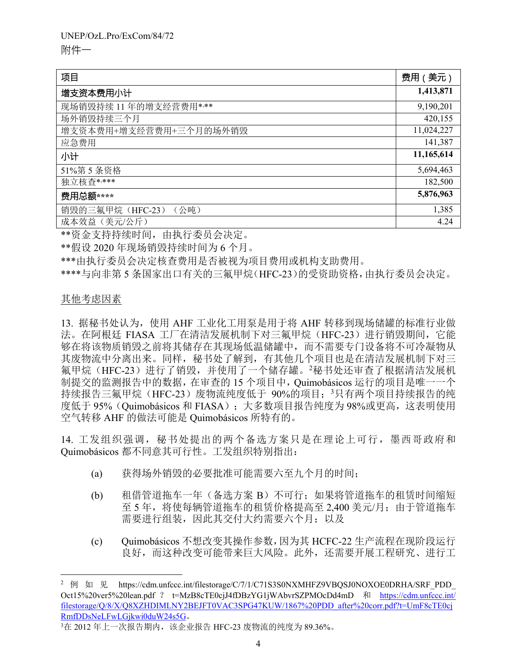| 项目                       | 费用 (美元)    |
|--------------------------|------------|
| 增支资本费用小计                 | 1,413,871  |
| 现场销毁持续 11 年的增支经营费用****   | 9,190,201  |
| 场外销毁持续三个月                | 420,155    |
| 增支资本费用+增支经营费用+三个月的场外销毁   | 11,024,227 |
| 应急费用                     | 141,387    |
| 小计                       | 11,165,614 |
| 51%第5条资格                 | 5,694,463  |
| 独立核查****                 | 182,500    |
| 费用总额****                 | 5,876,963  |
| 销毁的三氟甲烷 (HFC-23)<br>(公吨) | 1,385      |
| 成本效益(美元/公斤)              | 4.24       |

\*\*资金支持持续时间,由执行委员会决定。

\*\*假设 2020 年现场销毁持续时间为 6 个月。

\*\*\*由执行委员会决定核查费用是否被视为项目费用或机构支助费用。

\*\*\*\*与向非第 5 条国家出口有关的三氟甲烷(HFC-23)的受资助资格,由执行委员会决定。

### 其他考虑因素

l

13. 据秘书处认为,使用 AHF 工业化工用泵是用于将 AHF 转移到现场储罐的标准行业做 法。在阿根廷 FIASA 工厂在清洁发展机制下对三氟甲烷 (HFC-23) 进行销毁期间, 它能 够在将该物质销毁之前将其储存在其现场低温储罐中,而不需要专门设备将不可冷凝物从 其废物流中分离出来。同样, 秘书处了解到, 有其他几个项目也是在清洁发展机制下对三 氟甲烷(HFC-23)进行了销毁,并使用了一个储存罐。2秘书处还审查了根据清洁发展机 制提交的监测报告中的数据,在审查的 15 个项目中,Quimobásicos 运行的项目是唯一一个 持续报告三氟甲烷(HFC-23)废物流纯度低于 90%的项目; 3只有两个项目持续报告的纯 度低于 95% (Quimobásicos 和 FIASA); 大多数项目报告纯度为 98%或更高, 这表明使用 空气转移 AHF 的做法可能是 Quimobásicos 所特有的。

14. 工发组织强调, 秘书处提出的两个备选方案只是在理论上可行, 墨西哥政府和 Quimobásicos 都不同意其可行性。工发组织特别指出:

- (a) 获得场外销毁的必要批准可能需要六至九个月的时间;
- (b) 租借管道拖车一年 (备选方案 B) 不可行; 如果将管道拖车的租赁时间缩短 至 5 年,将使每辆管道拖车的租赁价格提高至 2,400 美元/月;由于管道拖车 需要进行组装,因此其交付大约需要六个月;以及
- (c) Quimobásicos 不想改变其操作参数,因为其 HCFC-22 生产流程在现阶段运行 良好,而这种改变可能带来巨大风险。此外,还需要开展工程研究、进行工

<sup>&</sup>lt;sup>2</sup> 例 如 见 https://cdm.unfccc.int/filestorage/C/7/1/C71S3S0NXMHFZ9VBOSJ0NOXOE0DRHA/SRF\_PDD Oct15%20ver5%20lean.pdf ? t=MzB8cTE0cjJ4fDBzYG1jWAbvrSZPMOcDd4mD 和 https://cdm.unfccc.int/ filestorage/Q/8/X/Q8XZHDIMLNY2BEJFT0VAC3SPG47KUW/1867%20PDD\_after%20corr.pdf?t=UmF8cTE0cj RmfDDsNeLFwLGjkwi0duW24s5G。

<sup>3</sup>在 2012 年上一次报告期内,该企业报告 HFC-23 废物流的纯度为 89.36%。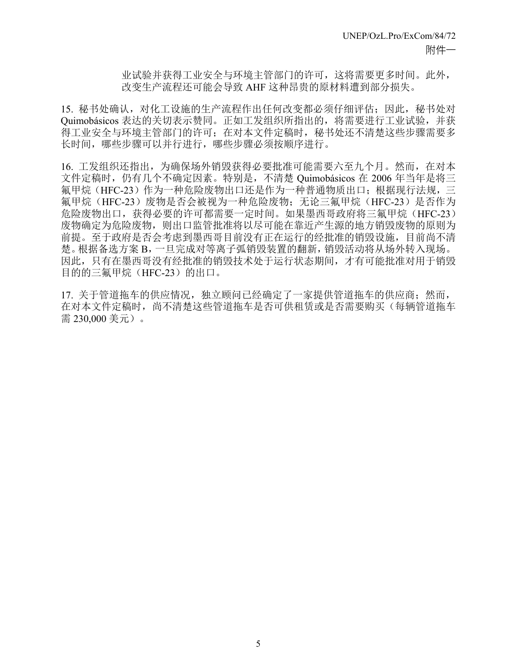业试验并获得工业安全与环境主管部门的许可,这将需要更多时间。此外, 改变生产流程还可能会导致 AHF 这种昂贵的原材料遭到部分损失。

15. 秘书处确认,对化工设施的生产流程作出任何改变都必须仔细评估;因此,秘书处对 Quimobásicos 表达的关切表示赞同。正如工发组织所指出的,将需要进行工业试验,并获 得工业安全与环境主管部门的许可;在对本文件定稿时,秘书处还不清楚这些步骤需要多 长时间,哪些步骤可以并行进行,哪些步骤必须按顺序进行。

16. 工发组织还指出,为确保场外销毁获得必要批准可能需要六至九个月。然而,在对本 文件定稿时,仍有几个不确定因素。特别是,不清楚 Quimobásicos 在 2006 年当年是将三 氟甲烷(HFC-23)作为一种危险废物出口还是作为一种普通物质出口; 根据现行法规, 三 氟甲烷(HFC-23)废物是否会被视为一种危险废物; 无论三氟甲烷(HFC-23)是否作为 危险废物出口,获得必要的许可都需要一定时间。如果墨西哥政府将三氟甲烷(HFC-23) 废物确定为危险废物,则出口监管批准将以尽可能在靠近产生源的地方销毁废物的原则为 前提。至于政府是否会考虑到墨西哥目前没有正在运行的经批准的销毁设施,目前尚不清 楚。根据备选方案 B,一旦完成对等离子弧销毁装置的翻新,销毁活动将从场外转入现场。 因此,只有在墨西哥没有经批准的销毁技术处于运行状态期间,才有可能批准对用于销毁 目的的三氟甲烷(HFC-23)的出口。

17. 关于管道拖车的供应情况, 独立顾问已经确定了一家提供管道拖车的供应商; 然而, 在对本文件定稿时,尚不清楚这些管道拖车是否可供租赁或是否需要购买(每辆管道拖车 需 230,000 美元)。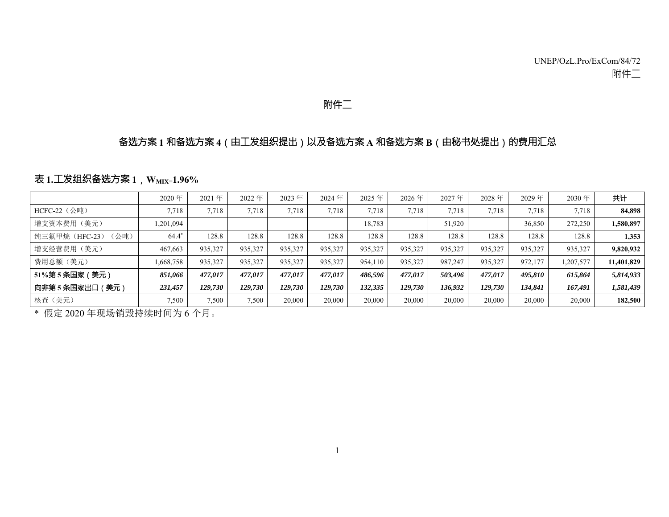## 附件二

### 备选方案 **<sup>1</sup>** 和备选方案 **<sup>4</sup>**(由工发组织提出)以及备选方案 **<sup>A</sup>** 和备选方案 **<sup>B</sup>**(由秘书处提出)的费用汇总

### 表 **1.**工发组织备选方案 **<sup>1</sup>**,**WMIX=1.96%**

|                        | 2020年     | 2021年   | 2022年   | 2023年   | 2024年   | 2025年   | 2026年   | 2027年   | 2028年   | 2029年   | 2030年     | 共计         |
|------------------------|-----------|---------|---------|---------|---------|---------|---------|---------|---------|---------|-----------|------------|
| HCFC-22 (公吨)           | 7.718     | 7,718   | 7.718   | 7.718   | 7.718   | 7.718   | 7.718   | 7.718   | 7.718   | 7,718   | 7,718     | 84,898     |
| 增支资本费用 (美元)            | 1,201,094 |         |         |         |         | 18,783  |         | 51,920  |         | 36,850  | 272,250   | 1,580,897  |
| 纯三氟甲烷 (HFC-23)<br>(公吨) | $64.4*$   | 128.8   | 128.8   | 128.8   | 128.8   | 128.8   | 128.8   | 128.8   | 128.8   | 128.8   | 128.8     | 1,353      |
| 增支经营费用(美元)             | 467,663   | 935,327 | 935,327 | 935,327 | 935,327 | 935,327 | 935,327 | 935,327 | 935,327 | 935,327 | 935,327   | 9,820,932  |
| 费用总额(美元)               | 1,668,758 | 935,327 | 935,327 | 935,327 | 935,327 | 954,110 | 935,327 | 987,247 | 935,327 | 972,177 | 1,207,577 | 11,401,829 |
| 51%第5条国家(美元)           | 851,066   | 477.017 | 477.017 | 477,017 | 477.017 | 486,596 | 477.017 | 503.496 | 477.017 | 495.810 | 615,864   | 5,814,933  |
| 向非第5条国家出口 (美元)         | 231,457   | 129.730 | 129.730 | 129.730 | 129,730 | 132,335 | 129,730 | 136.932 | 129,730 | 134.841 | 167.491   | 1,581,439  |
| 核查(美元)                 | 7,500     | 7,500   | 7,500   | 20,000  | 20,000  | 20,000  | 20,000  | 20,000  | 20,000  | 20,000  | 20,000    | 182,500    |

\* 假定 2020 年现场销毁持续时间为 6 个月。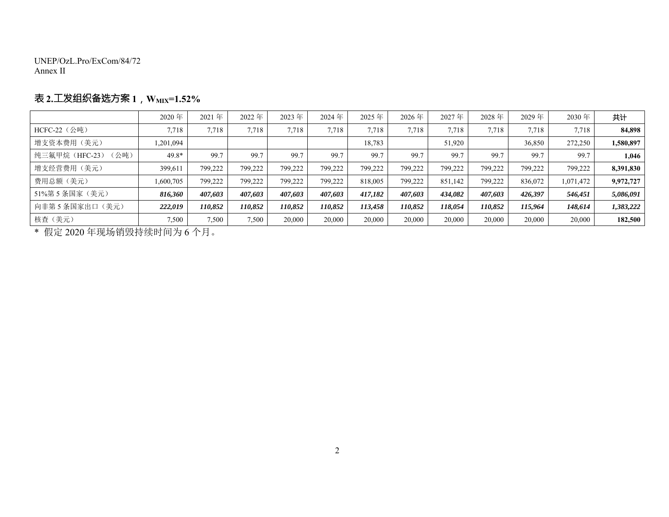UNEP/OzL.Pro/ExCom/84/72 Annex II

## 表 **2.**工发组织备选方案 **<sup>1</sup>**,**WMIX=1.52%**

|                        | 2020年     | 2021年   | 2022年   | 2023年   | 2024年   | 2025年   | $2026$ 年 | 2027年   | 2028年   | 2029年   | 2030年     | 共计        |
|------------------------|-----------|---------|---------|---------|---------|---------|----------|---------|---------|---------|-----------|-----------|
| $HCFC-22$ (公吨)         | 7.718     | 7,718   | 7,718   | 7,718   | 7,718   | 7,718   | 7.718    | 7.718   | 7,718   | 7.718   | 7,718     | 84,898    |
| 增支资本费用(美元)             | ,201,094  |         |         |         |         | 18,783  |          | 51,920  |         | 36,850  | 272,250   | 1,580,897 |
| (公吨)<br>纯三氟甲烷 (HFC-23) | 49.8*     | 99.7    | 99.7    | 99.7    | 99.7    | 99.7    | 99.7     | 99.7    | 99.7    | 99.7    | 99.7      | 1,046     |
| 增支经营费用(美元)             | 399,611   | 799,222 | 799.222 | 799.222 | 799,222 | 799,222 | 799.222  | 799,222 | 799.222 | 799.222 | 799.222   | 8,391,830 |
| 费用总额(美元)               | 1,600,705 | 799,222 | 799.222 | 799.222 | 799.222 | 818,005 | 799.222  | 851.142 | 799.222 | 836,072 | 1,071,472 | 9.972.727 |
| 51%第5条国家(美元)           | 816.360   | 407.603 | 407.603 | 407.603 | 407.603 | 417.182 | 407.603  | 434.082 | 407.603 | 426.397 | 546,451   | 5,086,091 |
| 向非第5条国家出口(美元)          | 222.019   | 110,852 | 110,852 | 110.852 | 110,852 | 113.458 | 110,852  | 118.054 | 110.852 | 115,964 | 148,614   | 1,383,222 |
| 核查(美元)                 | 7,500     | 7,500   | 7,500   | 20,000  | 20,000  | 20,000  | 20,000   | 20,000  | 20,000  | 20,000  | 20,000    | 182,500   |

\* 假定 2020 年现场销毁持续时间为 6 个月。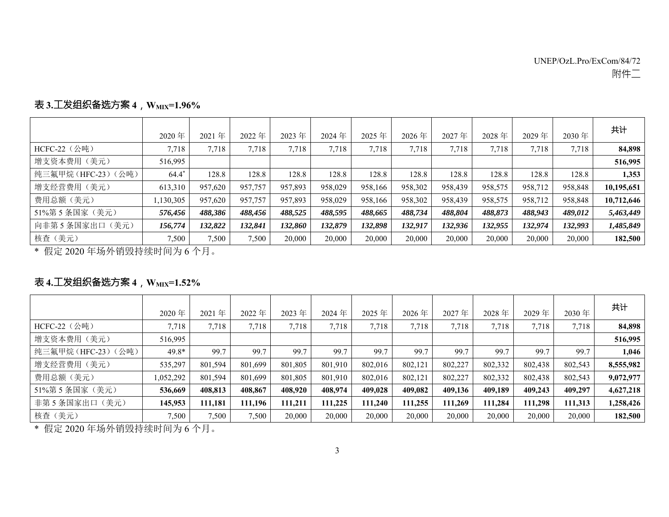|                   | 2020年     | 2021年   | 2022年   | 2023年   | 2024 年  | $2025$ 年 | 2026年   | 2027年   | 2028年   | 2029年   | 2030年   | 共计         |
|-------------------|-----------|---------|---------|---------|---------|----------|---------|---------|---------|---------|---------|------------|
| HCFC-22 (公吨)      | 7,718     | 7.718   | 7,718   | 7,718   | 7,718   | 7,718    | 7,718   | 7,718   | 7,718   | 7.718   | 7,718   | 84,898     |
| 增支资本费用(美元)        | 516.995   |         |         |         |         |          |         |         |         |         |         | 516,995    |
| 纯三氟甲烷(HFC-23)(公吨) | $64.4*$   | 128.8   | 128.8   | 128.8   | 128.8   | 128.8    | 128.8   | 128.8   | 128.8   | 128.8   | 128.8   | 1,353      |
| 增支经营费用(美元)        | 613,310   | 957,620 | 957,757 | 957,893 | 958,029 | 958.166  | 958,302 | 958,439 | 958,575 | 958,712 | 958,848 | 10,195,651 |
| 费用总额(美元)          | 1,130,305 | 957,620 | 957,757 | 957,893 | 958,029 | 958.166  | 958,302 | 958,439 | 958,575 | 958,712 | 958,848 | 10,712,646 |
| 51%第5条国家(美元)      | 576,456   | 488,386 | 488,456 | 488,525 | 488,595 | 488,665  | 488,734 | 488,804 | 488,873 | 488,943 | 489,012 | 5,463,449  |
| 向非第5条国家出口(美元)     | 156,774   | 132,822 | 132,841 | 132,860 | 132,879 | 132,898  | 132,917 | 132,936 | 132,955 | 132,974 | 132,993 | 1,485,849  |
| 核查(美元)            | 7,500     | 7,500   | 7,500   | 20,000  | 20,000  | 20,000   | 20,000  | 20,000  | 20,000  | 20,000  | 20,000  | 182,500    |

## 表 **3.**工发组织备选方案 **<sup>4</sup>**,**WMIX=1.96%**

\* 假定 2020 年场外销毁持续时间为 6 个月。

## 表 **4.**工发组织备选方案 **<sup>4</sup>**,**WMIX=1.52%**

|                   | 2020年    | 2021年   | 2022年   | 2023年   | 2024年   | 2025年   | 2026年   | 2027年   | 2028年   | 2029年   | $2030$ 年 | 共计        |
|-------------------|----------|---------|---------|---------|---------|---------|---------|---------|---------|---------|----------|-----------|
| HCFC-22 (公吨)      | 7,718    | 7,718   | 7,718   | 7,718   | 7,718   | 7,718   | 7,718   | 7,718   | 7,718   | 7,718   | 7,718    | 84,898    |
| 增支资本费用(美元)        | 516,995  |         |         |         |         |         |         |         |         |         |          | 516,995   |
| 纯三氟甲烷(HFC-23)(公吨) | 49.8*    | 99.7    | 99.7    | 99.7    | 99.7    | 99.7    | 99.7    | 99.7    | 99.7    | 99.7    | 99.7     | 1,046     |
| 增支经营费用(美元)        | 535,297  | 801,594 | 801,699 | 801,805 | 801,910 | 802,016 | 802,121 | 802,227 | 802,332 | 802,438 | 802,543  | 8,555,982 |
| 费用总额(美元)          | ,052,292 | 801,594 | 801,699 | 801,805 | 801,910 | 802,016 | 802,121 | 802,227 | 802,332 | 802,438 | 802,543  | 9,072,977 |
| 51%第5条国家(美元)      | 536,669  | 408,813 | 408.867 | 408,920 | 408,974 | 409.028 | 409,082 | 409,136 | 409,189 | 409,243 | 409,297  | 4,627,218 |
| 非第5条国家出口(美元)      | 145,953  | 111,181 | 111,196 | 111,211 | 111,225 | 111,240 | 111,255 | 111,269 | 111,284 | 111,298 | 111,313  | 1,258,426 |
| 核查 (美元)           | 7,500    | 7,500   | 7,500   | 20,000  | 20,000  | 20,000  | 20,000  | 20,000  | 20,000  | 20,000  | 20,000   | 182,500   |

\* 假定 2020 年场外销毁持续时间为 6 个月。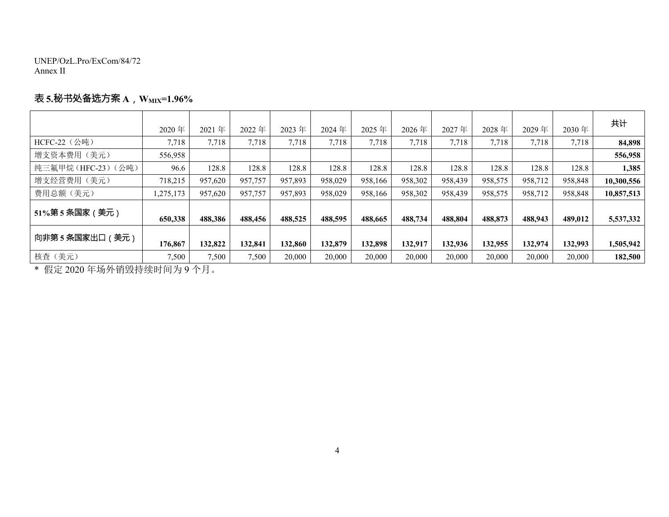UNEP/OzL.Pro/ExCom/84/72 Annex II

## 表 **5.**秘书处备选方案 **<sup>A</sup>**,**WMIX=1.96%**

|                        | 2020年     | 2021年   | 2022年   | 2023年   | 2024年   | 2025 年  | 2026年   | 2027年   | 2028年   | 2029年   | $2030$ 年 | 共计         |
|------------------------|-----------|---------|---------|---------|---------|---------|---------|---------|---------|---------|----------|------------|
| HCFC-22 $(\diamond$ 吨) | 7,718     | 7,718   | 7,718   | 7,718   | 7,718   | 7,718   | 7,718   | 7,718   | 7,718   | 7,718   | 7,718    | 84,898     |
| 增支资本费用(美元)             | 556,958   |         |         |         |         |         |         |         |         |         |          | 556,958    |
| 纯三氟甲烷(HFC-23)(公吨)      | 96.6      | 128.8   | 128.8   | 128.8   | 128.8   | 128.8   | 128.8   | 128.8   | 128.8   | 128.8   | 128.8    | 1,385      |
| 增支经营费用(美元)             | 718,215   | 957,620 | 957,757 | 957,893 | 958,029 | 958,166 | 958,302 | 958,439 | 958,575 | 958,712 | 958,848  | 10,300,556 |
| 费用总额(美元)               | 1,275,173 | 957,620 | 957,757 | 957,893 | 958,029 | 958.166 | 958,302 | 958,439 | 958,575 | 958,712 | 958,848  | 10,857,513 |
| 51%第5条国家(美元)           | 650,338   | 488,386 | 488,456 | 488,525 | 488,595 | 488,665 | 488,734 | 488,804 | 488,873 | 488,943 | 489,012  | 5,537,332  |
| 向非第5条国家出口 (美元)         | 176,867   | 132,822 | 132,841 | 132,860 | 132,879 | 132,898 | 132,917 | 132,936 | 132,955 | 132,974 | 132,993  | 1,505,942  |
| 核查(美元)                 | 7,500     | 7,500   | 7,500   | 20,000  | 20,000  | 20,000  | 20,000  | 20,000  | 20,000  | 20,000  | 20,000   | 182,500    |

\* 假定 2020 年场外销毁持续时间为 9 个月。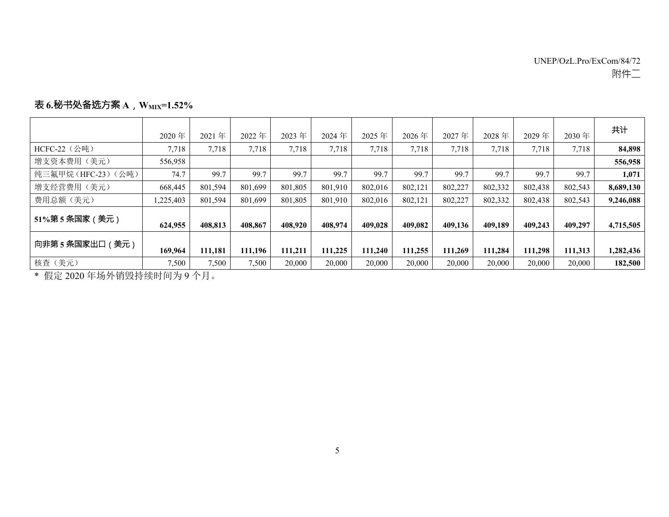|                    | 2020年     | 2021年   | 2022年   | 2023年   | 2024年   | 2025 年  | 2026年   | 2027年   | 2028年   | 2029年   | $2030$ 年 | 共计        |
|--------------------|-----------|---------|---------|---------|---------|---------|---------|---------|---------|---------|----------|-----------|
| HCFC-22 (公吨)       | 7,718     | 7,718   | 7,718   | 7,718   | 7,718   | 7,718   | 7,718   | 7,718   | 7,718   | 7,718   | 7,718    | 84,898    |
| 增支资本费用(美元)         | 556,958   |         |         |         |         |         |         |         |         |         |          | 556,958   |
| 纯三氟甲烷(HFC-23)(公吨)  | 74.7      | 99.7    | 99.7    | 99.7    | 99.7    | 99.7    | 99.7    | 99.7    | 99.7    | 99.7    | 99.7     | 1,071     |
| 增支经营费用(美元)         | 668,445   | 801,594 | 801,699 | 801,805 | 801,910 | 802,016 | 802,121 | 802,227 | 802,332 | 802,438 | 802,543  | 8,689,130 |
| 费用总额(美元)           | 1,225,403 | 801.594 | 801.699 | 801.805 | 801.910 | 802,016 | 802.121 | 802.227 | 802.332 | 802,438 | 802,543  | 9,246,088 |
| 51%第5条国家(美元)       | 624,955   | 408.813 | 408.867 | 408.920 | 408,974 | 409,028 | 409,082 | 409,136 | 409,189 | 409,243 | 409,297  | 4,715,505 |
| 向非第5条国家出口(<br>(美元) | 169,964   | 111,181 | 111,196 | 111,211 | 111,225 | 111,240 | 111,255 | 111,269 | 111.284 | 111,298 | 111,313  | 1,282,436 |
| 核查(美元)             | 7,500     | 7,500   | 7,500   | 20,000  | 20,000  | 20,000  | 20,000  | 20,000  | 20,000  | 20,000  | 20,000   | 182,500   |

### 表 **6.**秘书处备选方案 **<sup>A</sup>**,**WMIX=1.52%**

\* 假定 2020 年场外销毁持续时间为 9 个月。